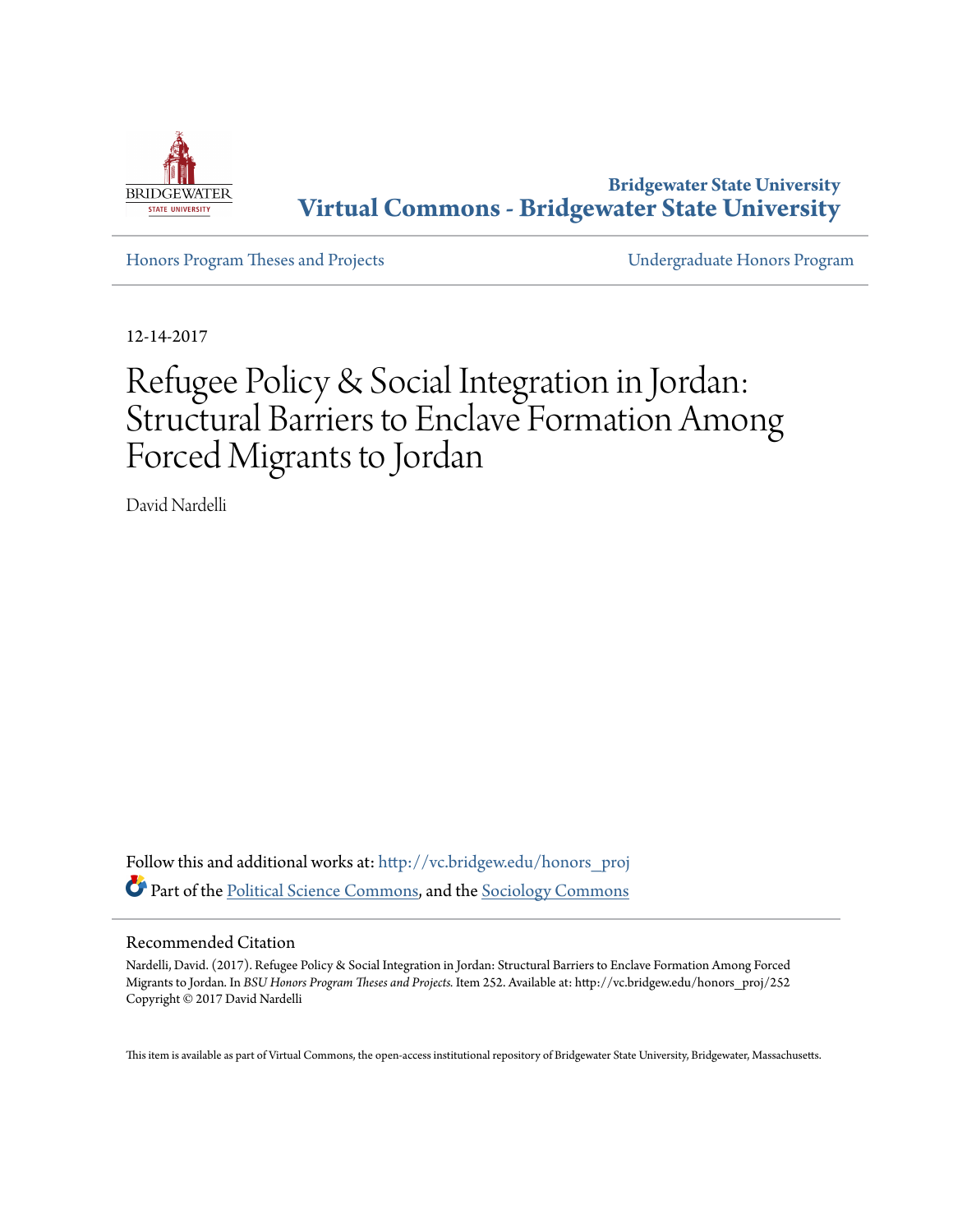

**Bridgewater State University [Virtual Commons - Bridgewater State University](http://vc.bridgew.edu?utm_source=vc.bridgew.edu%2Fhonors_proj%2F252&utm_medium=PDF&utm_campaign=PDFCoverPages)**

[Honors Program Theses and Projects](http://vc.bridgew.edu/honors_proj?utm_source=vc.bridgew.edu%2Fhonors_proj%2F252&utm_medium=PDF&utm_campaign=PDFCoverPages) [Undergraduate Honors Program](http://vc.bridgew.edu/honors?utm_source=vc.bridgew.edu%2Fhonors_proj%2F252&utm_medium=PDF&utm_campaign=PDFCoverPages)

12-14-2017

# Refugee Policy & Social Integration in Jordan: Structural Barriers to Enclave Formation Among Forced Migrants to Jordan

David Nardelli

Follow this and additional works at: [http://vc.bridgew.edu/honors\\_proj](http://vc.bridgew.edu/honors_proj?utm_source=vc.bridgew.edu%2Fhonors_proj%2F252&utm_medium=PDF&utm_campaign=PDFCoverPages) Part of the [Political Science Commons,](http://network.bepress.com/hgg/discipline/386?utm_source=vc.bridgew.edu%2Fhonors_proj%2F252&utm_medium=PDF&utm_campaign=PDFCoverPages) and the [Sociology Commons](http://network.bepress.com/hgg/discipline/416?utm_source=vc.bridgew.edu%2Fhonors_proj%2F252&utm_medium=PDF&utm_campaign=PDFCoverPages)

# Recommended Citation

Nardelli, David. (2017). Refugee Policy & Social Integration in Jordan: Structural Barriers to Enclave Formation Among Forced Migrants to Jordan. In *BSU Honors Program Theses and Projects.* Item 252. Available at: http://vc.bridgew.edu/honors\_proj/252 Copyright © 2017 David Nardelli

This item is available as part of Virtual Commons, the open-access institutional repository of Bridgewater State University, Bridgewater, Massachusetts.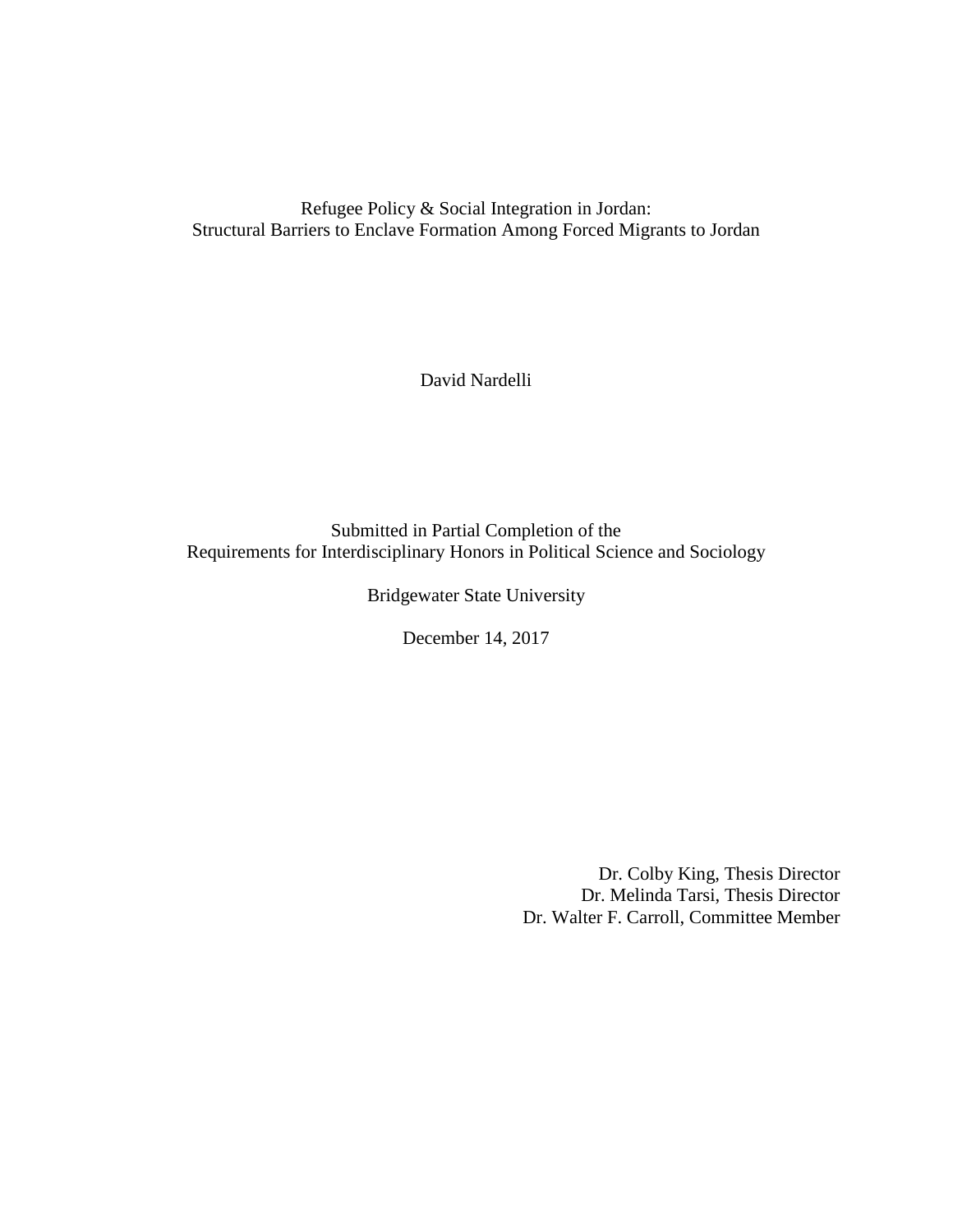Refugee Policy & Social Integration in Jordan: Structural Barriers to Enclave Formation Among Forced Migrants to Jordan

David Nardelli

Submitted in Partial Completion of the Requirements for Interdisciplinary Honors in Political Science and Sociology

Bridgewater State University

December 14, 2017

Dr. Colby King, Thesis Director Dr. Melinda Tarsi, Thesis Director Dr. Walter F. Carroll, Committee Member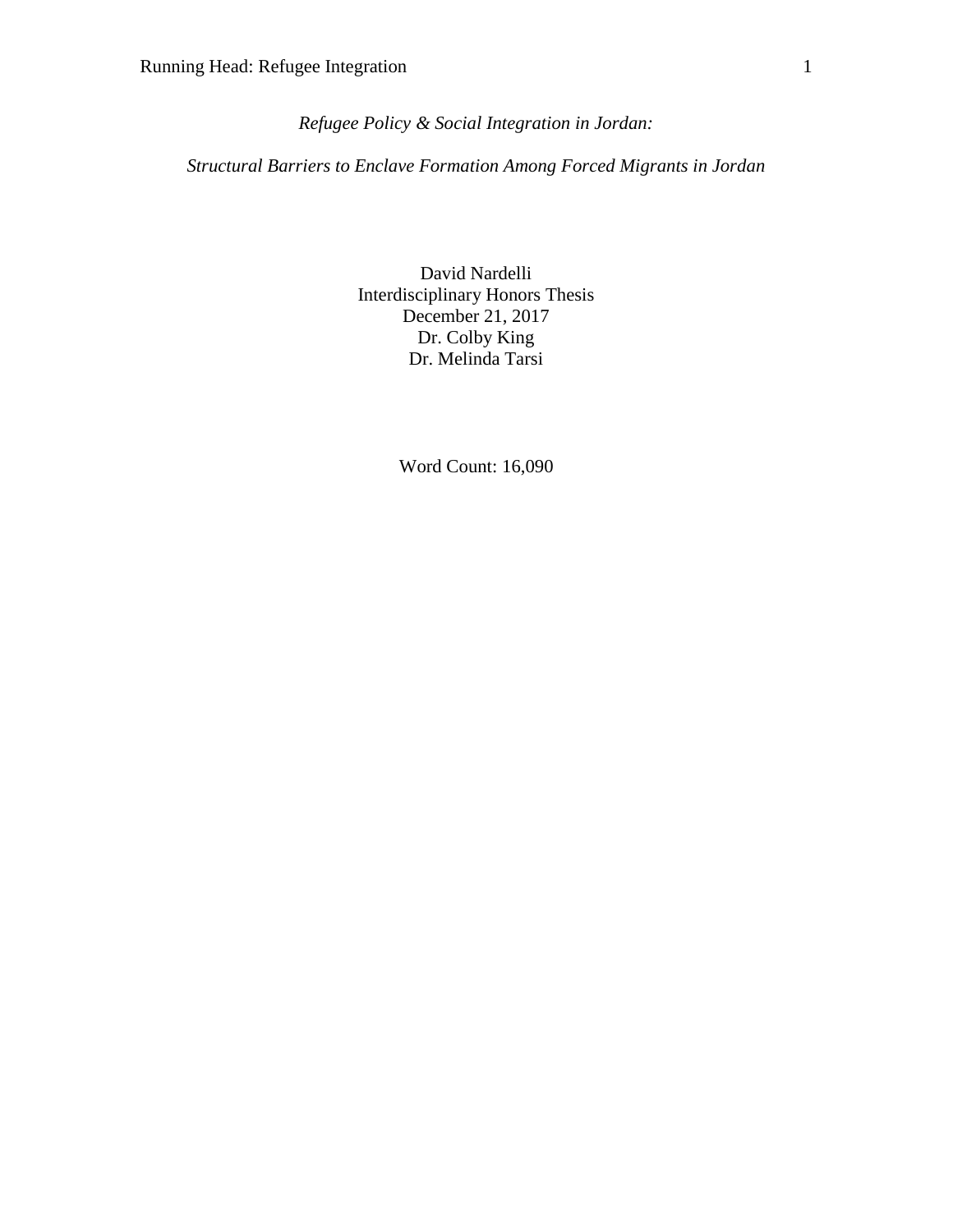*Refugee Policy & Social Integration in Jordan:*

*Structural Barriers to Enclave Formation Among Forced Migrants in Jordan*

David Nardelli Interdisciplinary Honors Thesis December 21, 2017 Dr. Colby King Dr. Melinda Tarsi

Word Count: 16,090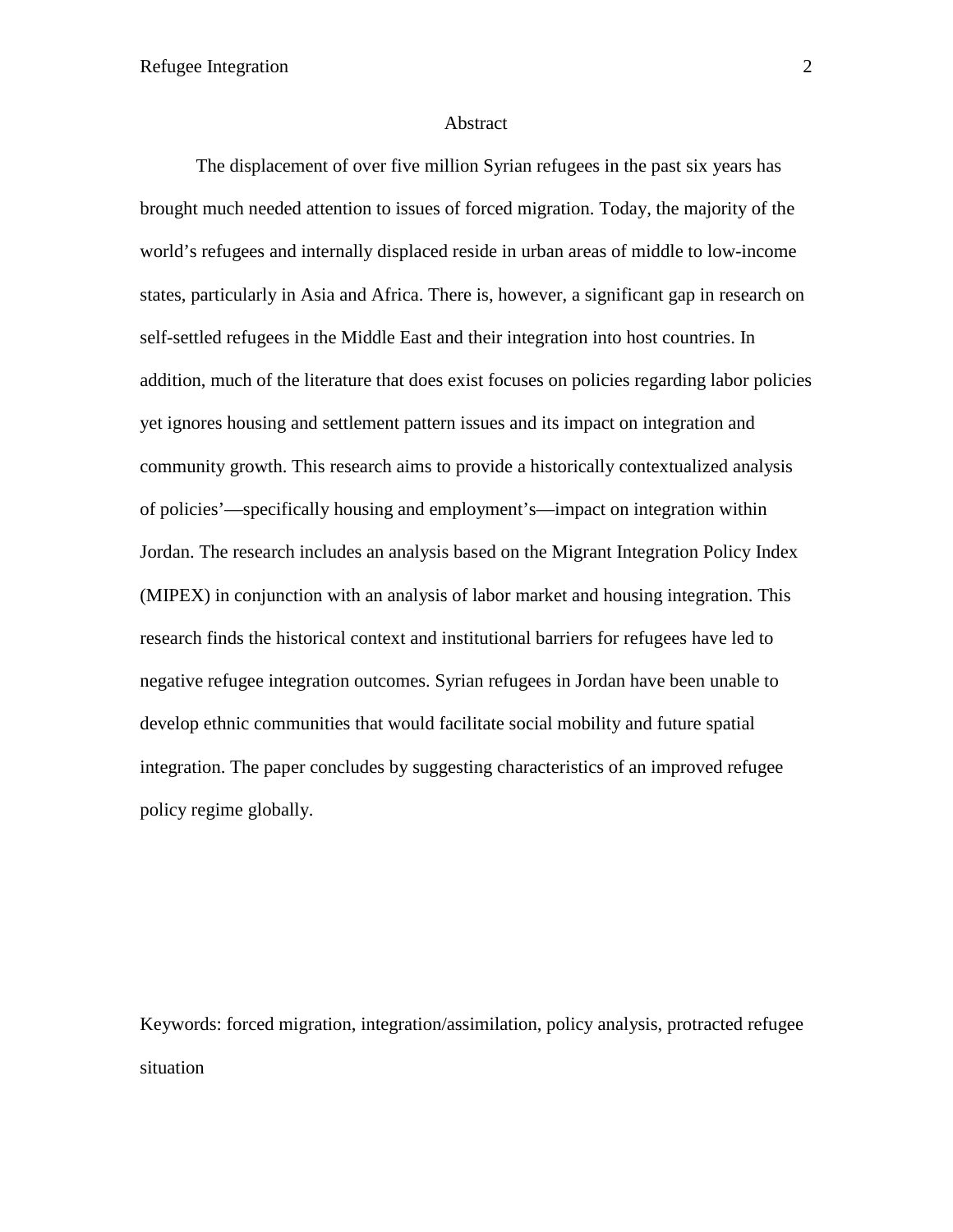#### Abstract

The displacement of over five million Syrian refugees in the past six years has brought much needed attention to issues of forced migration. Today, the majority of the world's refugees and internally displaced reside in urban areas of middle to low-income states, particularly in Asia and Africa. There is, however, a significant gap in research on self-settled refugees in the Middle East and their integration into host countries. In addition, much of the literature that does exist focuses on policies regarding labor policies yet ignores housing and settlement pattern issues and its impact on integration and community growth. This research aims to provide a historically contextualized analysis of policies'—specifically housing and employment's—impact on integration within Jordan. The research includes an analysis based on the Migrant Integration Policy Index (MIPEX) in conjunction with an analysis of labor market and housing integration. This research finds the historical context and institutional barriers for refugees have led to negative refugee integration outcomes. Syrian refugees in Jordan have been unable to develop ethnic communities that would facilitate social mobility and future spatial integration. The paper concludes by suggesting characteristics of an improved refugee policy regime globally.

Keywords: forced migration, integration/assimilation, policy analysis, protracted refugee situation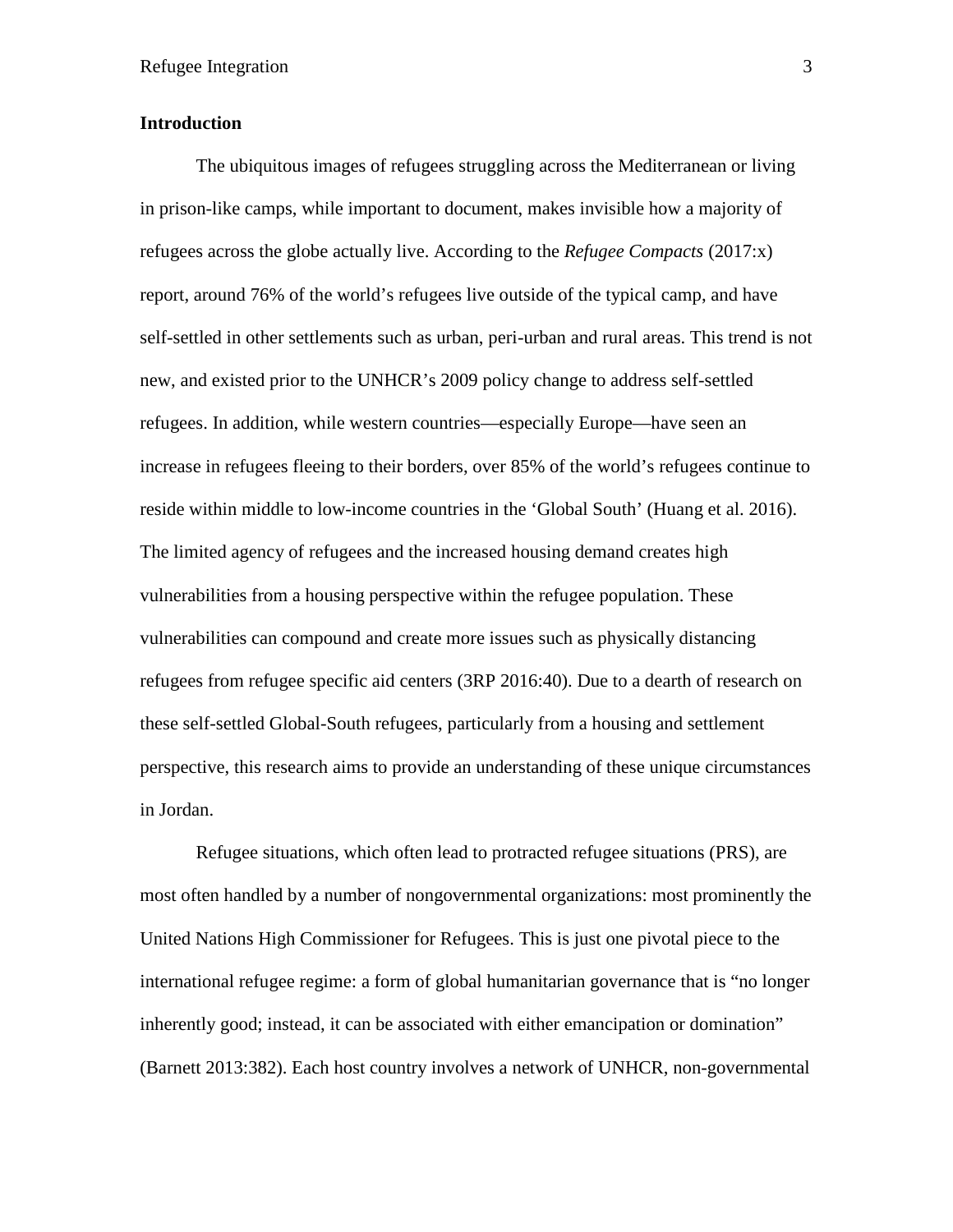# **Introduction**

The ubiquitous images of refugees struggling across the Mediterranean or living in prison-like camps, while important to document, makes invisible how a majority of refugees across the globe actually live. According to the *Refugee Compacts* (2017:x) report, around 76% of the world's refugees live outside of the typical camp, and have self-settled in other settlements such as urban, peri-urban and rural areas. This trend is not new, and existed prior to the UNHCR's 2009 policy change to address self-settled refugees. In addition, while western countries—especially Europe—have seen an increase in refugees fleeing to their borders, over 85% of the world's refugees continue to reside within middle to low-income countries in the 'Global South' (Huang et al. 2016). The limited agency of refugees and the increased housing demand creates high vulnerabilities from a housing perspective within the refugee population. These vulnerabilities can compound and create more issues such as physically distancing refugees from refugee specific aid centers (3RP 2016:40). Due to a dearth of research on these self-settled Global-South refugees, particularly from a housing and settlement perspective, this research aims to provide an understanding of these unique circumstances in Jordan.

Refugee situations, which often lead to protracted refugee situations (PRS), are most often handled by a number of nongovernmental organizations: most prominently the United Nations High Commissioner for Refugees. This is just one pivotal piece to the international refugee regime: a form of global humanitarian governance that is "no longer inherently good; instead, it can be associated with either emancipation or domination" (Barnett 2013:382). Each host country involves a network of UNHCR, non-governmental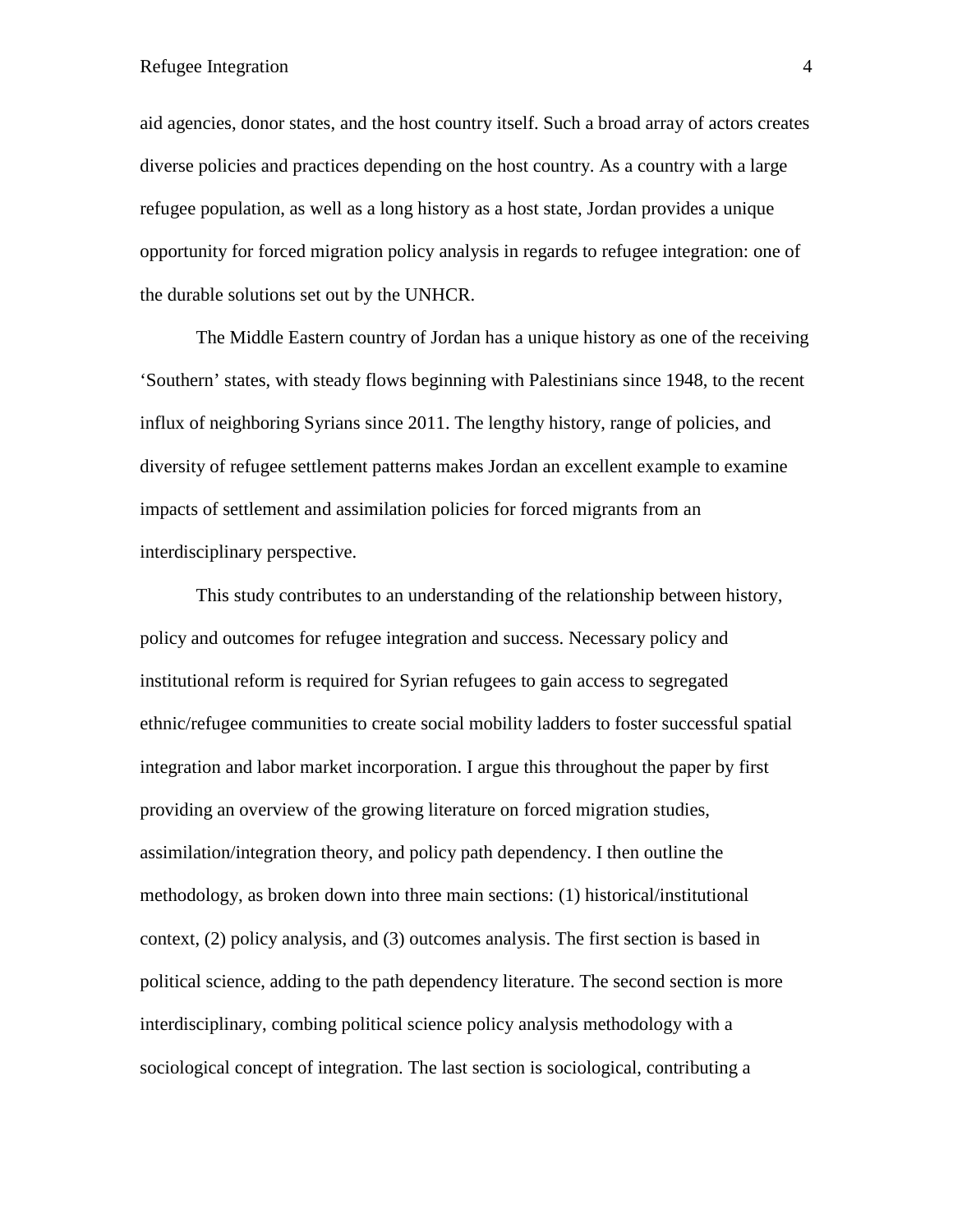aid agencies, donor states, and the host country itself. Such a broad array of actors creates diverse policies and practices depending on the host country. As a country with a large refugee population, as well as a long history as a host state, Jordan provides a unique opportunity for forced migration policy analysis in regards to refugee integration: one of the durable solutions set out by the UNHCR.

The Middle Eastern country of Jordan has a unique history as one of the receiving 'Southern' states, with steady flows beginning with Palestinians since 1948, to the recent influx of neighboring Syrians since 2011. The lengthy history, range of policies, and diversity of refugee settlement patterns makes Jordan an excellent example to examine impacts of settlement and assimilation policies for forced migrants from an interdisciplinary perspective.

This study contributes to an understanding of the relationship between history, policy and outcomes for refugee integration and success. Necessary policy and institutional reform is required for Syrian refugees to gain access to segregated ethnic/refugee communities to create social mobility ladders to foster successful spatial integration and labor market incorporation. I argue this throughout the paper by first providing an overview of the growing literature on forced migration studies, assimilation/integration theory, and policy path dependency. I then outline the methodology, as broken down into three main sections: (1) historical/institutional context, (2) policy analysis, and (3) outcomes analysis. The first section is based in political science, adding to the path dependency literature. The second section is more interdisciplinary, combing political science policy analysis methodology with a sociological concept of integration. The last section is sociological, contributing a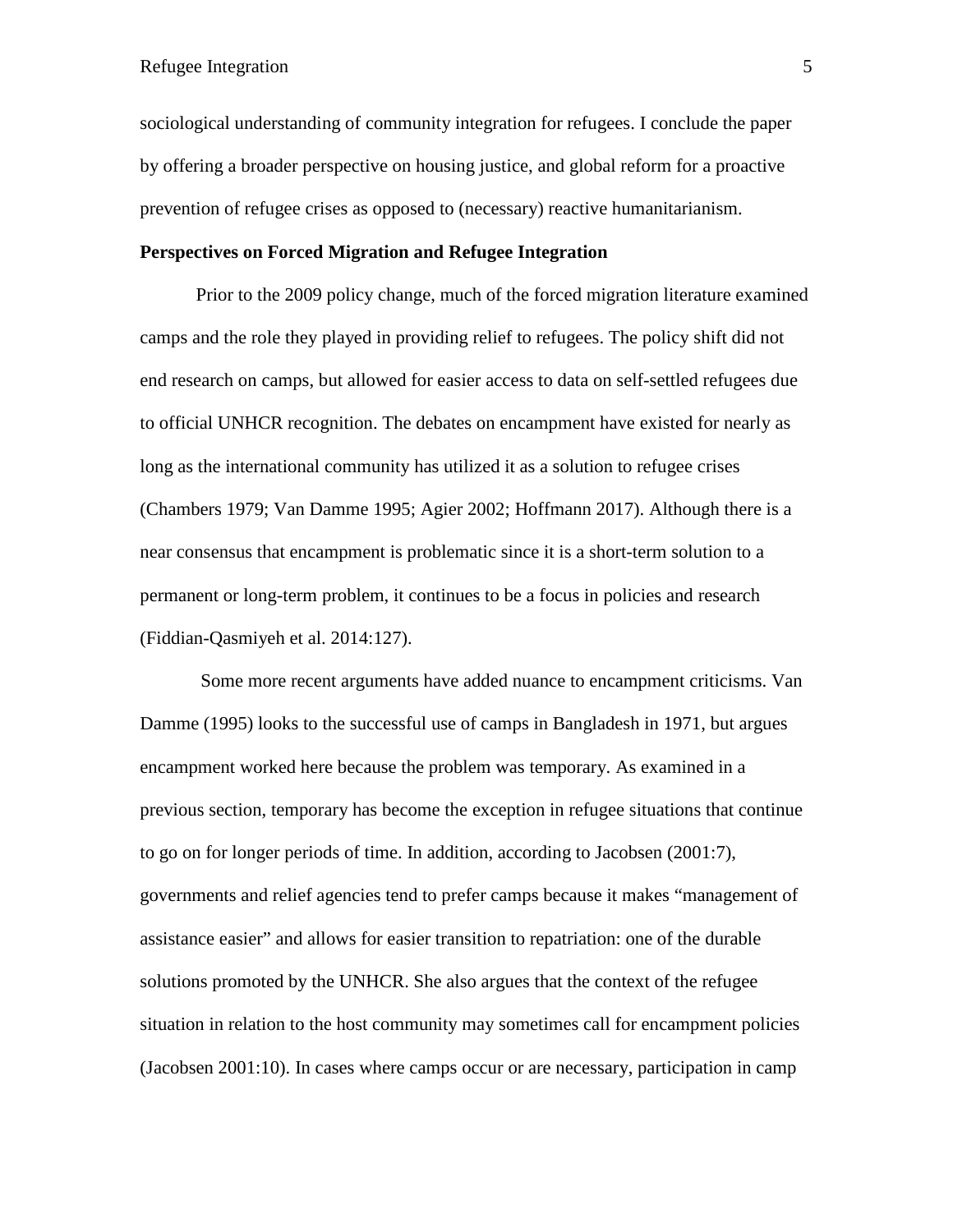sociological understanding of community integration for refugees. I conclude the paper by offering a broader perspective on housing justice, and global reform for a proactive prevention of refugee crises as opposed to (necessary) reactive humanitarianism.

# **Perspectives on Forced Migration and Refugee Integration**

Prior to the 2009 policy change, much of the forced migration literature examined camps and the role they played in providing relief to refugees. The policy shift did not end research on camps, but allowed for easier access to data on self-settled refugees due to official UNHCR recognition. The debates on encampment have existed for nearly as long as the international community has utilized it as a solution to refugee crises (Chambers 1979; Van Damme 1995; Agier 2002; Hoffmann 2017). Although there is a near consensus that encampment is problematic since it is a short-term solution to a permanent or long-term problem, it continues to be a focus in policies and research (Fiddian-Qasmiyeh et al. 2014:127).

Some more recent arguments have added nuance to encampment criticisms. Van Damme (1995) looks to the successful use of camps in Bangladesh in 1971, but argues encampment worked here because the problem was temporary. As examined in a previous section, temporary has become the exception in refugee situations that continue to go on for longer periods of time. In addition, according to Jacobsen (2001:7), governments and relief agencies tend to prefer camps because it makes "management of assistance easier" and allows for easier transition to repatriation: one of the durable solutions promoted by the UNHCR. She also argues that the context of the refugee situation in relation to the host community may sometimes call for encampment policies (Jacobsen 2001:10). In cases where camps occur or are necessary, participation in camp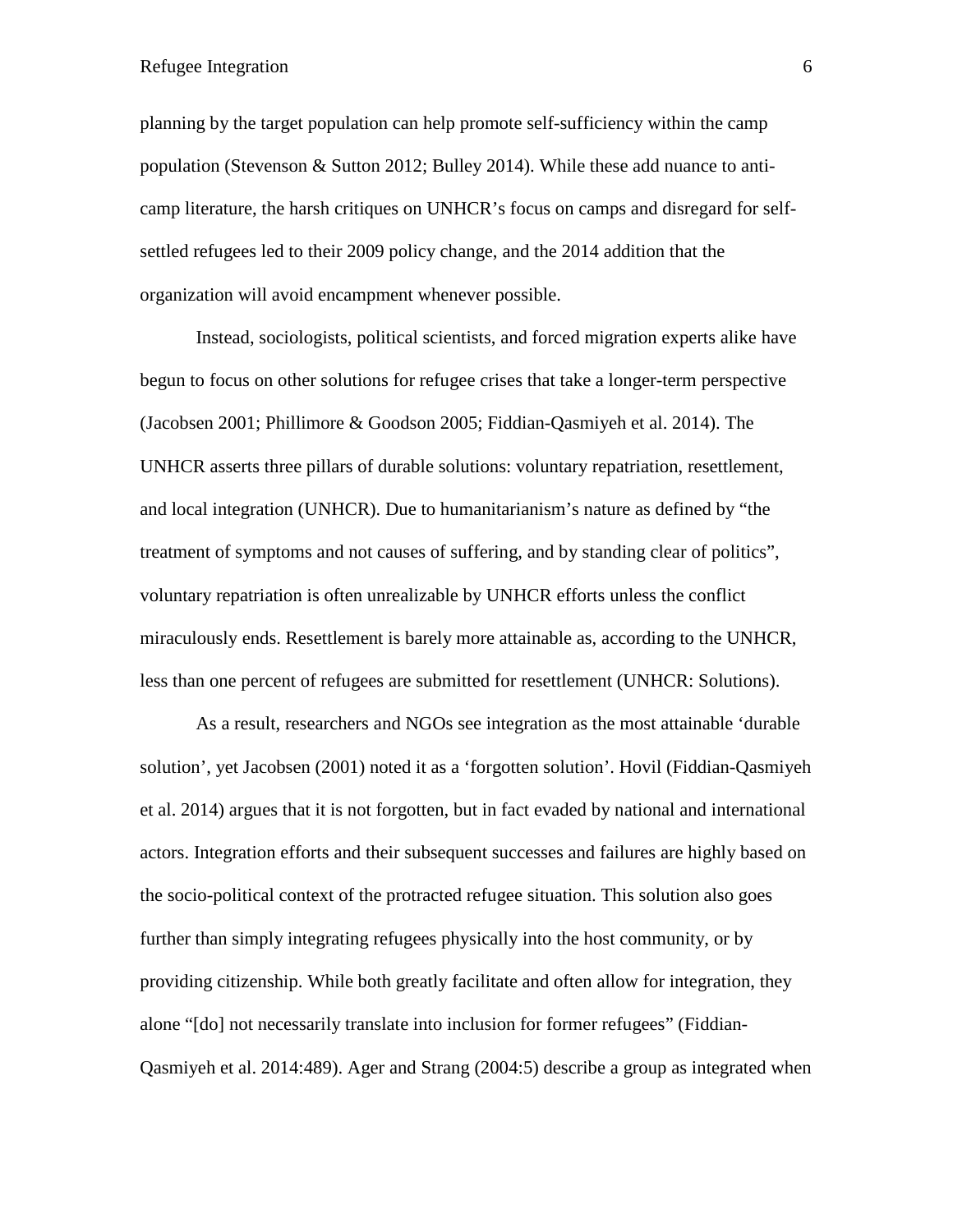planning by the target population can help promote self-sufficiency within the camp population (Stevenson & Sutton 2012; Bulley 2014). While these add nuance to anticamp literature, the harsh critiques on UNHCR's focus on camps and disregard for selfsettled refugees led to their 2009 policy change, and the 2014 addition that the organization will avoid encampment whenever possible.

Instead, sociologists, political scientists, and forced migration experts alike have begun to focus on other solutions for refugee crises that take a longer-term perspective (Jacobsen 2001; Phillimore & Goodson 2005; Fiddian-Qasmiyeh et al. 2014). The UNHCR asserts three pillars of durable solutions: voluntary repatriation, resettlement, and local integration (UNHCR). Due to humanitarianism's nature as defined by "the treatment of symptoms and not causes of suffering, and by standing clear of politics", voluntary repatriation is often unrealizable by UNHCR efforts unless the conflict miraculously ends. Resettlement is barely more attainable as, according to the UNHCR, less than one percent of refugees are submitted for resettlement (UNHCR: Solutions).

As a result, researchers and NGOs see integration as the most attainable 'durable solution', yet Jacobsen (2001) noted it as a 'forgotten solution'. Hovil (Fiddian-Qasmiyeh et al. 2014) argues that it is not forgotten, but in fact evaded by national and international actors. Integration efforts and their subsequent successes and failures are highly based on the socio-political context of the protracted refugee situation. This solution also goes further than simply integrating refugees physically into the host community, or by providing citizenship. While both greatly facilitate and often allow for integration, they alone "[do] not necessarily translate into inclusion for former refugees" (Fiddian-Qasmiyeh et al. 2014:489). Ager and Strang (2004:5) describe a group as integrated when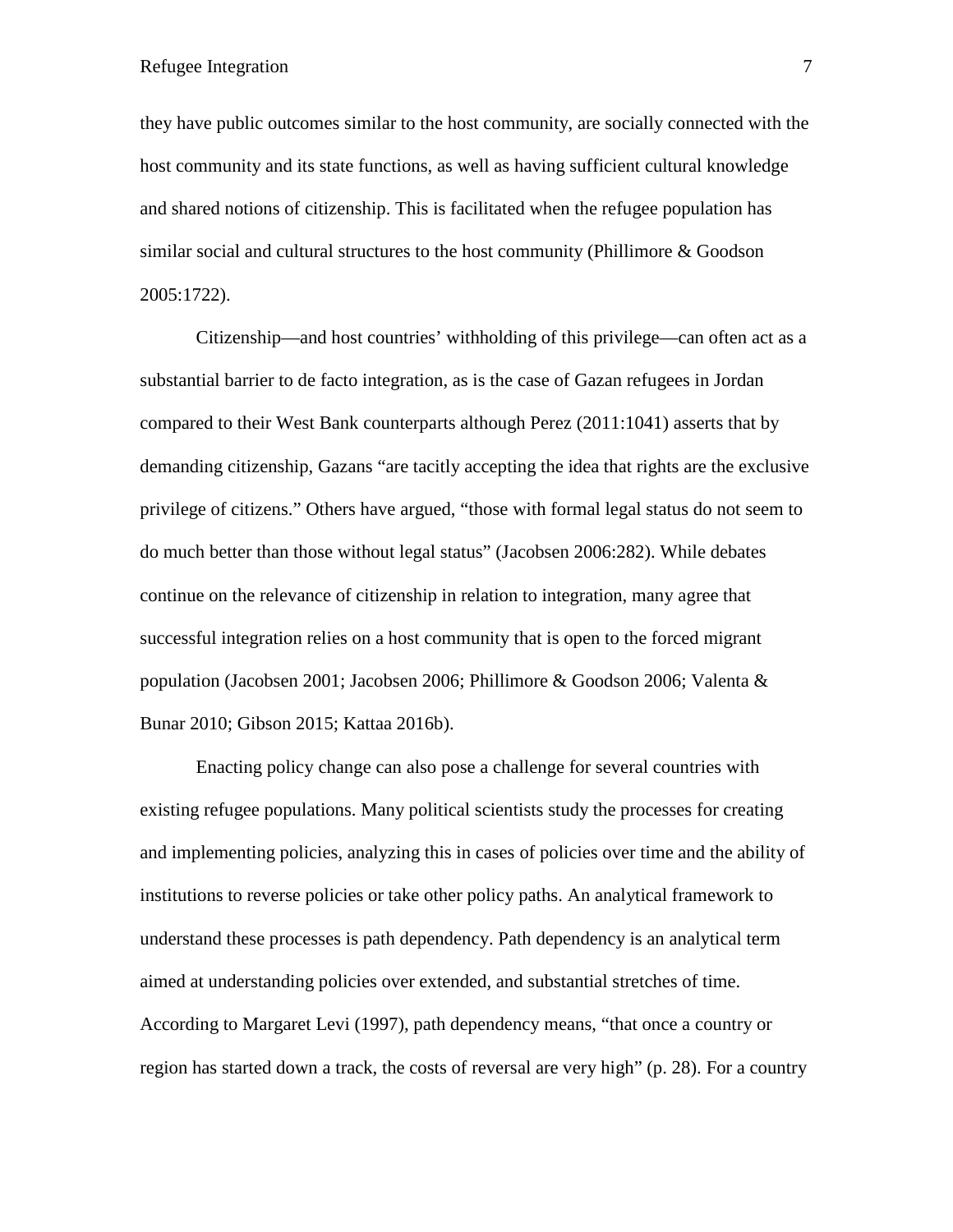they have public outcomes similar to the host community, are socially connected with the host community and its state functions, as well as having sufficient cultural knowledge and shared notions of citizenship. This is facilitated when the refugee population has similar social and cultural structures to the host community (Phillimore & Goodson 2005:1722).

Citizenship—and host countries' withholding of this privilege—can often act as a substantial barrier to de facto integration, as is the case of Gazan refugees in Jordan compared to their West Bank counterparts although Perez (2011:1041) asserts that by demanding citizenship, Gazans "are tacitly accepting the idea that rights are the exclusive privilege of citizens." Others have argued, "those with formal legal status do not seem to do much better than those without legal status" (Jacobsen 2006:282). While debates continue on the relevance of citizenship in relation to integration, many agree that successful integration relies on a host community that is open to the forced migrant population (Jacobsen 2001; Jacobsen 2006; Phillimore & Goodson 2006; Valenta & Bunar 2010; Gibson 2015; Kattaa 2016b).

Enacting policy change can also pose a challenge for several countries with existing refugee populations. Many political scientists study the processes for creating and implementing policies, analyzing this in cases of policies over time and the ability of institutions to reverse policies or take other policy paths. An analytical framework to understand these processes is path dependency. Path dependency is an analytical term aimed at understanding policies over extended, and substantial stretches of time. According to Margaret Levi (1997), path dependency means, "that once a country or region has started down a track, the costs of reversal are very high" (p. 28). For a country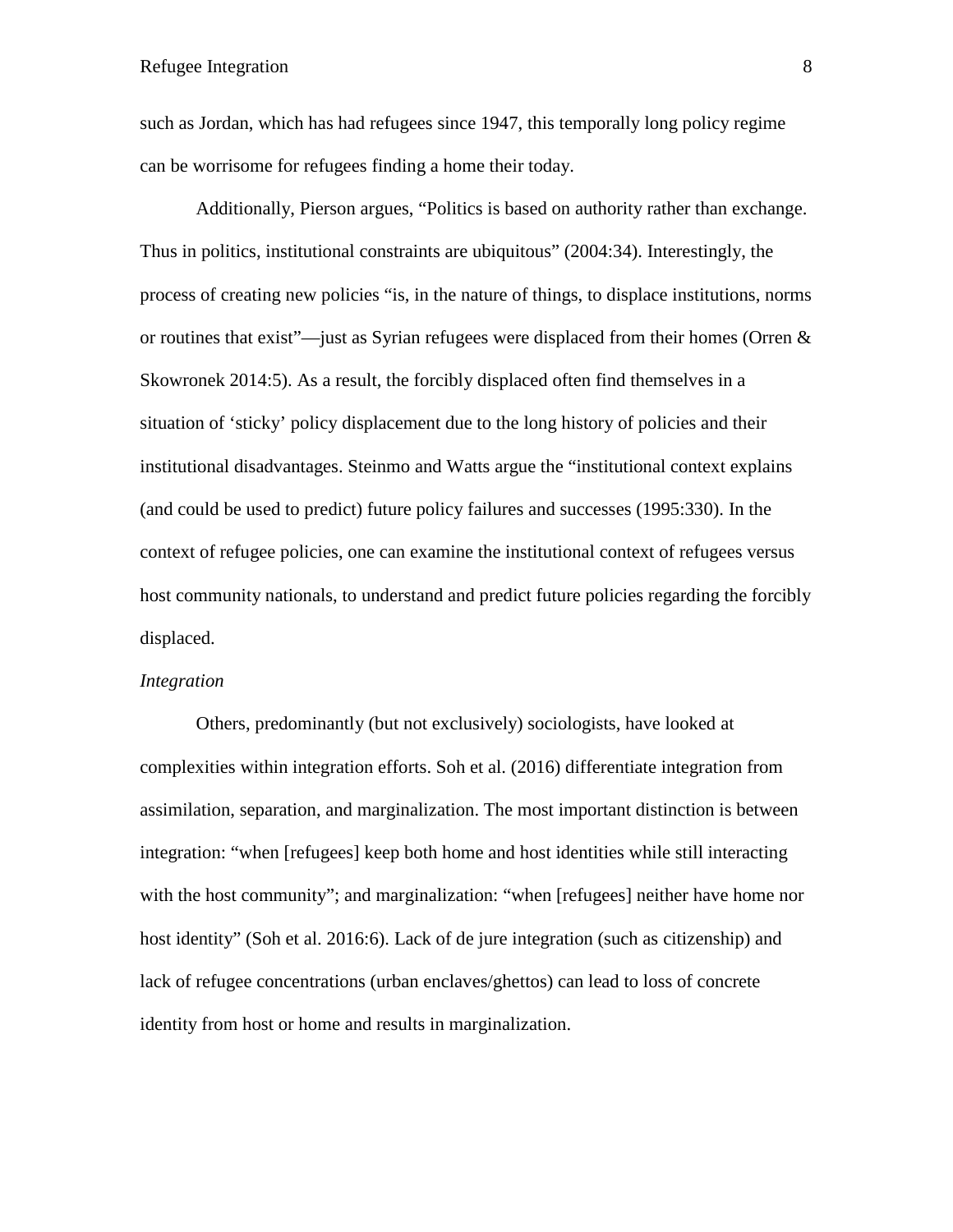such as Jordan, which has had refugees since 1947, this temporally long policy regime can be worrisome for refugees finding a home their today.

Additionally, Pierson argues, "Politics is based on authority rather than exchange. Thus in politics, institutional constraints are ubiquitous" (2004:34). Interestingly, the process of creating new policies "is, in the nature of things, to displace institutions, norms or routines that exist"—just as Syrian refugees were displaced from their homes (Orren & Skowronek 2014:5). As a result, the forcibly displaced often find themselves in a situation of 'sticky' policy displacement due to the long history of policies and their institutional disadvantages. Steinmo and Watts argue the "institutional context explains (and could be used to predict) future policy failures and successes (1995:330). In the context of refugee policies, one can examine the institutional context of refugees versus host community nationals, to understand and predict future policies regarding the forcibly displaced.

#### *Integration*

Others, predominantly (but not exclusively) sociologists, have looked at complexities within integration efforts. Soh et al. (2016) differentiate integration from assimilation, separation, and marginalization. The most important distinction is between integration: "when [refugees] keep both home and host identities while still interacting with the host community"; and marginalization: "when [refugees] neither have home nor host identity" (Soh et al. 2016:6). Lack of de jure integration (such as citizenship) and lack of refugee concentrations (urban enclaves/ghettos) can lead to loss of concrete identity from host or home and results in marginalization.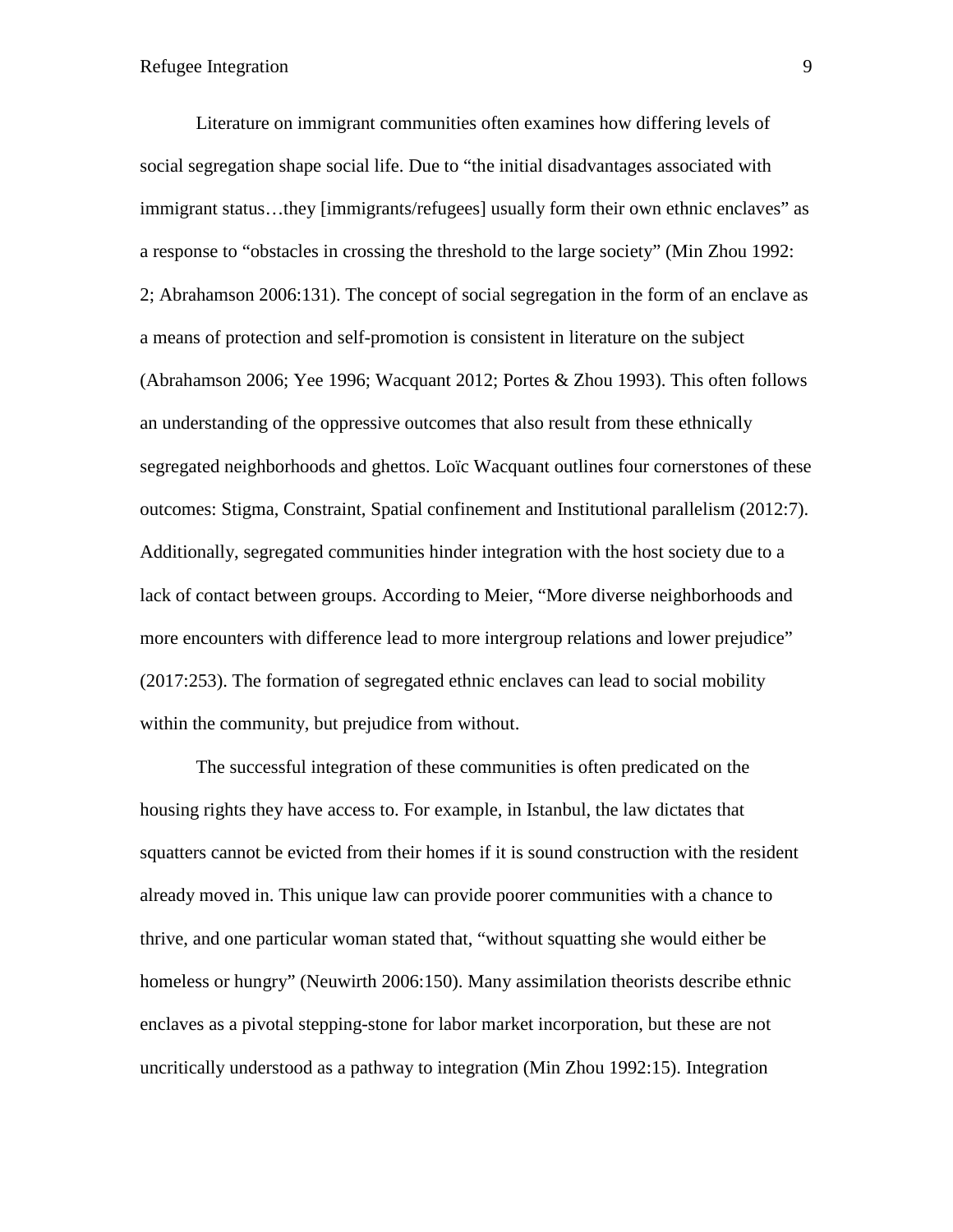Literature on immigrant communities often examines how differing levels of social segregation shape social life. Due to "the initial disadvantages associated with immigrant status…they [immigrants/refugees] usually form their own ethnic enclaves" as a response to "obstacles in crossing the threshold to the large society" (Min Zhou 1992: 2; Abrahamson 2006:131). The concept of social segregation in the form of an enclave as a means of protection and self-promotion is consistent in literature on the subject (Abrahamson 2006; Yee 1996; Wacquant 2012; Portes & Zhou 1993). This often follows an understanding of the oppressive outcomes that also result from these ethnically segregated neighborhoods and ghettos. Loïc Wacquant outlines four cornerstones of these outcomes: Stigma, Constraint, Spatial confinement and Institutional parallelism (2012:7). Additionally, segregated communities hinder integration with the host society due to a lack of contact between groups. According to Meier, "More diverse neighborhoods and more encounters with difference lead to more intergroup relations and lower prejudice" (2017:253). The formation of segregated ethnic enclaves can lead to social mobility within the community, but prejudice from without.

The successful integration of these communities is often predicated on the housing rights they have access to. For example, in Istanbul, the law dictates that squatters cannot be evicted from their homes if it is sound construction with the resident already moved in. This unique law can provide poorer communities with a chance to thrive, and one particular woman stated that, "without squatting she would either be homeless or hungry" (Neuwirth 2006:150). Many assimilation theorists describe ethnic enclaves as a pivotal stepping-stone for labor market incorporation, but these are not uncritically understood as a pathway to integration (Min Zhou 1992:15). Integration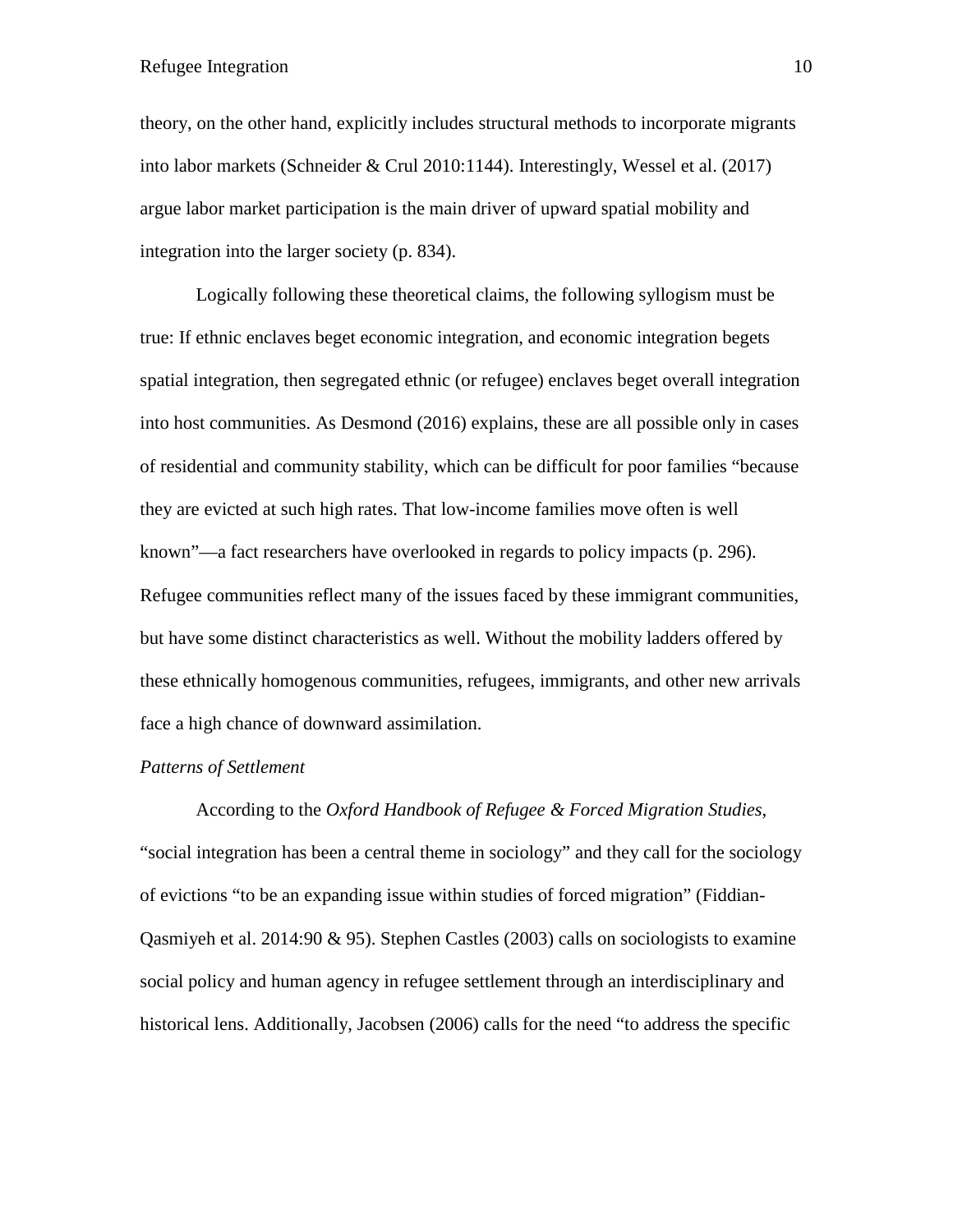theory, on the other hand, explicitly includes structural methods to incorporate migrants into labor markets (Schneider & Crul 2010:1144). Interestingly, Wessel et al. (2017) argue labor market participation is the main driver of upward spatial mobility and integration into the larger society (p. 834).

Logically following these theoretical claims, the following syllogism must be true: If ethnic enclaves beget economic integration, and economic integration begets spatial integration, then segregated ethnic (or refugee) enclaves beget overall integration into host communities. As Desmond (2016) explains, these are all possible only in cases of residential and community stability, which can be difficult for poor families "because they are evicted at such high rates. That low-income families move often is well known"—a fact researchers have overlooked in regards to policy impacts (p. 296). Refugee communities reflect many of the issues faced by these immigrant communities, but have some distinct characteristics as well. Without the mobility ladders offered by these ethnically homogenous communities, refugees, immigrants, and other new arrivals face a high chance of downward assimilation.

#### *Patterns of Settlement*

According to the *Oxford Handbook of Refugee & Forced Migration Studies*, "social integration has been a central theme in sociology" and they call for the sociology of evictions "to be an expanding issue within studies of forced migration" (Fiddian-Qasmiyeh et al. 2014:90  $\&$  95). Stephen Castles (2003) calls on sociologists to examine social policy and human agency in refugee settlement through an interdisciplinary and historical lens. Additionally, Jacobsen (2006) calls for the need "to address the specific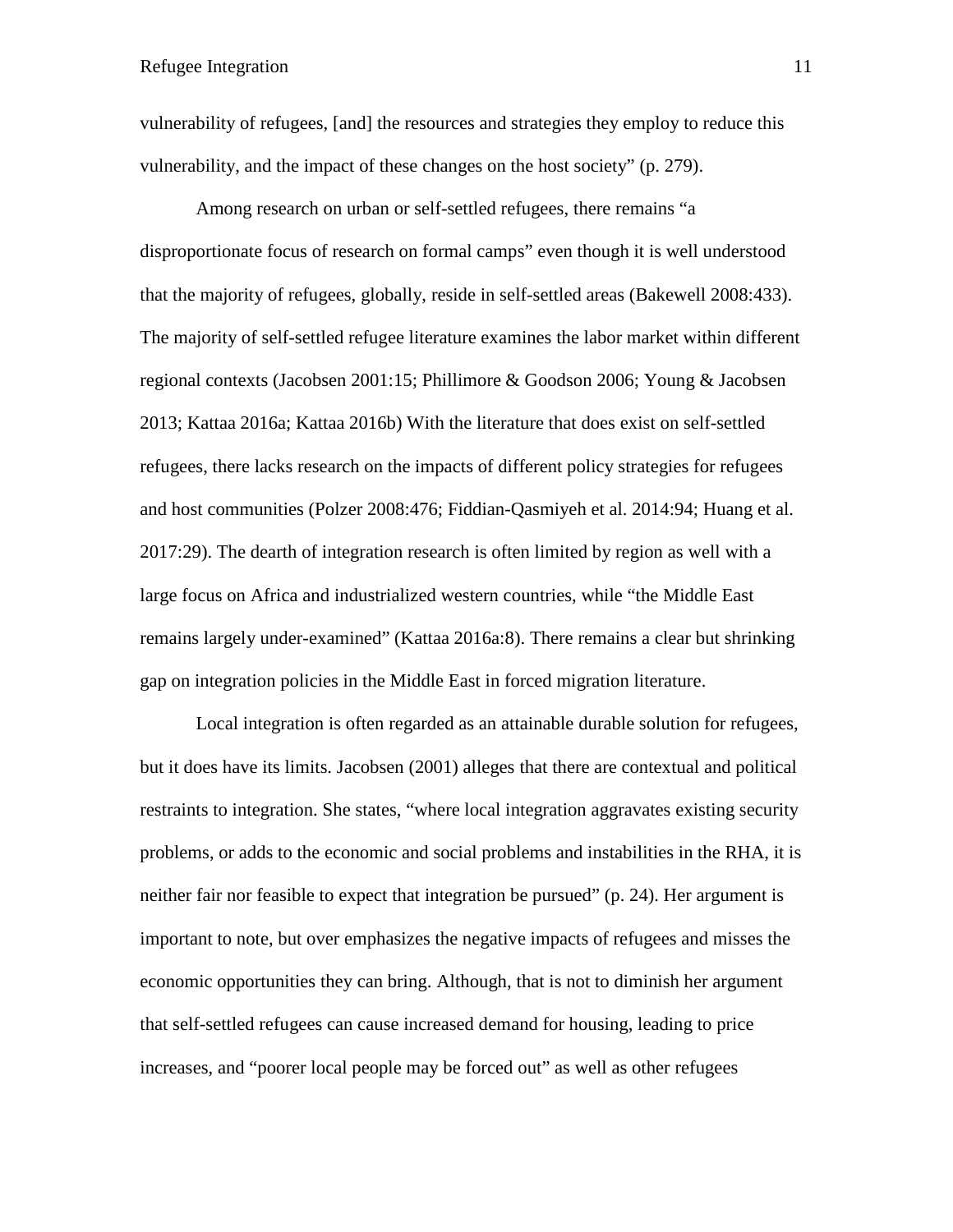vulnerability of refugees, [and] the resources and strategies they employ to reduce this vulnerability, and the impact of these changes on the host society" (p. 279).

Among research on urban or self-settled refugees, there remains "a disproportionate focus of research on formal camps" even though it is well understood that the majority of refugees, globally, reside in self-settled areas (Bakewell 2008:433). The majority of self-settled refugee literature examines the labor market within different regional contexts (Jacobsen 2001:15; Phillimore & Goodson 2006; Young & Jacobsen 2013; Kattaa 2016a; Kattaa 2016b) With the literature that does exist on self-settled refugees, there lacks research on the impacts of different policy strategies for refugees and host communities (Polzer 2008:476; Fiddian-Qasmiyeh et al. 2014:94; Huang et al. 2017:29). The dearth of integration research is often limited by region as well with a large focus on Africa and industrialized western countries, while "the Middle East remains largely under-examined" (Kattaa 2016a:8). There remains a clear but shrinking gap on integration policies in the Middle East in forced migration literature.

Local integration is often regarded as an attainable durable solution for refugees, but it does have its limits. Jacobsen (2001) alleges that there are contextual and political restraints to integration. She states, "where local integration aggravates existing security problems, or adds to the economic and social problems and instabilities in the RHA, it is neither fair nor feasible to expect that integration be pursued" (p. 24). Her argument is important to note, but over emphasizes the negative impacts of refugees and misses the economic opportunities they can bring. Although, that is not to diminish her argument that self-settled refugees can cause increased demand for housing, leading to price increases, and "poorer local people may be forced out" as well as other refugees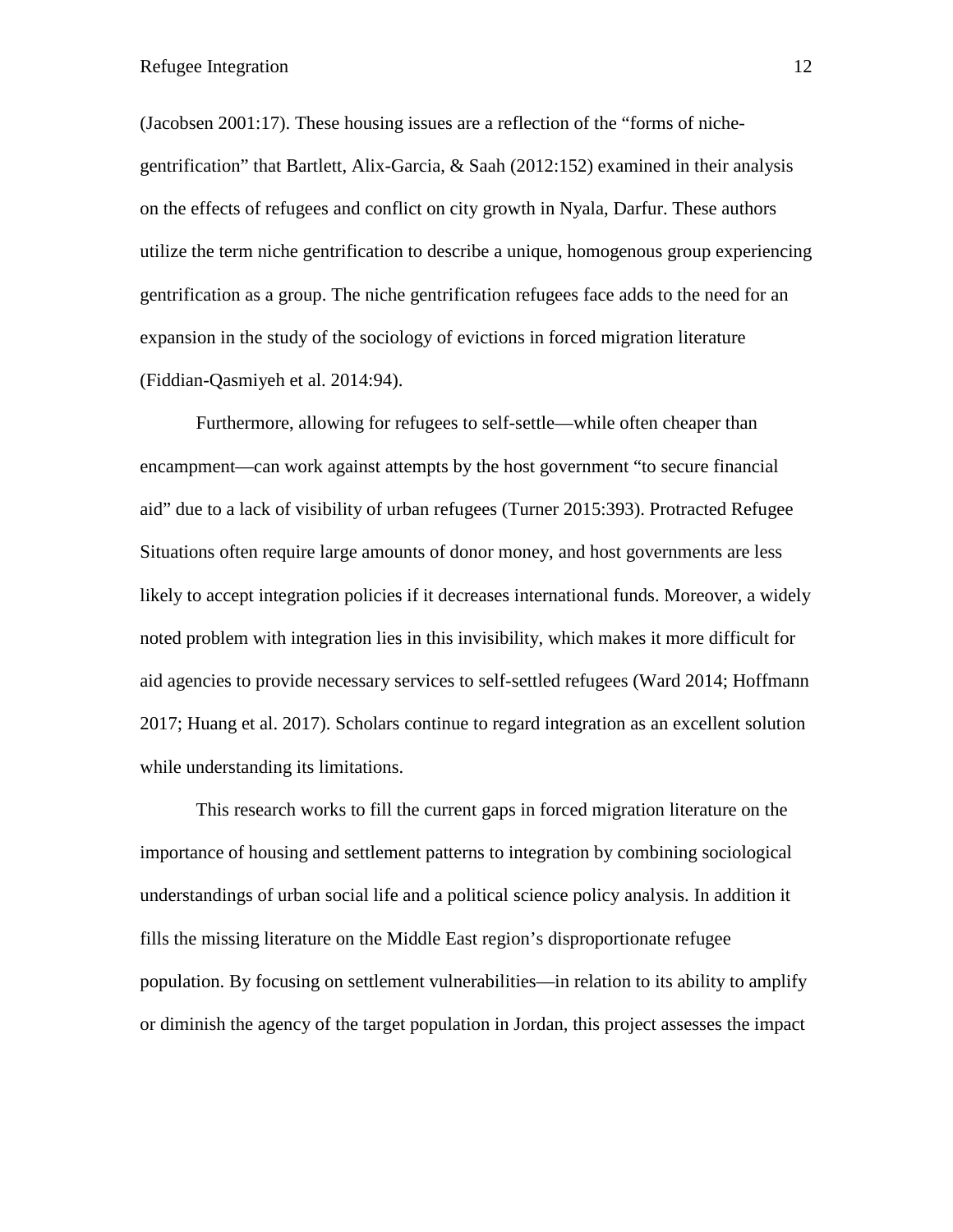(Jacobsen 2001:17). These housing issues are a reflection of the "forms of nichegentrification" that Bartlett, Alix-Garcia, & Saah (2012:152) examined in their analysis on the effects of refugees and conflict on city growth in Nyala, Darfur. These authors utilize the term niche gentrification to describe a unique, homogenous group experiencing gentrification as a group. The niche gentrification refugees face adds to the need for an expansion in the study of the sociology of evictions in forced migration literature (Fiddian-Qasmiyeh et al. 2014:94).

Furthermore, allowing for refugees to self-settle—while often cheaper than encampment—can work against attempts by the host government "to secure financial aid" due to a lack of visibility of urban refugees (Turner 2015:393). Protracted Refugee Situations often require large amounts of donor money, and host governments are less likely to accept integration policies if it decreases international funds. Moreover, a widely noted problem with integration lies in this invisibility, which makes it more difficult for aid agencies to provide necessary services to self-settled refugees (Ward 2014; Hoffmann 2017; Huang et al. 2017). Scholars continue to regard integration as an excellent solution while understanding its limitations.

This research works to fill the current gaps in forced migration literature on the importance of housing and settlement patterns to integration by combining sociological understandings of urban social life and a political science policy analysis. In addition it fills the missing literature on the Middle East region's disproportionate refugee population. By focusing on settlement vulnerabilities—in relation to its ability to amplify or diminish the agency of the target population in Jordan, this project assesses the impact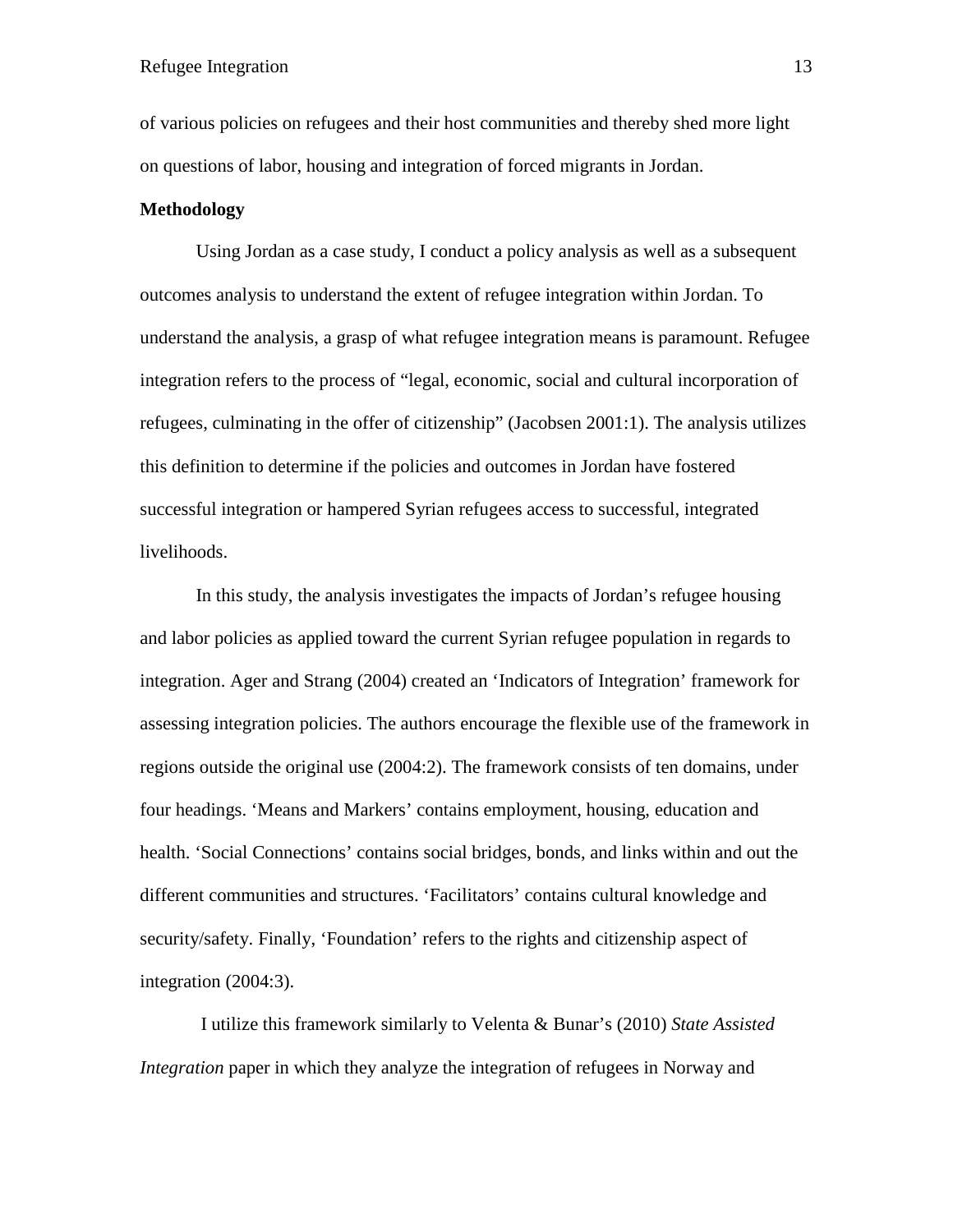of various policies on refugees and their host communities and thereby shed more light on questions of labor, housing and integration of forced migrants in Jordan.

# **Methodology**

Using Jordan as a case study, I conduct a policy analysis as well as a subsequent outcomes analysis to understand the extent of refugee integration within Jordan. To understand the analysis, a grasp of what refugee integration means is paramount. Refugee integration refers to the process of "legal, economic, social and cultural incorporation of refugees, culminating in the offer of citizenship" (Jacobsen 2001:1). The analysis utilizes this definition to determine if the policies and outcomes in Jordan have fostered successful integration or hampered Syrian refugees access to successful, integrated livelihoods.

In this study, the analysis investigates the impacts of Jordan's refugee housing and labor policies as applied toward the current Syrian refugee population in regards to integration. Ager and Strang (2004) created an 'Indicators of Integration' framework for assessing integration policies. The authors encourage the flexible use of the framework in regions outside the original use (2004:2). The framework consists of ten domains, under four headings. 'Means and Markers' contains employment, housing, education and health. 'Social Connections' contains social bridges, bonds, and links within and out the different communities and structures. 'Facilitators' contains cultural knowledge and security/safety. Finally, 'Foundation' refers to the rights and citizenship aspect of integration (2004:3).

I utilize this framework similarly to Velenta & Bunar's (2010) *State Assisted Integration* paper in which they analyze the integration of refugees in Norway and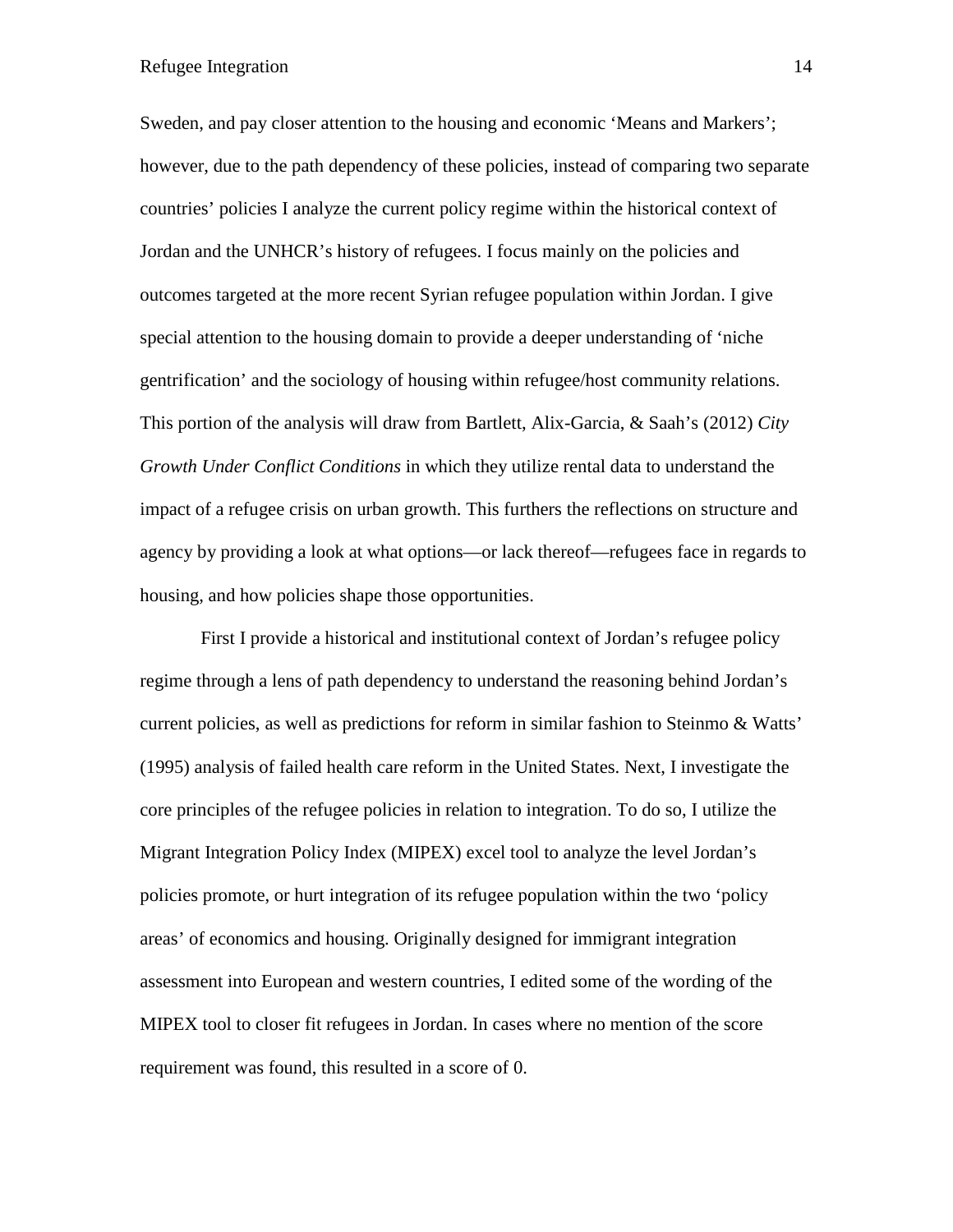Sweden, and pay closer attention to the housing and economic 'Means and Markers'; however, due to the path dependency of these policies, instead of comparing two separate countries' policies I analyze the current policy regime within the historical context of Jordan and the UNHCR's history of refugees. I focus mainly on the policies and outcomes targeted at the more recent Syrian refugee population within Jordan. I give special attention to the housing domain to provide a deeper understanding of 'niche gentrification' and the sociology of housing within refugee/host community relations. This portion of the analysis will draw from Bartlett, Alix-Garcia, & Saah's (2012) *City Growth Under Conflict Conditions* in which they utilize rental data to understand the impact of a refugee crisis on urban growth. This furthers the reflections on structure and agency by providing a look at what options—or lack thereof—refugees face in regards to housing, and how policies shape those opportunities.

First I provide a historical and institutional context of Jordan's refugee policy regime through a lens of path dependency to understand the reasoning behind Jordan's current policies, as well as predictions for reform in similar fashion to Steinmo & Watts' (1995) analysis of failed health care reform in the United States. Next, I investigate the core principles of the refugee policies in relation to integration. To do so, I utilize the Migrant Integration Policy Index (MIPEX) excel tool to analyze the level Jordan's policies promote, or hurt integration of its refugee population within the two 'policy areas' of economics and housing. Originally designed for immigrant integration assessment into European and western countries, I edited some of the wording of the MIPEX tool to closer fit refugees in Jordan. In cases where no mention of the score requirement was found, this resulted in a score of 0.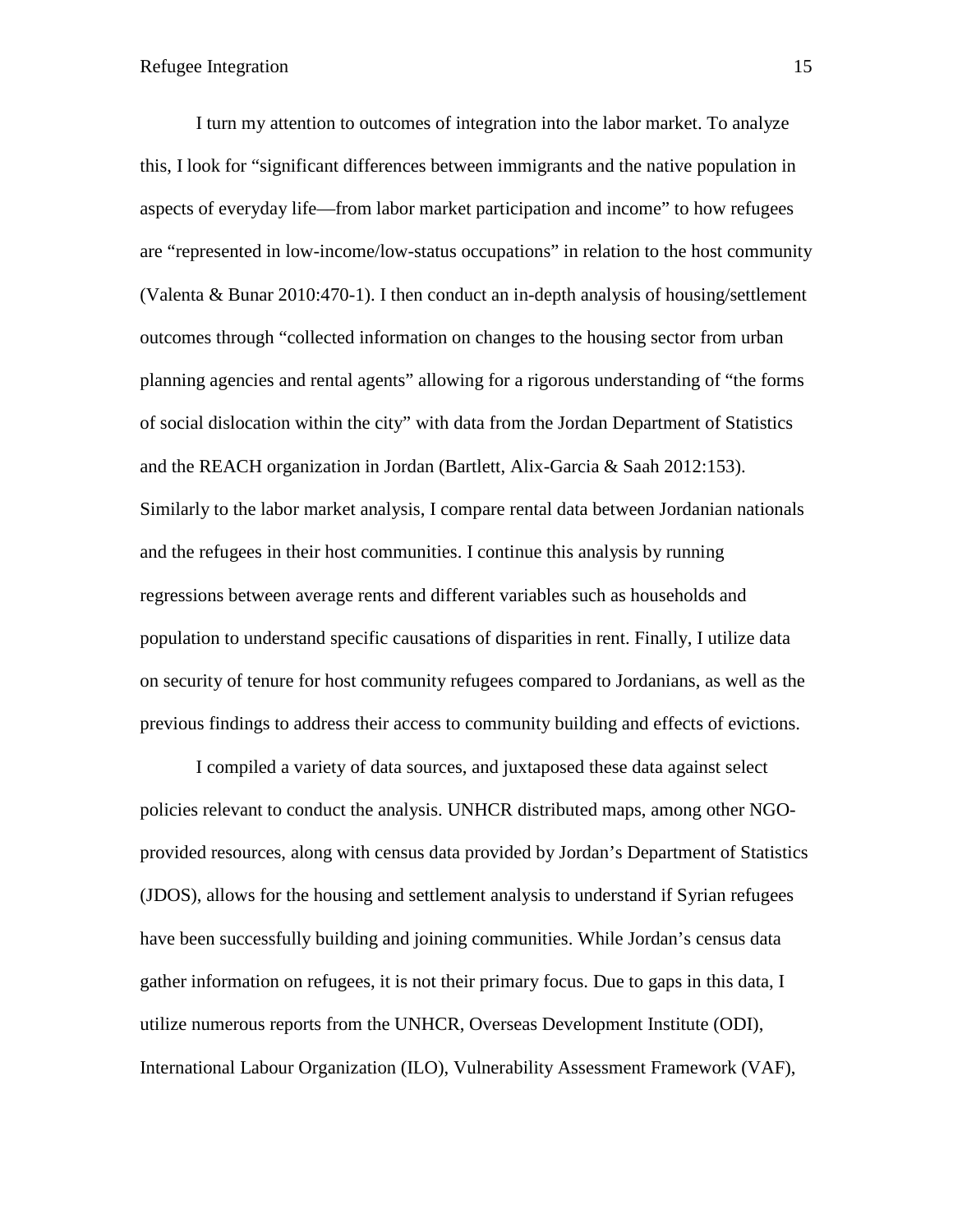I turn my attention to outcomes of integration into the labor market. To analyze this, I look for "significant differences between immigrants and the native population in aspects of everyday life—from labor market participation and income" to how refugees are "represented in low-income/low-status occupations" in relation to the host community (Valenta & Bunar 2010:470-1). I then conduct an in-depth analysis of housing/settlement outcomes through "collected information on changes to the housing sector from urban planning agencies and rental agents" allowing for a rigorous understanding of "the forms of social dislocation within the city" with data from the Jordan Department of Statistics and the REACH organization in Jordan (Bartlett, Alix-Garcia & Saah 2012:153). Similarly to the labor market analysis, I compare rental data between Jordanian nationals and the refugees in their host communities. I continue this analysis by running regressions between average rents and different variables such as households and population to understand specific causations of disparities in rent. Finally, I utilize data on security of tenure for host community refugees compared to Jordanians, as well as the previous findings to address their access to community building and effects of evictions.

I compiled a variety of data sources, and juxtaposed these data against select policies relevant to conduct the analysis. UNHCR distributed maps, among other NGOprovided resources, along with census data provided by Jordan's Department of Statistics (JDOS), allows for the housing and settlement analysis to understand if Syrian refugees have been successfully building and joining communities. While Jordan's census data gather information on refugees, it is not their primary focus. Due to gaps in this data, I utilize numerous reports from the UNHCR, Overseas Development Institute (ODI), International Labour Organization (ILO), Vulnerability Assessment Framework (VAF),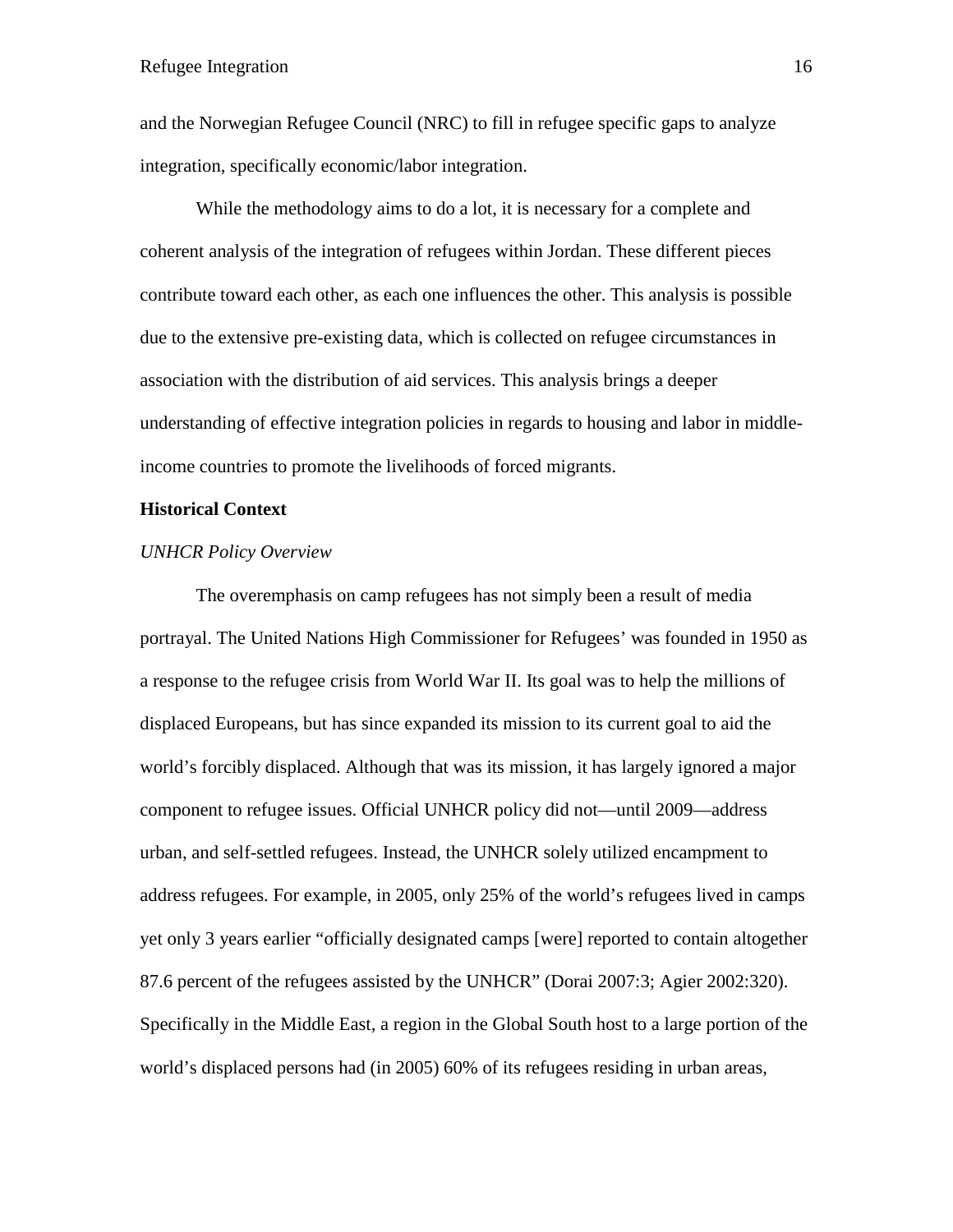and the Norwegian Refugee Council (NRC) to fill in refugee specific gaps to analyze integration, specifically economic/labor integration.

While the methodology aims to do a lot, it is necessary for a complete and coherent analysis of the integration of refugees within Jordan. These different pieces contribute toward each other, as each one influences the other. This analysis is possible due to the extensive pre-existing data, which is collected on refugee circumstances in association with the distribution of aid services. This analysis brings a deeper understanding of effective integration policies in regards to housing and labor in middleincome countries to promote the livelihoods of forced migrants.

#### **Historical Context**

#### *UNHCR Policy Overview*

The overemphasis on camp refugees has not simply been a result of media portrayal. The United Nations High Commissioner for Refugees' was founded in 1950 as a response to the refugee crisis from World War II. Its goal was to help the millions of displaced Europeans, but has since expanded its mission to its current goal to aid the world's forcibly displaced. Although that was its mission, it has largely ignored a major component to refugee issues. Official UNHCR policy did not—until 2009—address urban, and self-settled refugees. Instead, the UNHCR solely utilized encampment to address refugees. For example, in 2005, only 25% of the world's refugees lived in camps yet only 3 years earlier "officially designated camps [were] reported to contain altogether 87.6 percent of the refugees assisted by the UNHCR" (Dorai 2007:3; Agier 2002:320). Specifically in the Middle East, a region in the Global South host to a large portion of the world's displaced persons had (in 2005) 60% of its refugees residing in urban areas,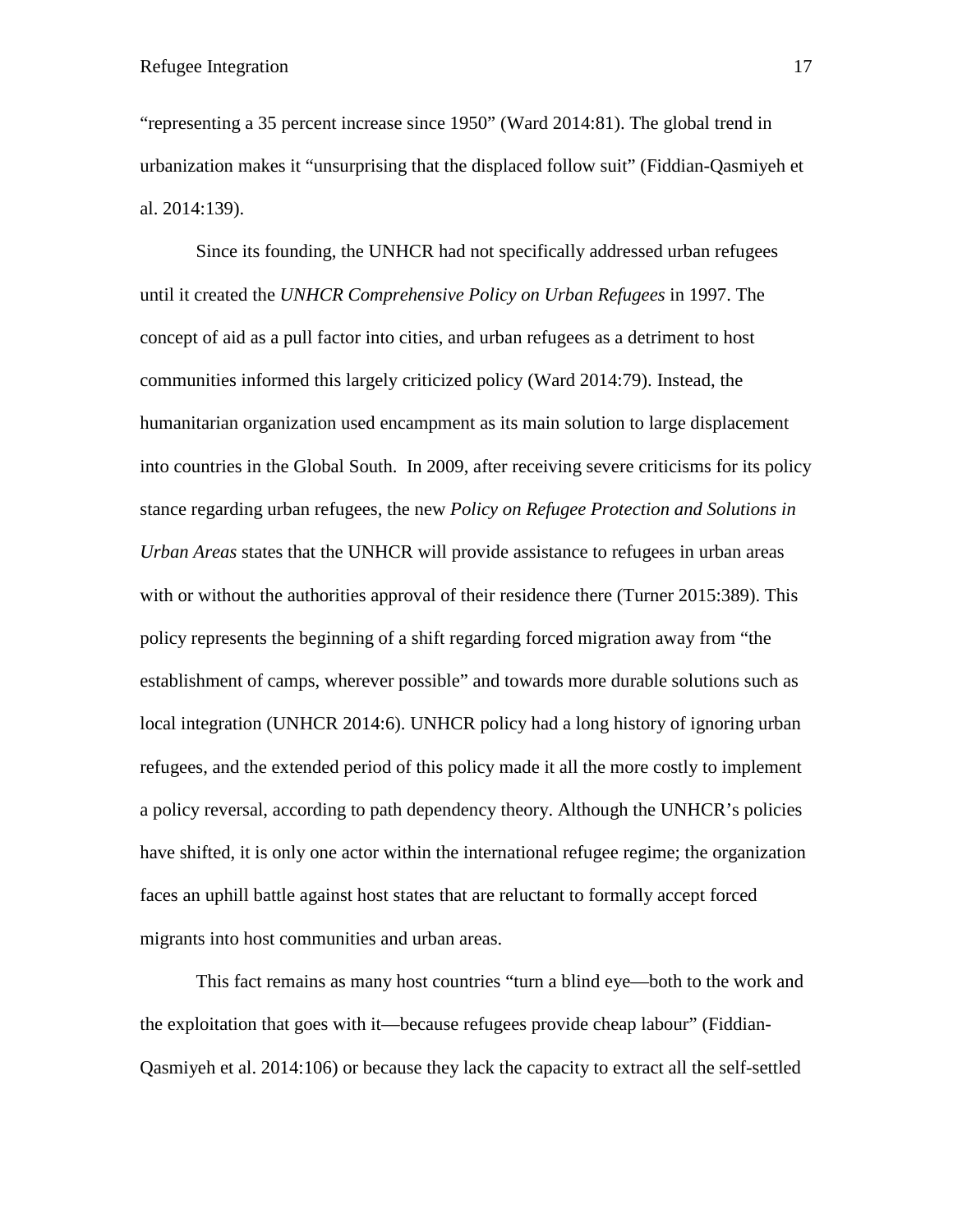"representing a 35 percent increase since 1950" (Ward 2014:81). The global trend in urbanization makes it "unsurprising that the displaced follow suit" (Fiddian-Qasmiyeh et al. 2014:139).

Since its founding, the UNHCR had not specifically addressed urban refugees until it created the *UNHCR Comprehensive Policy on Urban Refugees* in 1997. The concept of aid as a pull factor into cities, and urban refugees as a detriment to host communities informed this largely criticized policy (Ward 2014:79). Instead, the humanitarian organization used encampment as its main solution to large displacement into countries in the Global South. In 2009, after receiving severe criticisms for its policy stance regarding urban refugees, the new *Policy on Refugee Protection and Solutions in Urban Areas* states that the UNHCR will provide assistance to refugees in urban areas with or without the authorities approval of their residence there (Turner 2015:389). This policy represents the beginning of a shift regarding forced migration away from "the establishment of camps, wherever possible" and towards more durable solutions such as local integration (UNHCR 2014:6). UNHCR policy had a long history of ignoring urban refugees, and the extended period of this policy made it all the more costly to implement a policy reversal, according to path dependency theory. Although the UNHCR's policies have shifted, it is only one actor within the international refugee regime; the organization faces an uphill battle against host states that are reluctant to formally accept forced migrants into host communities and urban areas.

This fact remains as many host countries "turn a blind eye—both to the work and the exploitation that goes with it—because refugees provide cheap labour" (Fiddian-Qasmiyeh et al. 2014:106) or because they lack the capacity to extract all the self-settled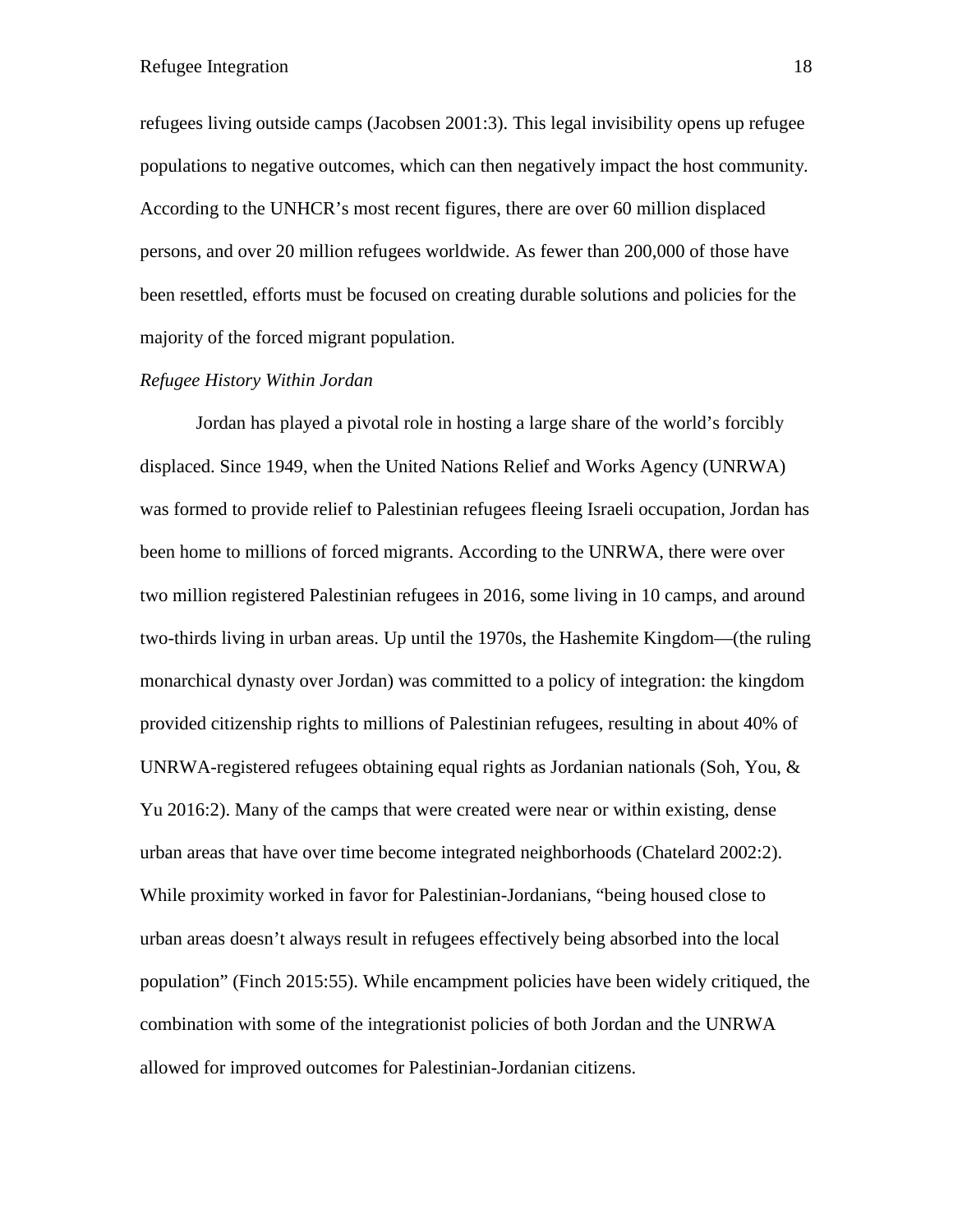refugees living outside camps (Jacobsen 2001:3). This legal invisibility opens up refugee populations to negative outcomes, which can then negatively impact the host community. According to the UNHCR's most recent figures, there are over 60 million displaced persons, and over 20 million refugees worldwide. As fewer than 200,000 of those have been resettled, efforts must be focused on creating durable solutions and policies for the majority of the forced migrant population.

#### *Refugee History Within Jordan*

Jordan has played a pivotal role in hosting a large share of the world's forcibly displaced. Since 1949, when the United Nations Relief and Works Agency (UNRWA) was formed to provide relief to Palestinian refugees fleeing Israeli occupation, Jordan has been home to millions of forced migrants. According to the UNRWA, there were over two million registered Palestinian refugees in 2016, some living in 10 camps, and around two-thirds living in urban areas. Up until the 1970s, the Hashemite Kingdom—(the ruling monarchical dynasty over Jordan) was committed to a policy of integration: the kingdom provided citizenship rights to millions of Palestinian refugees, resulting in about 40% of UNRWA-registered refugees obtaining equal rights as Jordanian nationals (Soh, You,  $\&$ Yu 2016:2). Many of the camps that were created were near or within existing, dense urban areas that have over time become integrated neighborhoods (Chatelard 2002:2). While proximity worked in favor for Palestinian-Jordanians, "being housed close to urban areas doesn't always result in refugees effectively being absorbed into the local population" (Finch 2015:55). While encampment policies have been widely critiqued, the combination with some of the integrationist policies of both Jordan and the UNRWA allowed for improved outcomes for Palestinian-Jordanian citizens.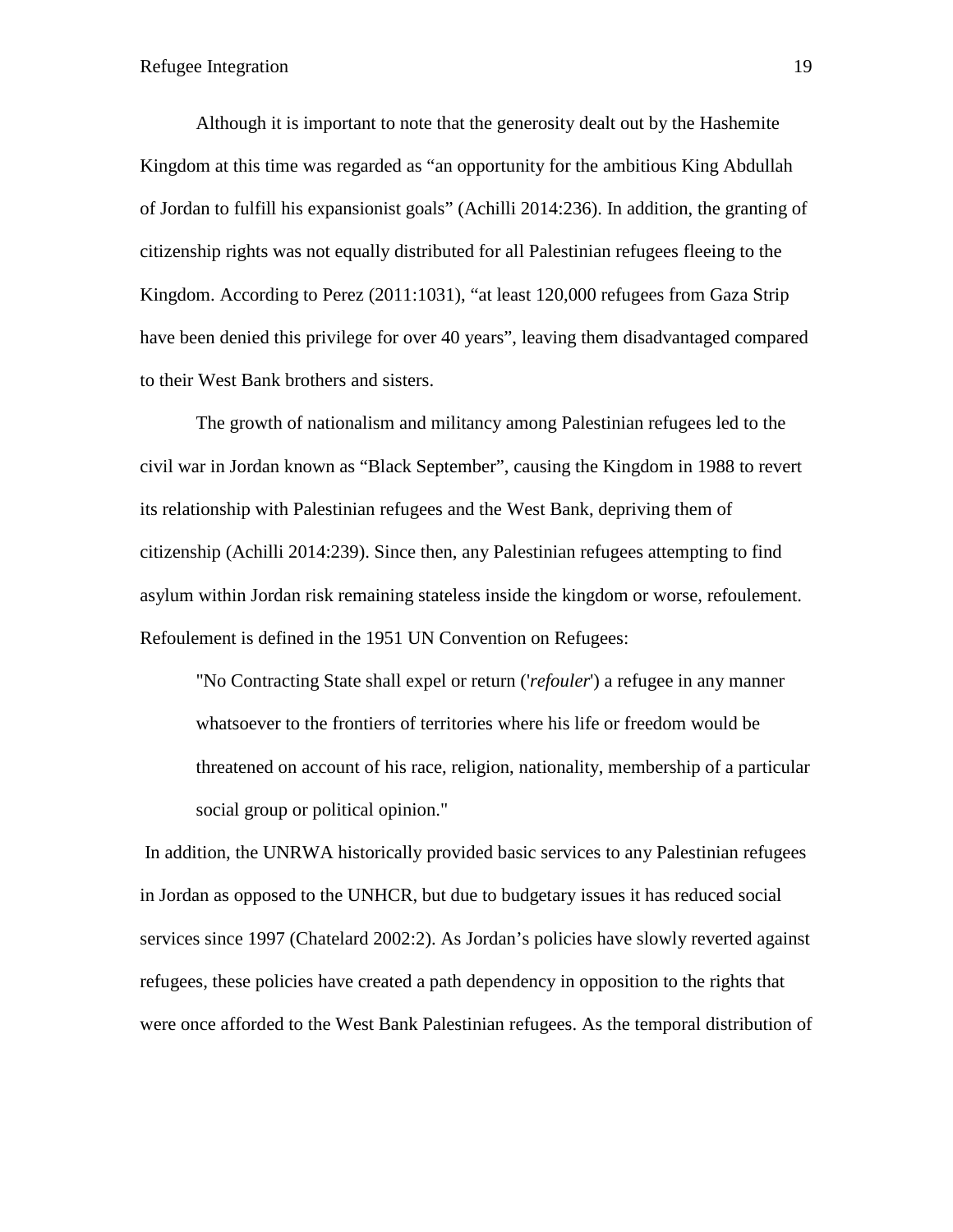Although it is important to note that the generosity dealt out by the Hashemite Kingdom at this time was regarded as "an opportunity for the ambitious King Abdullah of Jordan to fulfill his expansionist goals" (Achilli 2014:236). In addition, the granting of citizenship rights was not equally distributed for all Palestinian refugees fleeing to the Kingdom. According to Perez (2011:1031), "at least 120,000 refugees from Gaza Strip have been denied this privilege for over 40 years", leaving them disadvantaged compared to their West Bank brothers and sisters.

The growth of nationalism and militancy among Palestinian refugees led to the civil war in Jordan known as "Black September", causing the Kingdom in 1988 to revert its relationship with Palestinian refugees and the West Bank, depriving them of citizenship (Achilli 2014:239). Since then, any Palestinian refugees attempting to find asylum within Jordan risk remaining stateless inside the kingdom or worse, refoulement. Refoulement is defined in the 1951 UN Convention on Refugees:

"No Contracting State shall expel or return ('*refouler*') a refugee in any manner whatsoever to the frontiers of territories where his life or freedom would be threatened on account of his race, religion, nationality, membership of a particular social group or political opinion."

In addition, the UNRWA historically provided basic services to any Palestinian refugees in Jordan as opposed to the UNHCR, but due to budgetary issues it has reduced social services since 1997 (Chatelard 2002:2). As Jordan's policies have slowly reverted against refugees, these policies have created a path dependency in opposition to the rights that were once afforded to the West Bank Palestinian refugees. As the temporal distribution of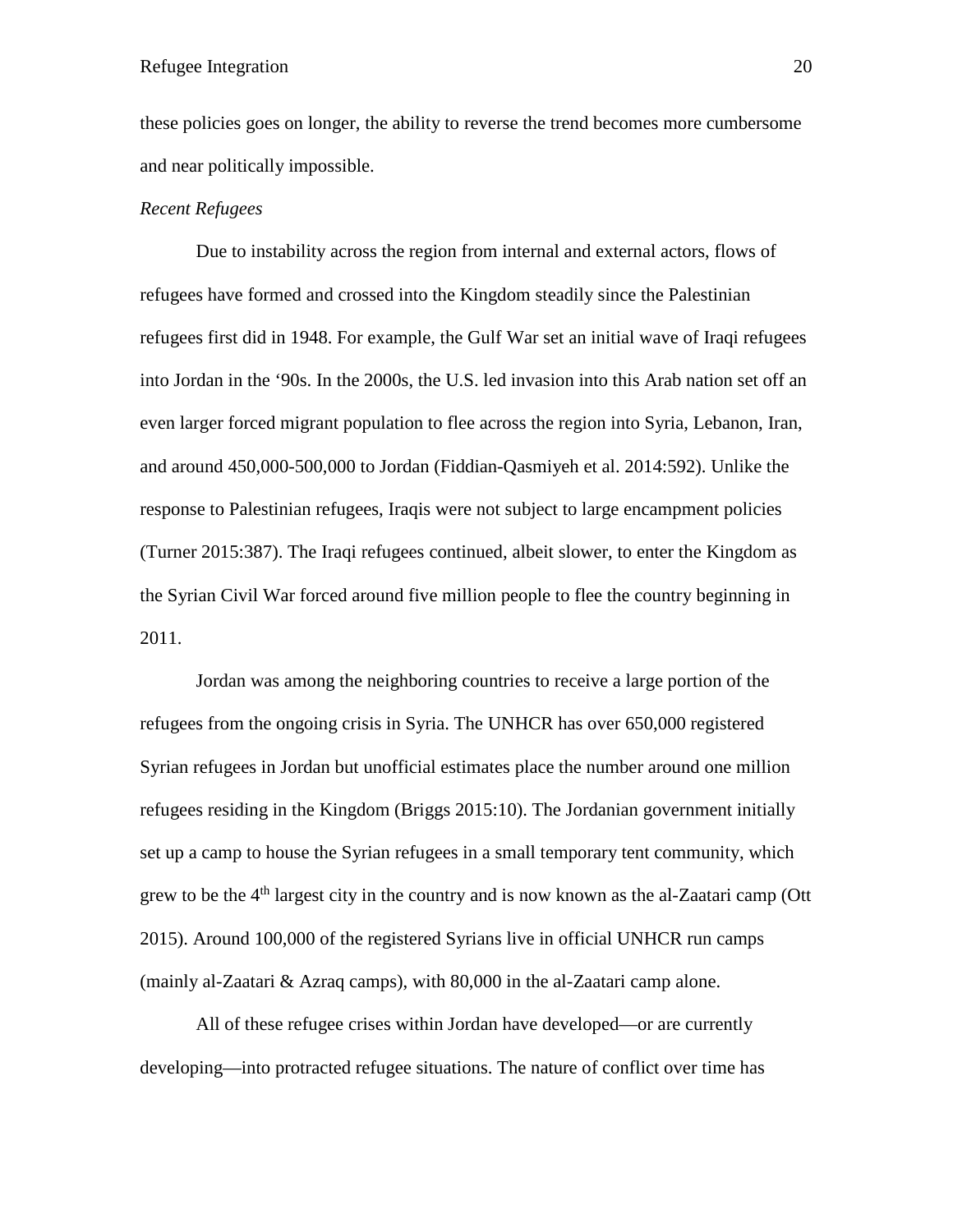these policies goes on longer, the ability to reverse the trend becomes more cumbersome and near politically impossible.

# *Recent Refugees*

Due to instability across the region from internal and external actors, flows of refugees have formed and crossed into the Kingdom steadily since the Palestinian refugees first did in 1948. For example, the Gulf War set an initial wave of Iraqi refugees into Jordan in the '90s. In the 2000s, the U.S. led invasion into this Arab nation set off an even larger forced migrant population to flee across the region into Syria, Lebanon, Iran, and around 450,000-500,000 to Jordan (Fiddian-Qasmiyeh et al. 2014:592). Unlike the response to Palestinian refugees, Iraqis were not subject to large encampment policies (Turner 2015:387). The Iraqi refugees continued, albeit slower, to enter the Kingdom as the Syrian Civil War forced around five million people to flee the country beginning in 2011.

Jordan was among the neighboring countries to receive a large portion of the refugees from the ongoing crisis in Syria. The UNHCR has over 650,000 registered Syrian refugees in Jordan but unofficial estimates place the number around one million refugees residing in the Kingdom (Briggs 2015:10). The Jordanian government initially set up a camp to house the Syrian refugees in a small temporary tent community, which grew to be the  $4<sup>th</sup>$  largest city in the country and is now known as the al-Zaatari camp (Ott 2015). Around 100,000 of the registered Syrians live in official UNHCR run camps (mainly al-Zaatari & Azraq camps), with 80,000 in the al-Zaatari camp alone.

All of these refugee crises within Jordan have developed—or are currently developing—into protracted refugee situations. The nature of conflict over time has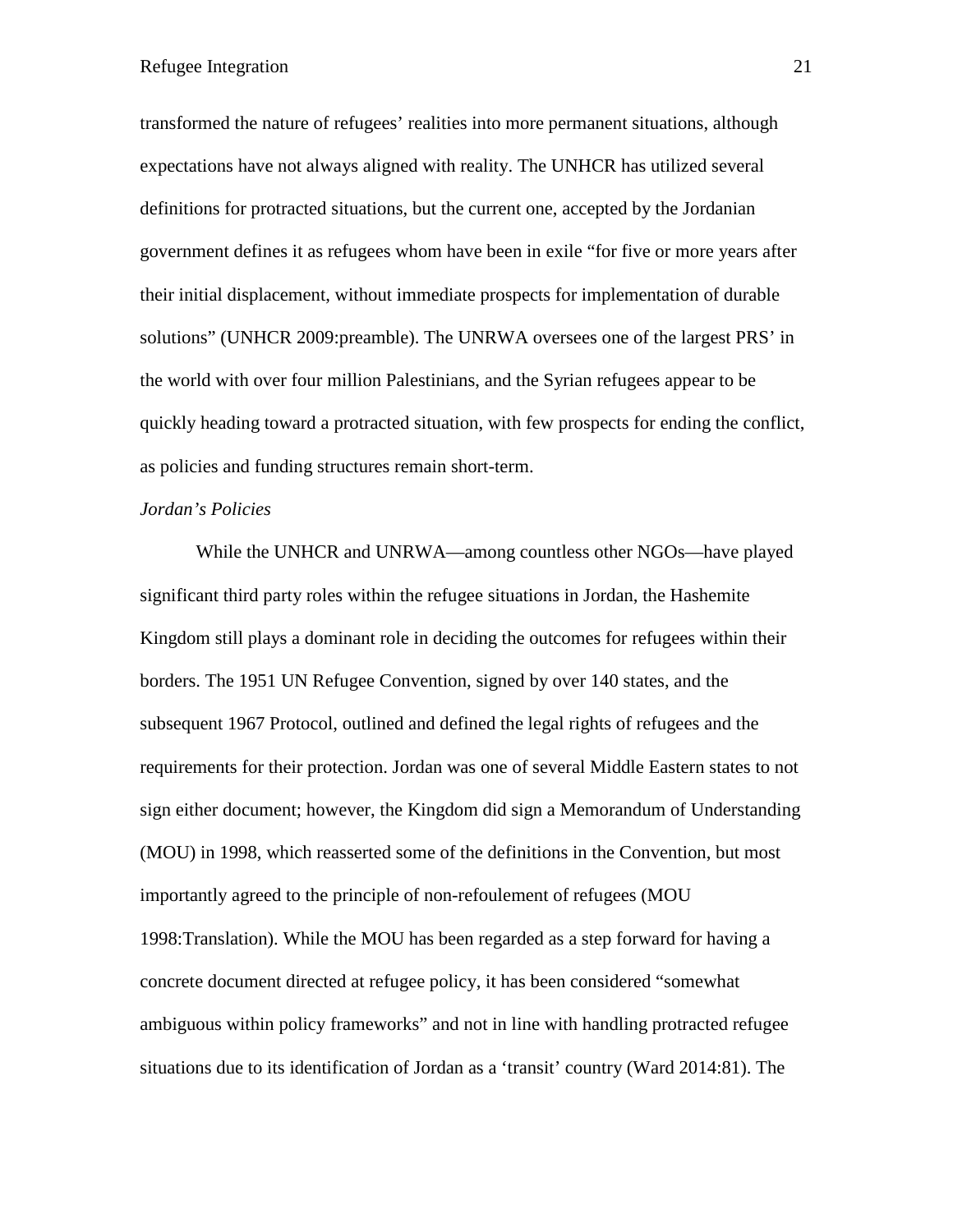transformed the nature of refugees' realities into more permanent situations, although expectations have not always aligned with reality. The UNHCR has utilized several definitions for protracted situations, but the current one, accepted by the Jordanian government defines it as refugees whom have been in exile "for five or more years after their initial displacement, without immediate prospects for implementation of durable solutions" (UNHCR 2009:preamble). The UNRWA oversees one of the largest PRS' in the world with over four million Palestinians, and the Syrian refugees appear to be quickly heading toward a protracted situation, with few prospects for ending the conflict, as policies and funding structures remain short-term.

# *Jordan's Policies*

While the UNHCR and UNRWA—among countless other NGOs—have played significant third party roles within the refugee situations in Jordan, the Hashemite Kingdom still plays a dominant role in deciding the outcomes for refugees within their borders. The 1951 UN Refugee Convention, signed by over 140 states, and the subsequent 1967 Protocol, outlined and defined the legal rights of refugees and the requirements for their protection. Jordan was one of several Middle Eastern states to not sign either document; however, the Kingdom did sign a Memorandum of Understanding (MOU) in 1998, which reasserted some of the definitions in the Convention, but most importantly agreed to the principle of non-refoulement of refugees (MOU 1998:Translation). While the MOU has been regarded as a step forward for having a concrete document directed at refugee policy, it has been considered "somewhat ambiguous within policy frameworks" and not in line with handling protracted refugee situations due to its identification of Jordan as a 'transit' country (Ward 2014:81). The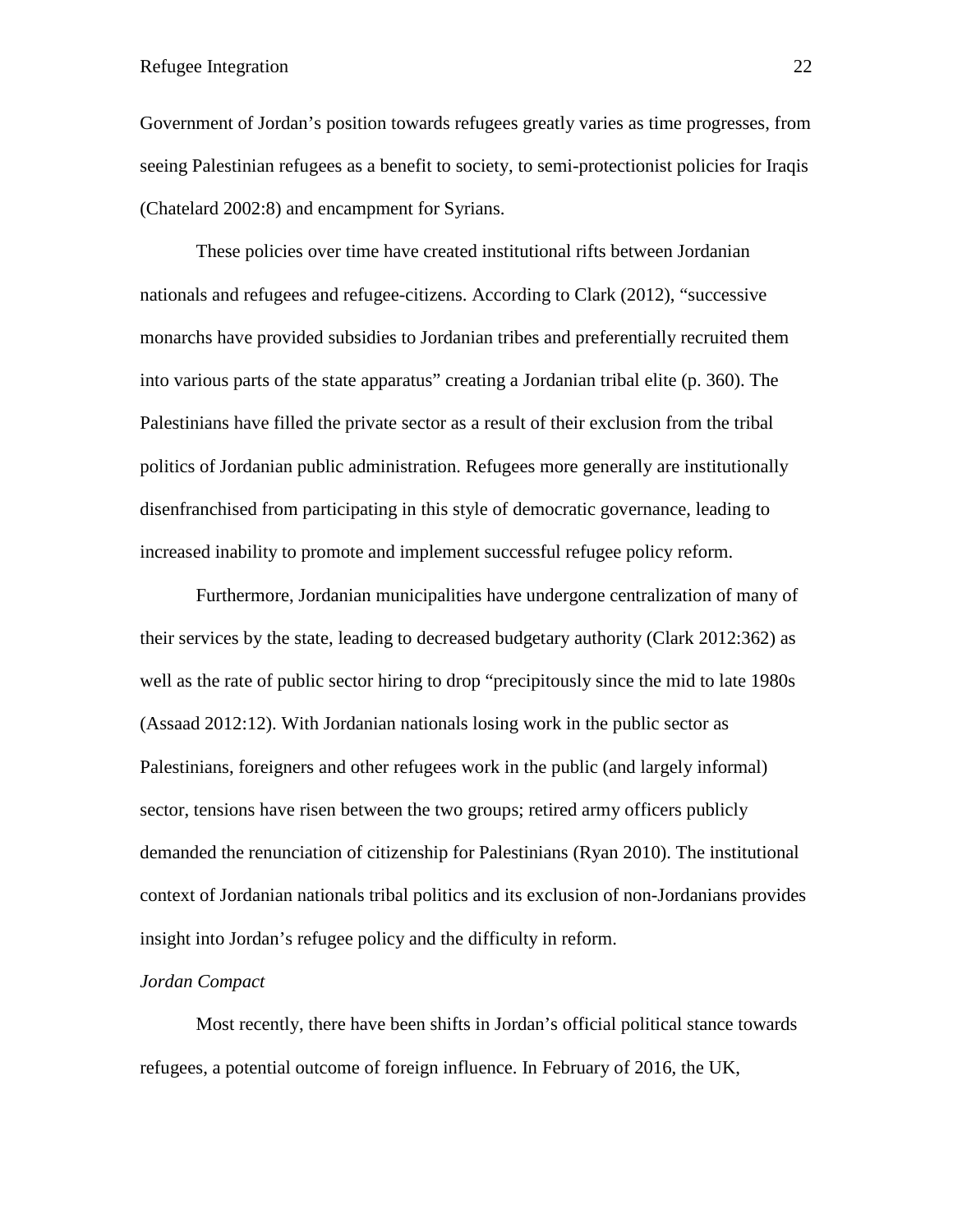Government of Jordan's position towards refugees greatly varies as time progresses, from seeing Palestinian refugees as a benefit to society, to semi-protectionist policies for Iraqis (Chatelard 2002:8) and encampment for Syrians.

These policies over time have created institutional rifts between Jordanian nationals and refugees and refugee-citizens. According to Clark (2012), "successive monarchs have provided subsidies to Jordanian tribes and preferentially recruited them into various parts of the state apparatus" creating a Jordanian tribal elite (p. 360). The Palestinians have filled the private sector as a result of their exclusion from the tribal politics of Jordanian public administration. Refugees more generally are institutionally disenfranchised from participating in this style of democratic governance, leading to increased inability to promote and implement successful refugee policy reform.

Furthermore, Jordanian municipalities have undergone centralization of many of their services by the state, leading to decreased budgetary authority (Clark 2012:362) as well as the rate of public sector hiring to drop "precipitously since the mid to late 1980s (Assaad 2012:12). With Jordanian nationals losing work in the public sector as Palestinians, foreigners and other refugees work in the public (and largely informal) sector, tensions have risen between the two groups; retired army officers publicly demanded the renunciation of citizenship for Palestinians (Ryan 2010). The institutional context of Jordanian nationals tribal politics and its exclusion of non-Jordanians provides insight into Jordan's refugee policy and the difficulty in reform.

#### *Jordan Compact*

Most recently, there have been shifts in Jordan's official political stance towards refugees, a potential outcome of foreign influence. In February of 2016, the UK,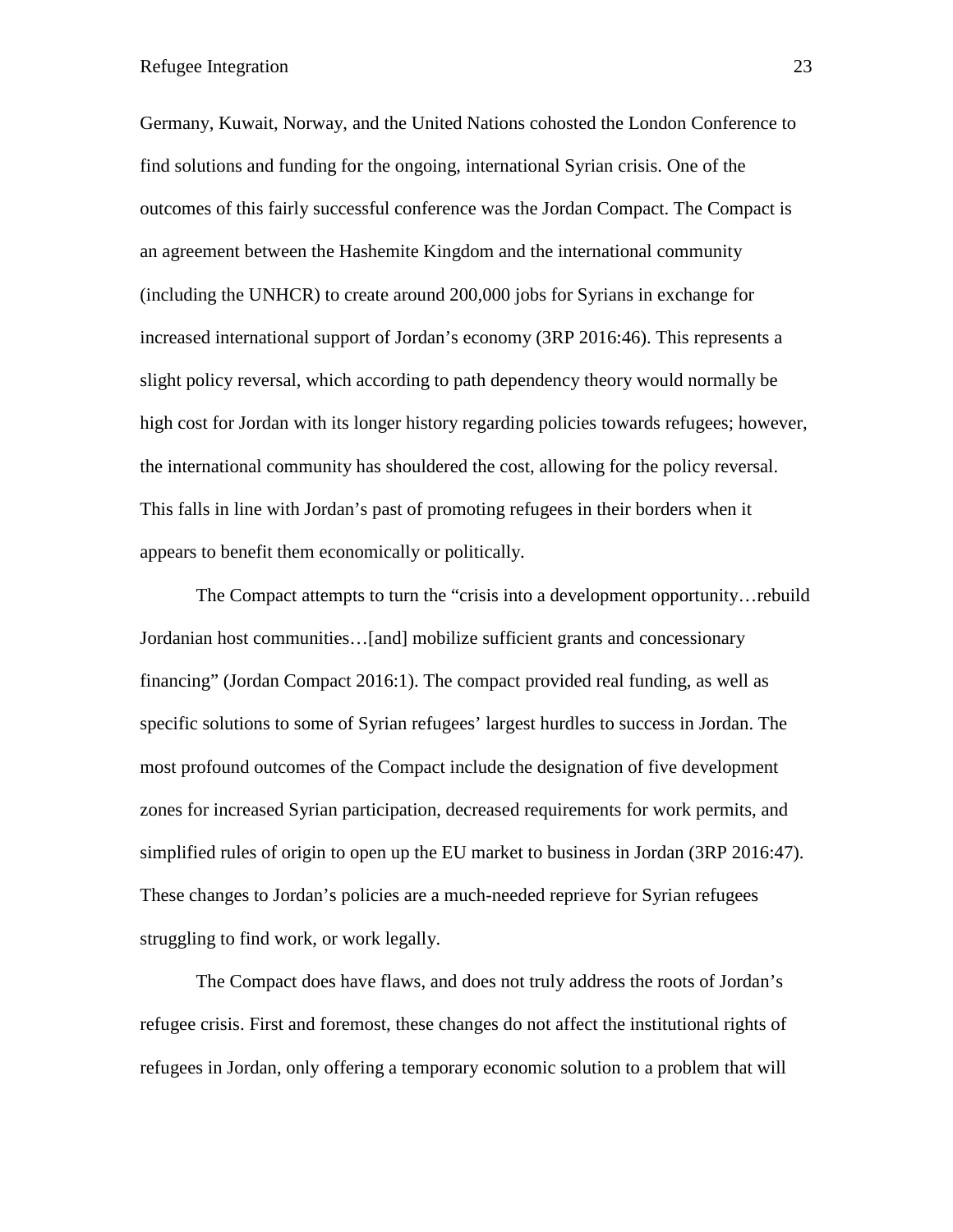Germany, Kuwait, Norway, and the United Nations cohosted the London Conference to find solutions and funding for the ongoing, international Syrian crisis. One of the outcomes of this fairly successful conference was the Jordan Compact. The Compact is an agreement between the Hashemite Kingdom and the international community (including the UNHCR) to create around 200,000 jobs for Syrians in exchange for increased international support of Jordan's economy (3RP 2016:46). This represents a slight policy reversal, which according to path dependency theory would normally be high cost for Jordan with its longer history regarding policies towards refugees; however, the international community has shouldered the cost, allowing for the policy reversal. This falls in line with Jordan's past of promoting refugees in their borders when it appears to benefit them economically or politically.

The Compact attempts to turn the "crisis into a development opportunity…rebuild Jordanian host communities…[and] mobilize sufficient grants and concessionary financing" (Jordan Compact 2016:1). The compact provided real funding, as well as specific solutions to some of Syrian refugees' largest hurdles to success in Jordan. The most profound outcomes of the Compact include the designation of five development zones for increased Syrian participation, decreased requirements for work permits, and simplified rules of origin to open up the EU market to business in Jordan (3RP 2016:47). These changes to Jordan's policies are a much-needed reprieve for Syrian refugees struggling to find work, or work legally.

The Compact does have flaws, and does not truly address the roots of Jordan's refugee crisis. First and foremost, these changes do not affect the institutional rights of refugees in Jordan, only offering a temporary economic solution to a problem that will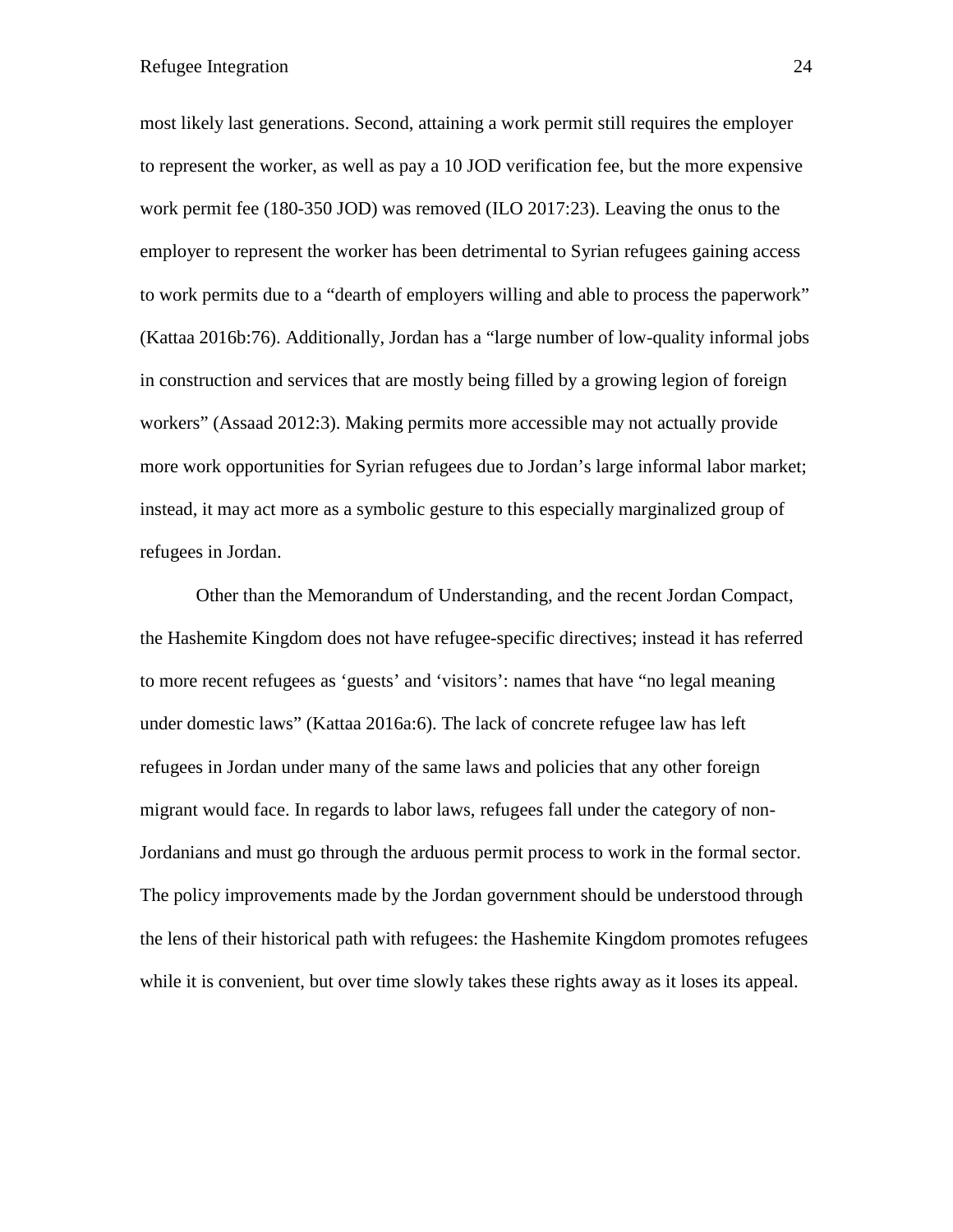most likely last generations. Second, attaining a work permit still requires the employer to represent the worker, as well as pay a 10 JOD verification fee, but the more expensive work permit fee (180-350 JOD) was removed (ILO 2017:23). Leaving the onus to the employer to represent the worker has been detrimental to Syrian refugees gaining access to work permits due to a "dearth of employers willing and able to process the paperwork" (Kattaa 2016b:76). Additionally, Jordan has a "large number of low-quality informal jobs in construction and services that are mostly being filled by a growing legion of foreign workers" (Assaad 2012:3). Making permits more accessible may not actually provide more work opportunities for Syrian refugees due to Jordan's large informal labor market; instead, it may act more as a symbolic gesture to this especially marginalized group of refugees in Jordan.

Other than the Memorandum of Understanding, and the recent Jordan Compact, the Hashemite Kingdom does not have refugee-specific directives; instead it has referred to more recent refugees as 'guests' and 'visitors': names that have "no legal meaning under domestic laws" (Kattaa 2016a:6). The lack of concrete refugee law has left refugees in Jordan under many of the same laws and policies that any other foreign migrant would face. In regards to labor laws, refugees fall under the category of non-Jordanians and must go through the arduous permit process to work in the formal sector. The policy improvements made by the Jordan government should be understood through the lens of their historical path with refugees: the Hashemite Kingdom promotes refugees while it is convenient, but over time slowly takes these rights away as it loses its appeal.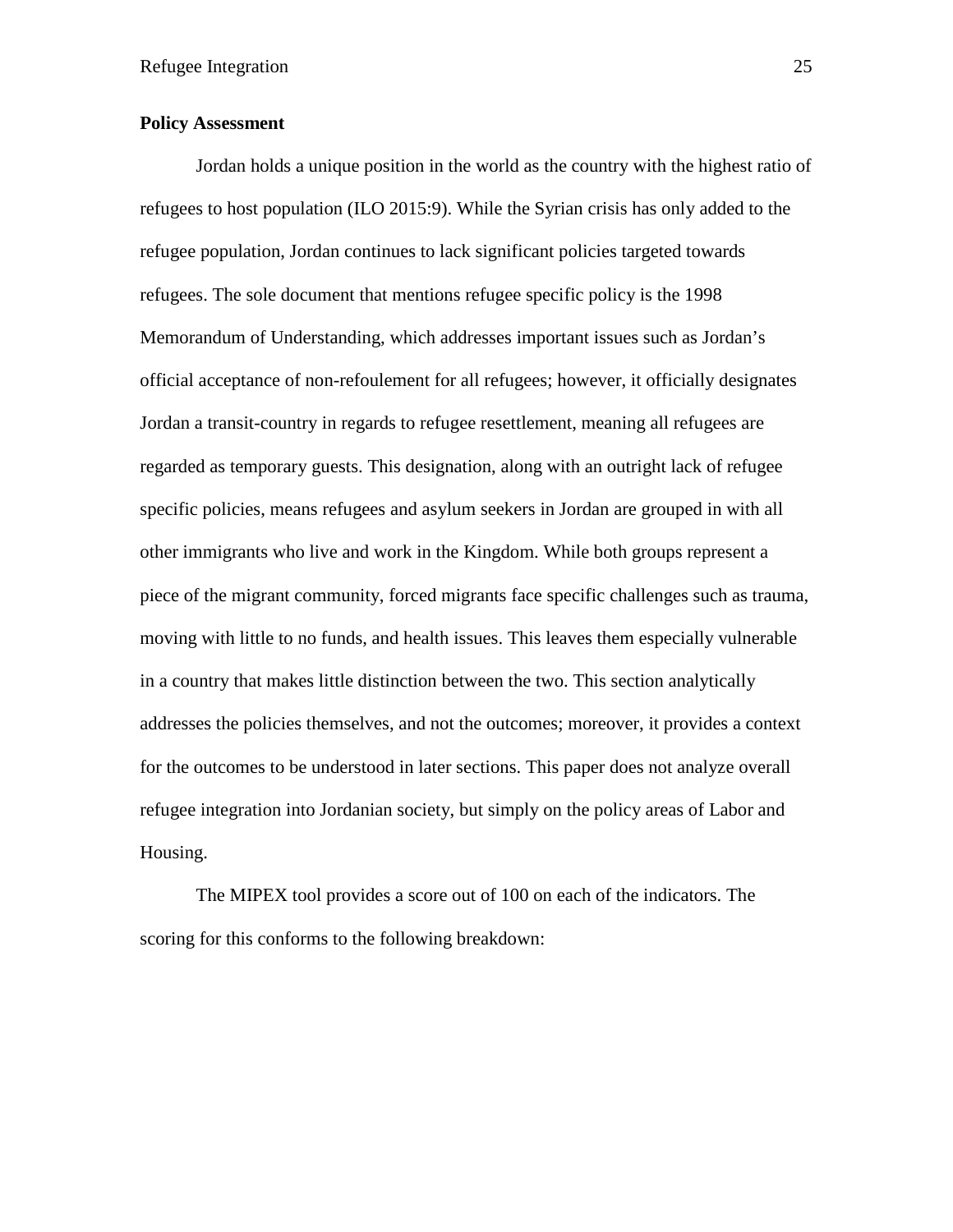# **Policy Assessment**

Jordan holds a unique position in the world as the country with the highest ratio of refugees to host population (ILO 2015:9). While the Syrian crisis has only added to the refugee population, Jordan continues to lack significant policies targeted towards refugees. The sole document that mentions refugee specific policy is the 1998 Memorandum of Understanding, which addresses important issues such as Jordan's official acceptance of non-refoulement for all refugees; however, it officially designates Jordan a transit-country in regards to refugee resettlement, meaning all refugees are regarded as temporary guests. This designation, along with an outright lack of refugee specific policies, means refugees and asylum seekers in Jordan are grouped in with all other immigrants who live and work in the Kingdom. While both groups represent a piece of the migrant community, forced migrants face specific challenges such as trauma, moving with little to no funds, and health issues. This leaves them especially vulnerable in a country that makes little distinction between the two. This section analytically addresses the policies themselves, and not the outcomes; moreover, it provides a context for the outcomes to be understood in later sections. This paper does not analyze overall refugee integration into Jordanian society, but simply on the policy areas of Labor and Housing.

The MIPEX tool provides a score out of 100 on each of the indicators. The scoring for this conforms to the following breakdown: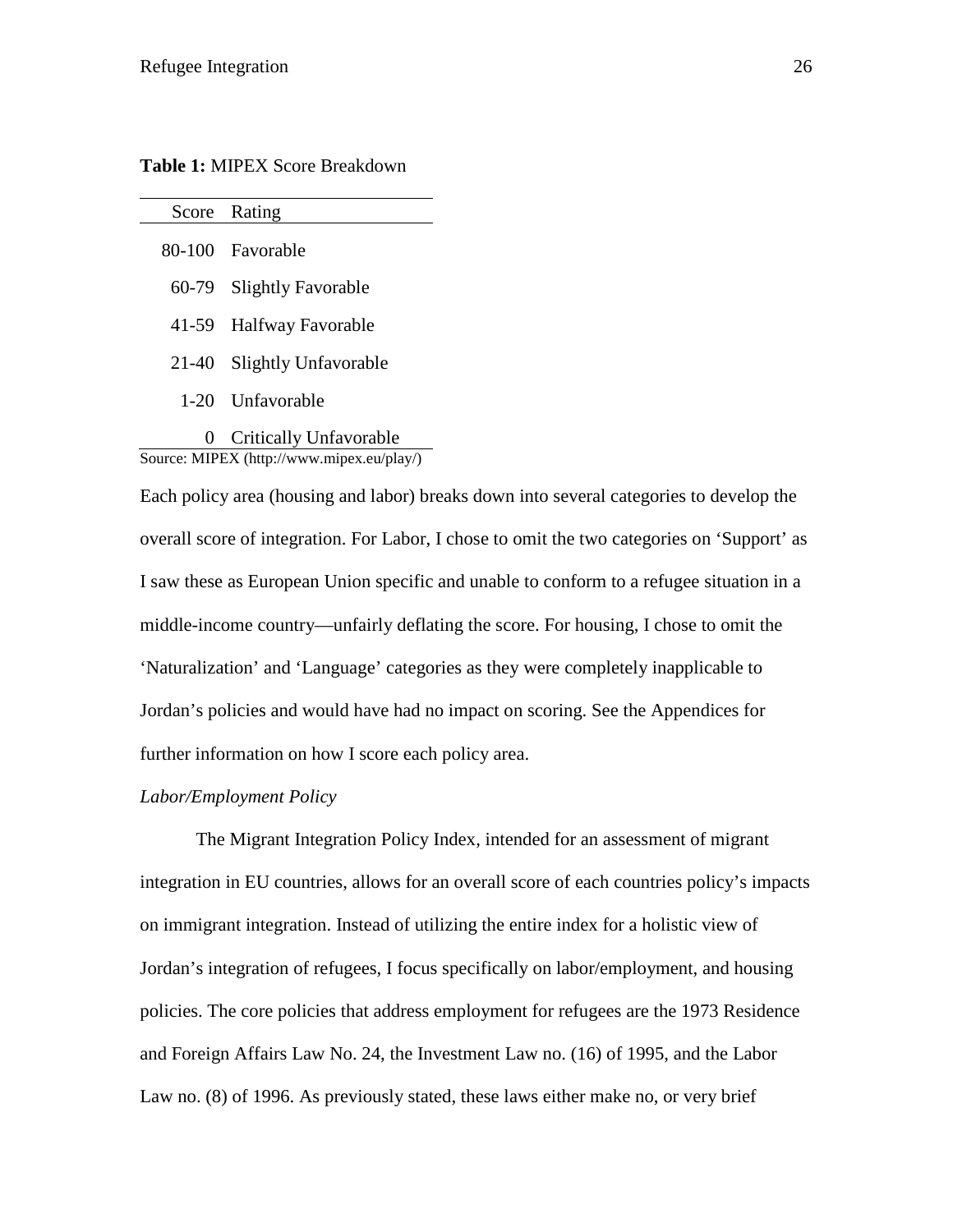**Table 1:** MIPEX Score Breakdown

|          | Score Rating             |
|----------|--------------------------|
|          | 80-100 Favorable         |
|          | 60-79 Slightly Favorable |
|          | 41-59 Halfway Favorable  |
| 21-40    | Slightly Unfavorable     |
|          | 1-20 Unfavorable         |
| $\theta$ | Critically Unfavorable   |

Source: MIPEX (http://www.mipex.eu/play/)

Each policy area (housing and labor) breaks down into several categories to develop the overall score of integration. For Labor, I chose to omit the two categories on 'Support' as I saw these as European Union specific and unable to conform to a refugee situation in a middle-income country—unfairly deflating the score. For housing, I chose to omit the 'Naturalization' and 'Language' categories as they were completely inapplicable to Jordan's policies and would have had no impact on scoring. See the Appendices for further information on how I score each policy area.

#### *Labor/Employment Policy*

The Migrant Integration Policy Index, intended for an assessment of migrant integration in EU countries, allows for an overall score of each countries policy's impacts on immigrant integration. Instead of utilizing the entire index for a holistic view of Jordan's integration of refugees, I focus specifically on labor/employment, and housing policies. The core policies that address employment for refugees are the 1973 Residence and Foreign Affairs Law No. 24, the Investment Law no. (16) of 1995, and the Labor Law no. (8) of 1996. As previously stated, these laws either make no, or very brief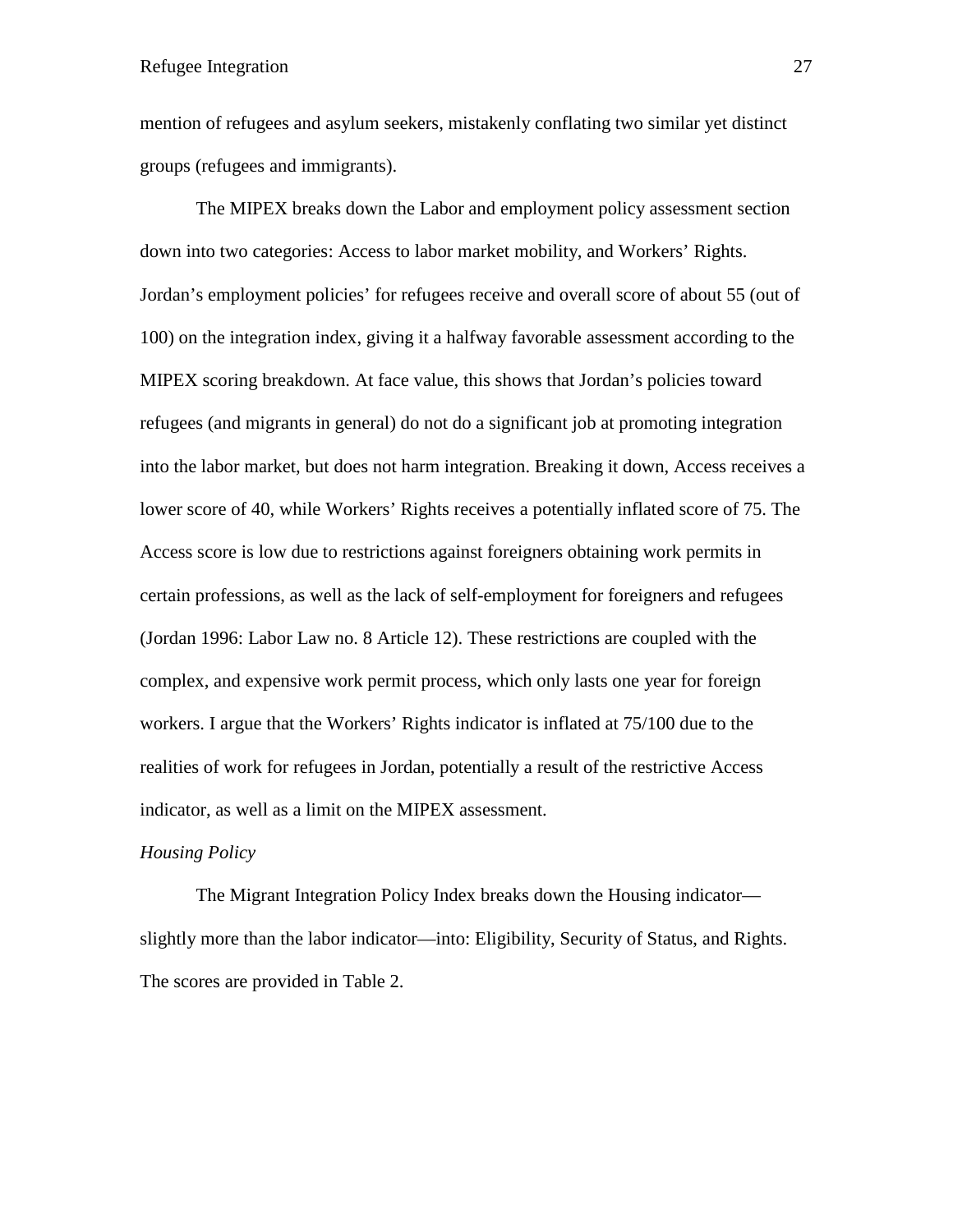mention of refugees and asylum seekers, mistakenly conflating two similar yet distinct groups (refugees and immigrants).

The MIPEX breaks down the Labor and employment policy assessment section down into two categories: Access to labor market mobility, and Workers' Rights. Jordan's employment policies' for refugees receive and overall score of about 55 (out of 100) on the integration index, giving it a halfway favorable assessment according to the MIPEX scoring breakdown. At face value, this shows that Jordan's policies toward refugees (and migrants in general) do not do a significant job at promoting integration into the labor market, but does not harm integration. Breaking it down, Access receives a lower score of 40, while Workers' Rights receives a potentially inflated score of 75. The Access score is low due to restrictions against foreigners obtaining work permits in certain professions, as well as the lack of self-employment for foreigners and refugees (Jordan 1996: Labor Law no. 8 Article 12). These restrictions are coupled with the complex, and expensive work permit process, which only lasts one year for foreign workers. I argue that the Workers' Rights indicator is inflated at 75/100 due to the realities of work for refugees in Jordan, potentially a result of the restrictive Access indicator, as well as a limit on the MIPEX assessment.

#### *Housing Policy*

The Migrant Integration Policy Index breaks down the Housing indicator slightly more than the labor indicator—into: Eligibility, Security of Status, and Rights. The scores are provided in Table 2.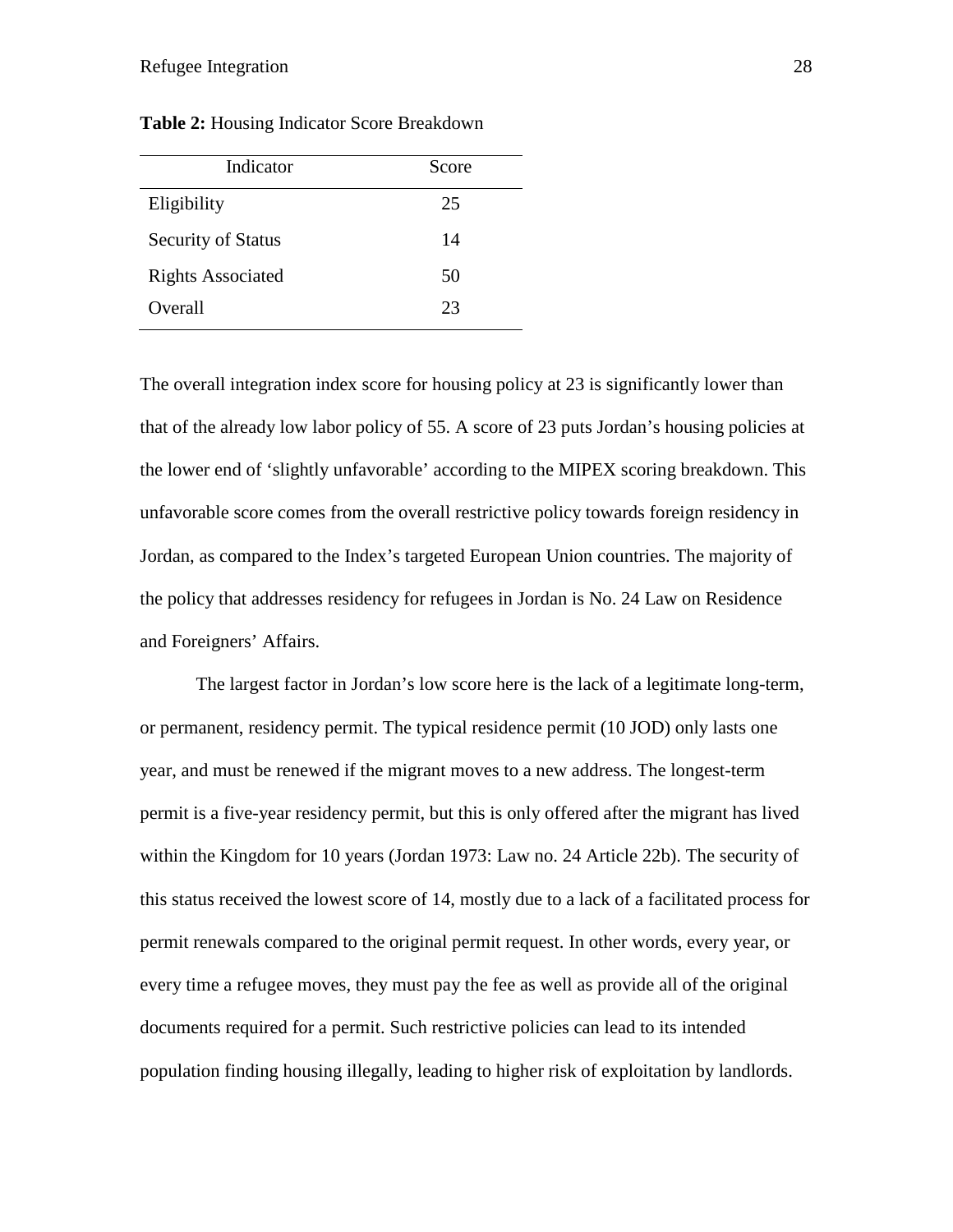| Indicator                 | Score |
|---------------------------|-------|
| Eligibility               | 25    |
| <b>Security of Status</b> | 14    |
| <b>Rights Associated</b>  | 50    |
| Overall                   | 23    |

**Table 2:** Housing Indicator Score Breakdown

The overall integration index score for housing policy at 23 is significantly lower than that of the already low labor policy of 55. A score of 23 puts Jordan's housing policies at the lower end of 'slightly unfavorable' according to the MIPEX scoring breakdown. This unfavorable score comes from the overall restrictive policy towards foreign residency in Jordan, as compared to the Index's targeted European Union countries. The majority of the policy that addresses residency for refugees in Jordan is No. 24 Law on Residence and Foreigners' Affairs.

The largest factor in Jordan's low score here is the lack of a legitimate long-term, or permanent, residency permit. The typical residence permit (10 JOD) only lasts one year, and must be renewed if the migrant moves to a new address. The longest-term permit is a five-year residency permit, but this is only offered after the migrant has lived within the Kingdom for 10 years (Jordan 1973: Law no. 24 Article 22b). The security of this status received the lowest score of 14, mostly due to a lack of a facilitated process for permit renewals compared to the original permit request. In other words, every year, or every time a refugee moves, they must pay the fee as well as provide all of the original documents required for a permit. Such restrictive policies can lead to its intended population finding housing illegally, leading to higher risk of exploitation by landlords.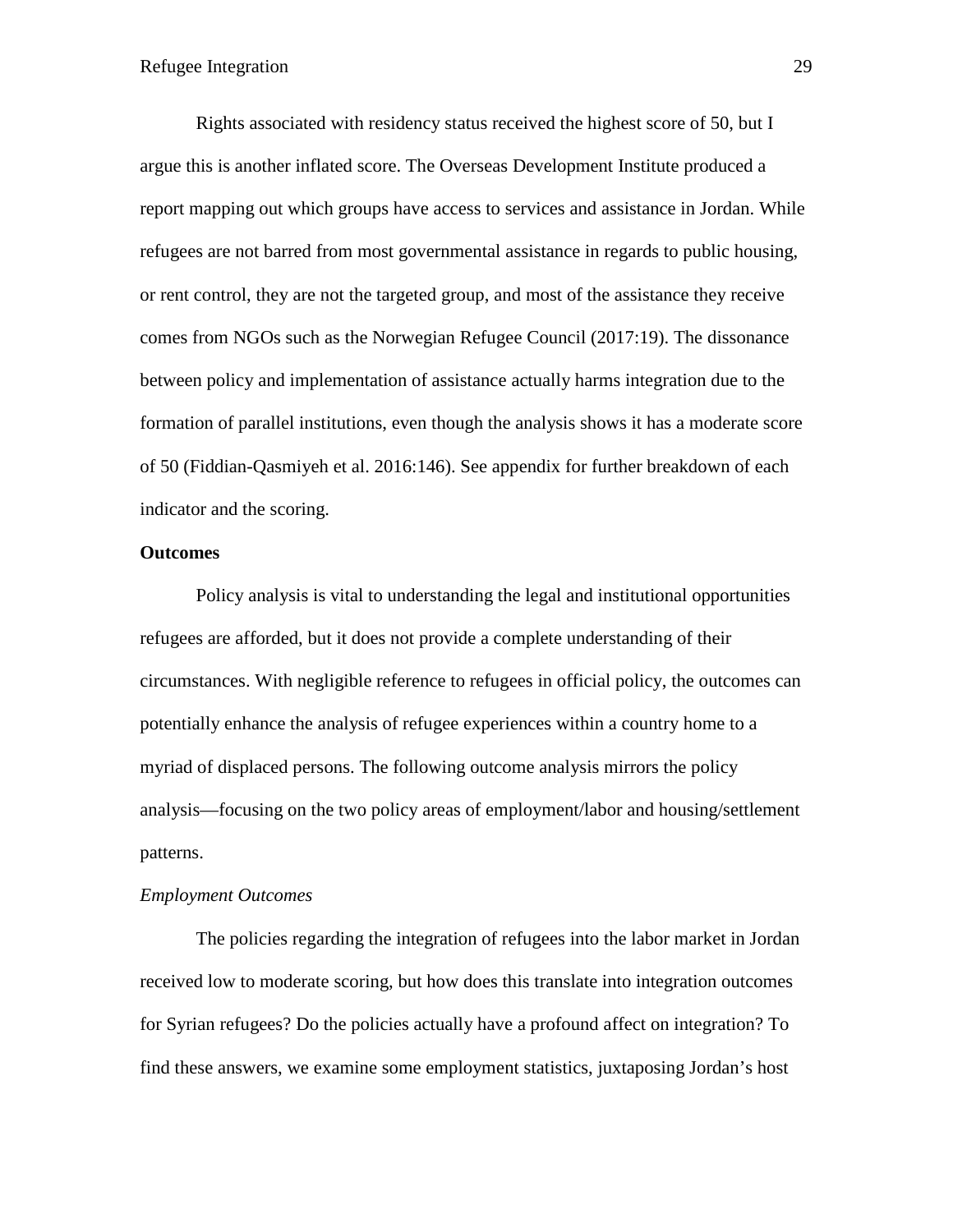Rights associated with residency status received the highest score of 50, but I argue this is another inflated score. The Overseas Development Institute produced a report mapping out which groups have access to services and assistance in Jordan. While refugees are not barred from most governmental assistance in regards to public housing, or rent control, they are not the targeted group, and most of the assistance they receive comes from NGOs such as the Norwegian Refugee Council (2017:19). The dissonance between policy and implementation of assistance actually harms integration due to the formation of parallel institutions, even though the analysis shows it has a moderate score of 50 (Fiddian-Qasmiyeh et al. 2016:146). See appendix for further breakdown of each indicator and the scoring.

#### **Outcomes**

Policy analysis is vital to understanding the legal and institutional opportunities refugees are afforded, but it does not provide a complete understanding of their circumstances. With negligible reference to refugees in official policy, the outcomes can potentially enhance the analysis of refugee experiences within a country home to a myriad of displaced persons. The following outcome analysis mirrors the policy analysis—focusing on the two policy areas of employment/labor and housing/settlement patterns.

#### *Employment Outcomes*

The policies regarding the integration of refugees into the labor market in Jordan received low to moderate scoring, but how does this translate into integration outcomes for Syrian refugees? Do the policies actually have a profound affect on integration? To find these answers, we examine some employment statistics, juxtaposing Jordan's host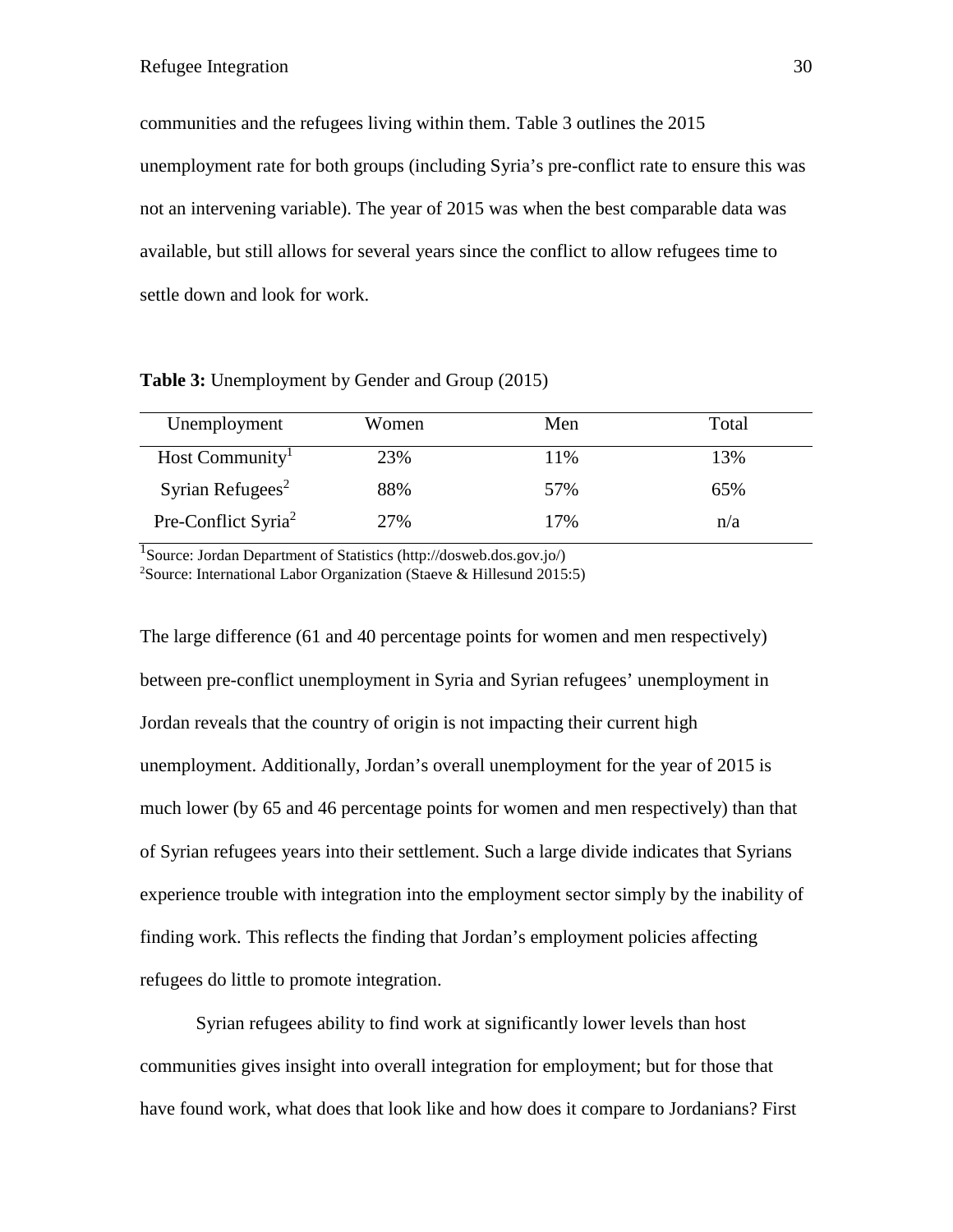communities and the refugees living within them. Table 3 outlines the 2015 unemployment rate for both groups (including Syria's pre-conflict rate to ensure this was not an intervening variable). The year of 2015 was when the best comparable data was available, but still allows for several years since the conflict to allow refugees time to settle down and look for work.

**Table 3:** Unemployment by Gender and Group (2015)

| Unemployment                    | Women | Men | Total |
|---------------------------------|-------|-----|-------|
| Host Community <sup>1</sup>     | 23%   | 11% | 13%   |
| Syrian Refugees <sup>2</sup>    | 88%   | 57% | 65%   |
| Pre-Conflict Syria <sup>2</sup> | 27%   | 17% | n/a   |

<sup>1</sup>Source: Jordan Department of Statistics (http://dosweb.dos.gov.jo/) 2 Source: International Labor Organization (Staeve & Hillesund 2015:5)

The large difference (61 and 40 percentage points for women and men respectively) between pre-conflict unemployment in Syria and Syrian refugees' unemployment in Jordan reveals that the country of origin is not impacting their current high unemployment. Additionally, Jordan's overall unemployment for the year of 2015 is much lower (by 65 and 46 percentage points for women and men respectively) than that of Syrian refugees years into their settlement. Such a large divide indicates that Syrians experience trouble with integration into the employment sector simply by the inability of finding work. This reflects the finding that Jordan's employment policies affecting refugees do little to promote integration.

Syrian refugees ability to find work at significantly lower levels than host communities gives insight into overall integration for employment; but for those that have found work, what does that look like and how does it compare to Jordanians? First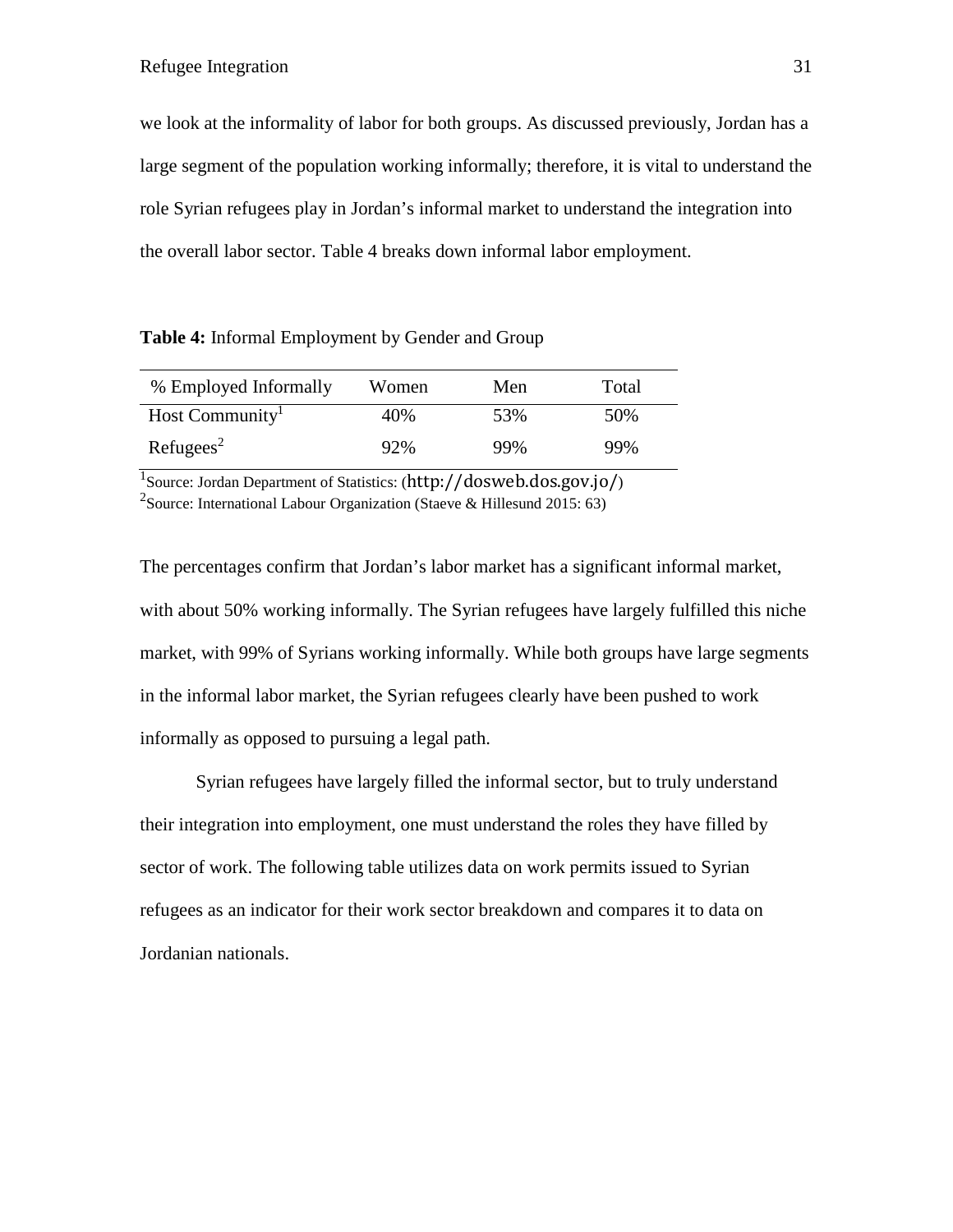we look at the informality of labor for both groups. As discussed previously, Jordan has a large segment of the population working informally; therefore, it is vital to understand the role Syrian refugees play in Jordan's informal market to understand the integration into the overall labor sector. Table 4 breaks down informal labor employment.

**Table 4:** Informal Employment by Gender and Group

| % Employed Informally       | Women | Men | Total |
|-----------------------------|-------|-----|-------|
| Host Community <sup>1</sup> | 40%   | 53% | 50%   |
| Refuges <sup>2</sup>        | 92%   | 99% | 99%   |

<sup>1</sup>Source: Jordan Department of Statistics: (http://dosweb.dos.gov.jo/) <sup>2</sup>Source: International Labour Organization (Staeve & Hillesund 2015: 63)

The percentages confirm that Jordan's labor market has a significant informal market, with about 50% working informally. The Syrian refugees have largely fulfilled this niche market, with 99% of Syrians working informally. While both groups have large segments in the informal labor market, the Syrian refugees clearly have been pushed to work informally as opposed to pursuing a legal path.

Syrian refugees have largely filled the informal sector, but to truly understand their integration into employment, one must understand the roles they have filled by sector of work. The following table utilizes data on work permits issued to Syrian refugees as an indicator for their work sector breakdown and compares it to data on Jordanian nationals.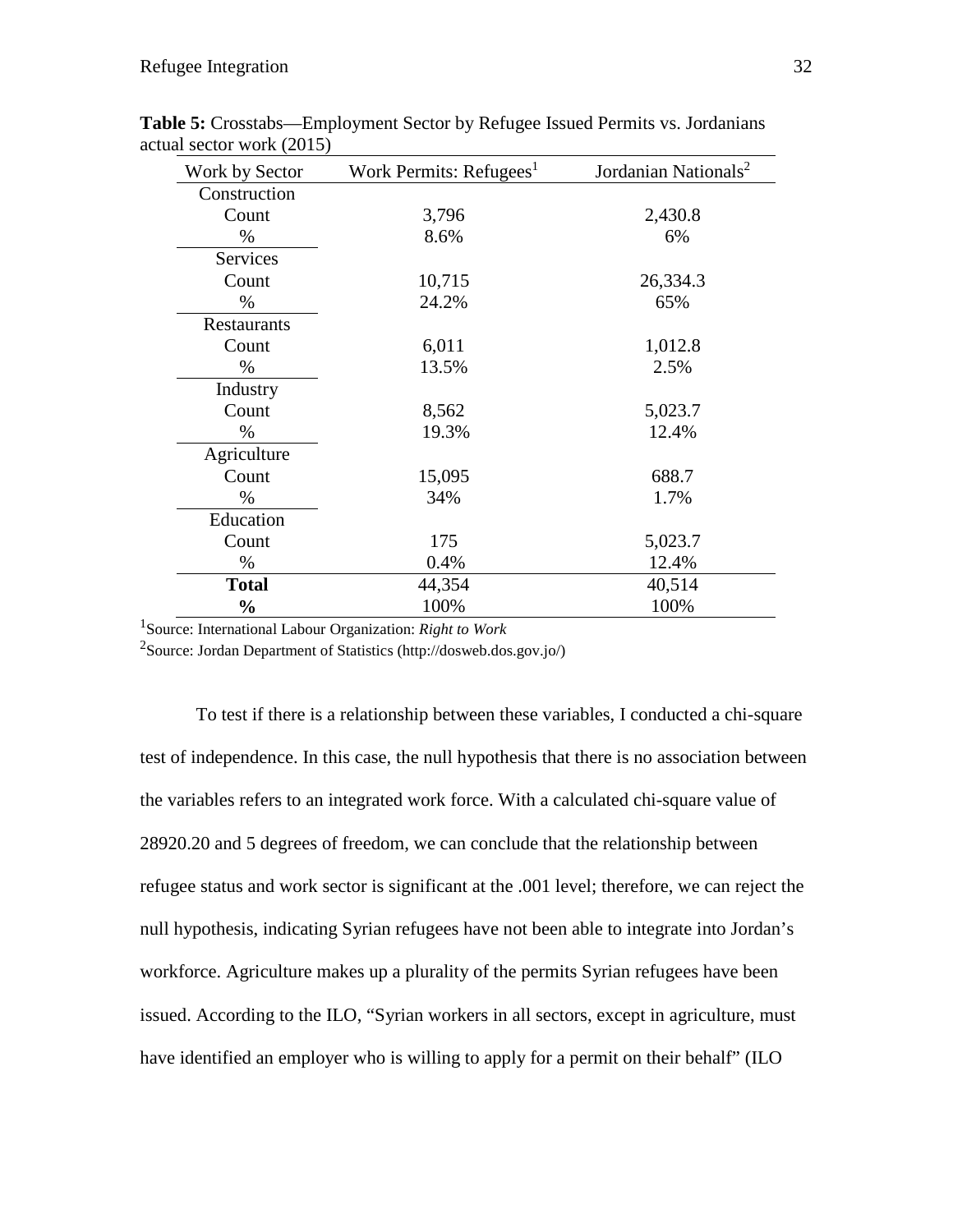| Work by Sector | Work Permits: Refugees <sup>1</sup> | Jordanian Nationals <sup>2</sup> |
|----------------|-------------------------------------|----------------------------------|
| Construction   |                                     |                                  |
| Count          | 3,796                               | 2,430.8                          |
| $\%$           | 8.6%                                | 6%                               |
| Services       |                                     |                                  |
| Count          | 10,715                              | 26,334.3                         |
| $\%$           | 24.2%                               | 65%                              |
| Restaurants    |                                     |                                  |
| Count          | 6,011                               | 1,012.8                          |
| $\%$           | 13.5%                               | 2.5%                             |
| Industry       |                                     |                                  |
| Count          | 8,562                               | 5,023.7                          |
| $\%$           | 19.3%                               | 12.4%                            |
| Agriculture    |                                     |                                  |
| Count          | 15,095                              | 688.7                            |
| $\%$           | 34%                                 | 1.7%                             |
| Education      |                                     |                                  |
| Count          | 175                                 | 5,023.7                          |
| $\%$           | 0.4%                                | 12.4%                            |
| <b>Total</b>   | 44,354                              | 40,514                           |
| $\frac{0}{0}$  | 100%                                | 100%                             |

**Table 5:** Crosstabs—Employment Sector by Refugee Issued Permits vs. Jordanians actual sector work (2015)

1 Source: International Labour Organization: *Right to Work*

<sup>2</sup>Source: Jordan Department of Statistics (http://dosweb.dos.gov.jo/)

To test if there is a relationship between these variables, I conducted a chi-square test of independence. In this case, the null hypothesis that there is no association between the variables refers to an integrated work force. With a calculated chi-square value of 28920.20 and 5 degrees of freedom, we can conclude that the relationship between refugee status and work sector is significant at the .001 level; therefore, we can reject the null hypothesis, indicating Syrian refugees have not been able to integrate into Jordan's workforce. Agriculture makes up a plurality of the permits Syrian refugees have been issued. According to the ILO, "Syrian workers in all sectors, except in agriculture, must have identified an employer who is willing to apply for a permit on their behalf" (ILO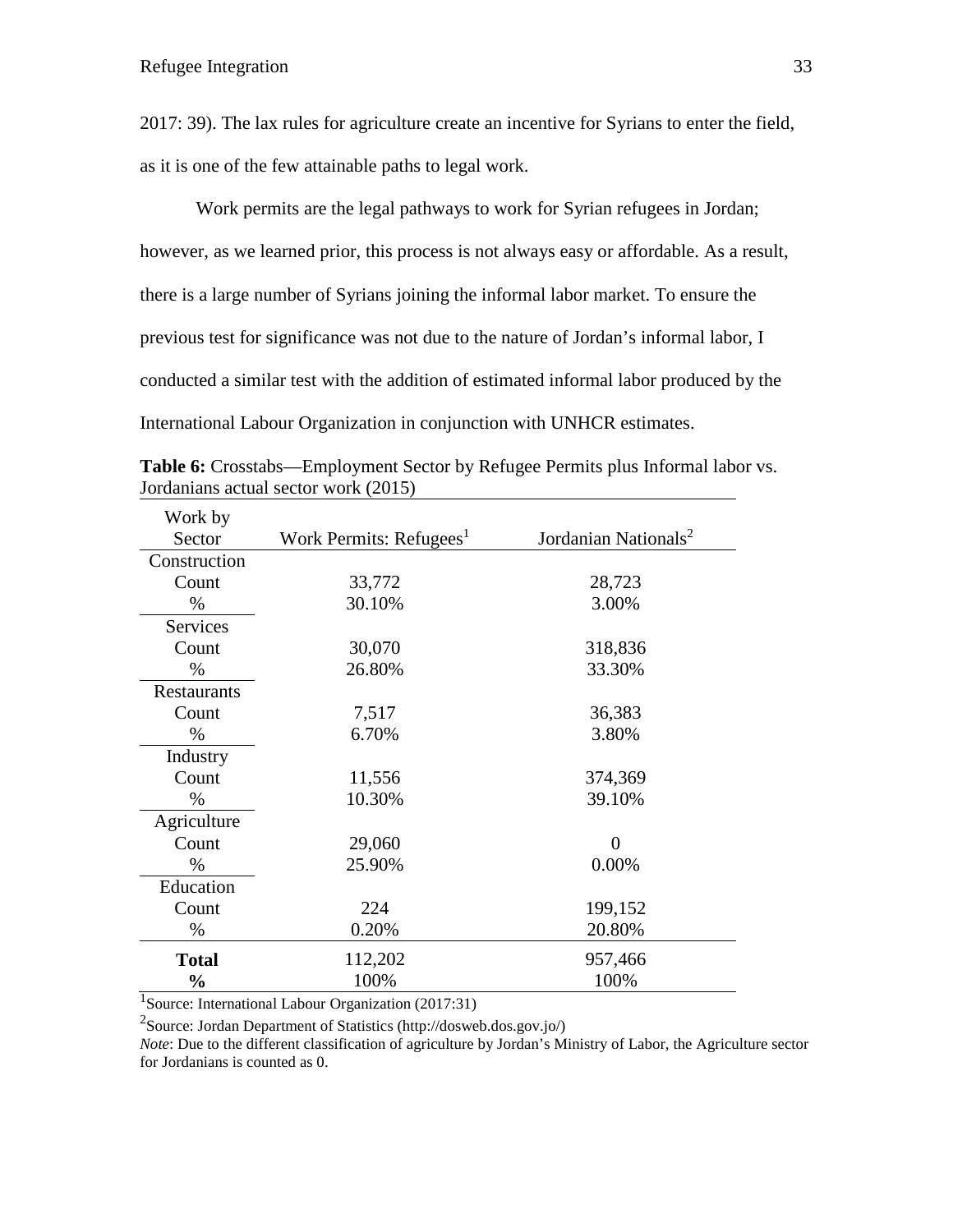2017: 39). The lax rules for agriculture create an incentive for Syrians to enter the field, as it is one of the few attainable paths to legal work.

Work permits are the legal pathways to work for Syrian refugees in Jordan; however, as we learned prior, this process is not always easy or affordable. As a result, there is a large number of Syrians joining the informal labor market. To ensure the previous test for significance was not due to the nature of Jordan's informal labor, I conducted a similar test with the addition of estimated informal labor produced by the International Labour Organization in conjunction with UNHCR estimates.

| Work by       |                                     |                                  |
|---------------|-------------------------------------|----------------------------------|
| Sector        | Work Permits: Refugees <sup>1</sup> | Jordanian Nationals <sup>2</sup> |
| Construction  |                                     |                                  |
| Count         | 33,772                              | 28,723                           |
| $\%$          | 30.10%                              | 3.00%                            |
| Services      |                                     |                                  |
| Count         | 30,070                              | 318,836                          |
| $\%$          | 26.80%                              | 33.30%                           |
| Restaurants   |                                     |                                  |
| Count         | 7,517                               | 36,383                           |
| $\%$          | 6.70%                               | 3.80%                            |
| Industry      |                                     |                                  |
| Count         | 11,556                              | 374,369                          |
| $\%$          | 10.30%                              | 39.10%                           |
| Agriculture   |                                     |                                  |
| Count         | 29,060                              | $\overline{0}$                   |
| $\%$          | 25.90%                              | 0.00%                            |
| Education     |                                     |                                  |
| Count         | 224                                 | 199,152                          |
| $\%$          | 0.20%                               | 20.80%                           |
| <b>Total</b>  | 112,202                             | 957,466                          |
| $\frac{0}{0}$ | 100%                                | 100%                             |

**Table 6:** Crosstabs—Employment Sector by Refugee Permits plus Informal labor vs. Jordanians actual sector work (2015)

<sup>1</sup>Source: International Labour Organization (2017:31)

<sup>2</sup>Source: Jordan Department of Statistics (http://dosweb.dos.gov.jo/)

*Note*: Due to the different classification of agriculture by Jordan's Ministry of Labor, the Agriculture sector for Jordanians is counted as 0.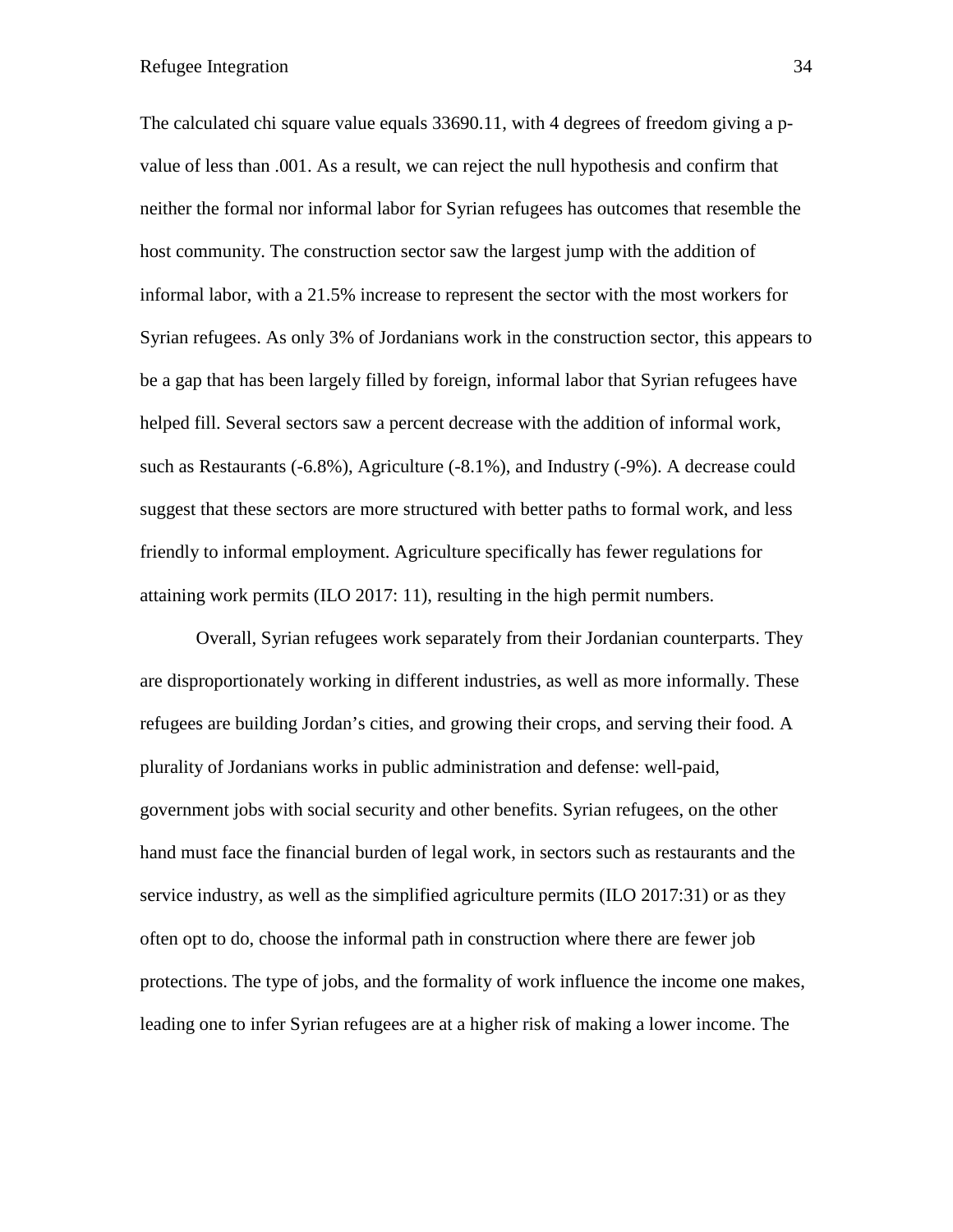The calculated chi square value equals 33690.11, with 4 degrees of freedom giving a pvalue of less than .001. As a result, we can reject the null hypothesis and confirm that neither the formal nor informal labor for Syrian refugees has outcomes that resemble the host community. The construction sector saw the largest jump with the addition of informal labor, with a 21.5% increase to represent the sector with the most workers for Syrian refugees. As only 3% of Jordanians work in the construction sector, this appears to be a gap that has been largely filled by foreign, informal labor that Syrian refugees have helped fill. Several sectors saw a percent decrease with the addition of informal work, such as Restaurants (-6.8%), Agriculture (-8.1%), and Industry (-9%). A decrease could suggest that these sectors are more structured with better paths to formal work, and less friendly to informal employment. Agriculture specifically has fewer regulations for attaining work permits (ILO 2017: 11), resulting in the high permit numbers.

Overall, Syrian refugees work separately from their Jordanian counterparts. They are disproportionately working in different industries, as well as more informally. These refugees are building Jordan's cities, and growing their crops, and serving their food. A plurality of Jordanians works in public administration and defense: well-paid, government jobs with social security and other benefits. Syrian refugees, on the other hand must face the financial burden of legal work, in sectors such as restaurants and the service industry, as well as the simplified agriculture permits (ILO 2017:31) or as they often opt to do, choose the informal path in construction where there are fewer job protections. The type of jobs, and the formality of work influence the income one makes, leading one to infer Syrian refugees are at a higher risk of making a lower income. The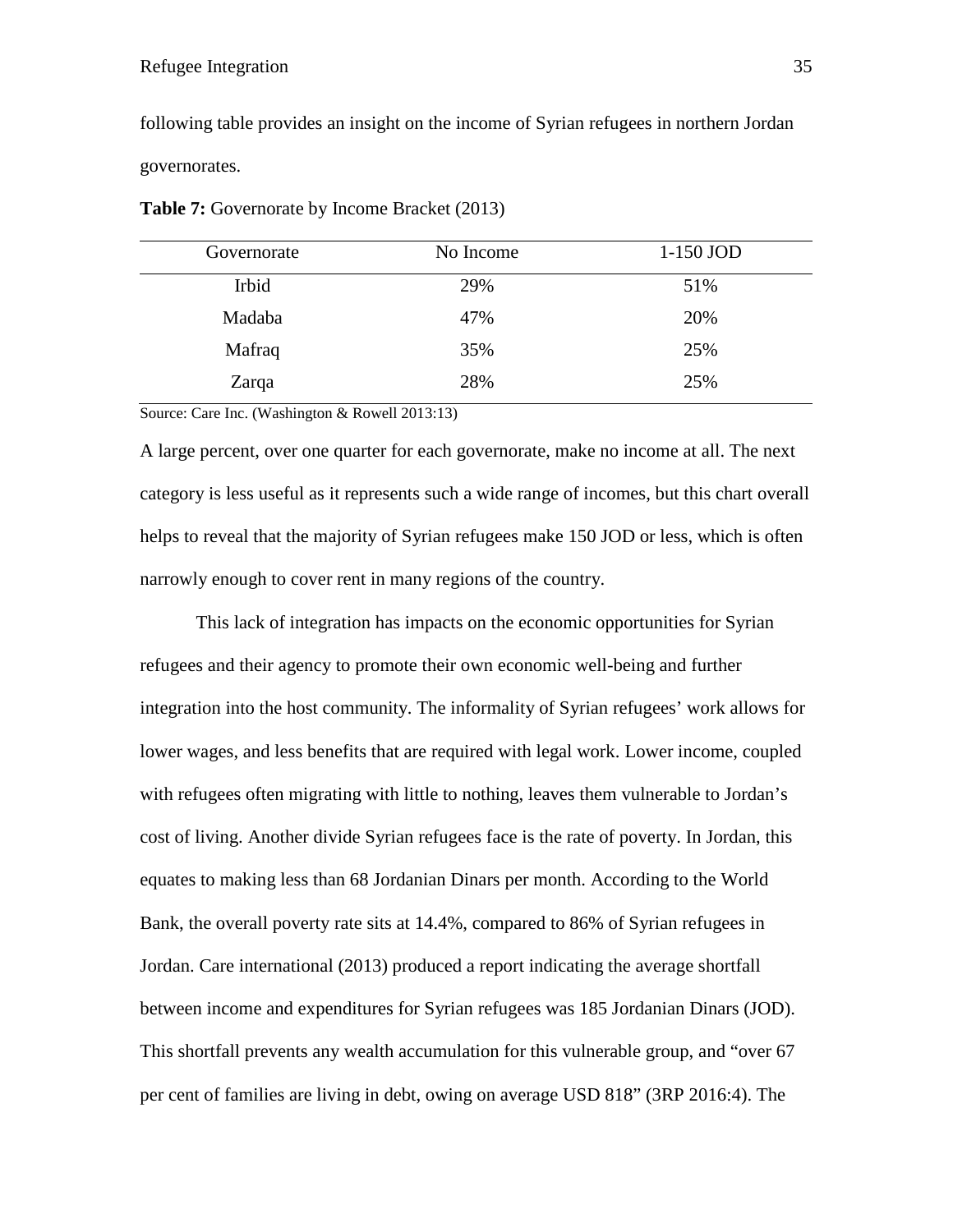following table provides an insight on the income of Syrian refugees in northern Jordan governorates.

| Governorate | No Income | 1-150 JOD |
|-------------|-----------|-----------|
| Irbid       | 29%       | 51%       |
| Madaba      | 47%       | 20%       |
| Mafraq      | 35%       | 25%       |
| Zarqa       | 28%       | 25%       |

**Table 7:** Governorate by Income Bracket (2013)

Source: Care Inc. (Washington & Rowell 2013:13)

A large percent, over one quarter for each governorate, make no income at all. The next category is less useful as it represents such a wide range of incomes, but this chart overall helps to reveal that the majority of Syrian refugees make 150 JOD or less, which is often narrowly enough to cover rent in many regions of the country.

This lack of integration has impacts on the economic opportunities for Syrian refugees and their agency to promote their own economic well-being and further integration into the host community. The informality of Syrian refugees' work allows for lower wages, and less benefits that are required with legal work. Lower income, coupled with refugees often migrating with little to nothing, leaves them vulnerable to Jordan's cost of living. Another divide Syrian refugees face is the rate of poverty. In Jordan, this equates to making less than 68 Jordanian Dinars per month. According to the World Bank, the overall poverty rate sits at 14.4%, compared to 86% of Syrian refugees in Jordan. Care international (2013) produced a report indicating the average shortfall between income and expenditures for Syrian refugees was 185 Jordanian Dinars (JOD). This shortfall prevents any wealth accumulation for this vulnerable group, and "over 67 per cent of families are living in debt, owing on average USD 818" (3RP 2016:4). The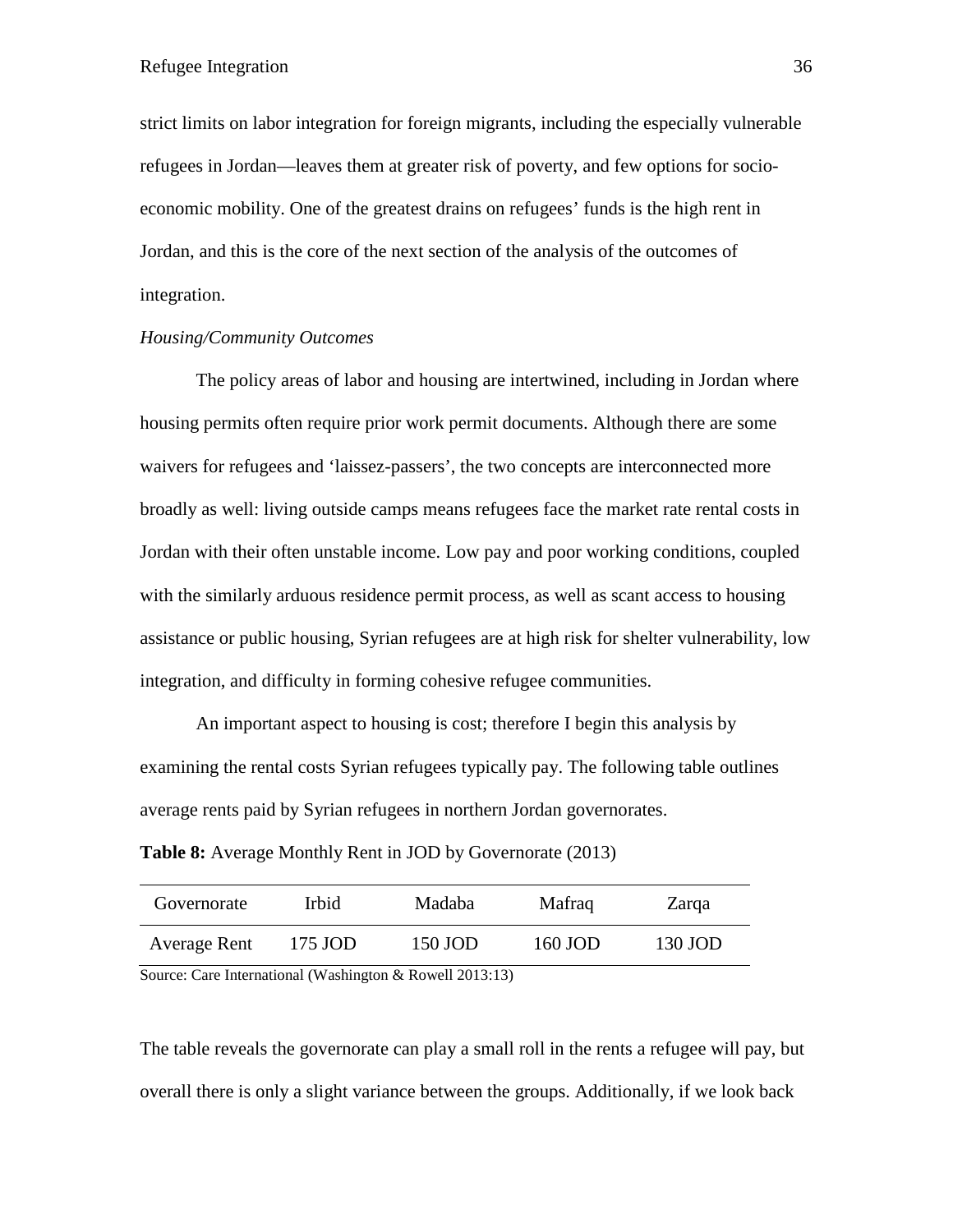strict limits on labor integration for foreign migrants, including the especially vulnerable refugees in Jordan—leaves them at greater risk of poverty, and few options for socioeconomic mobility. One of the greatest drains on refugees' funds is the high rent in Jordan, and this is the core of the next section of the analysis of the outcomes of integration.

# *Housing/Community Outcomes*

The policy areas of labor and housing are intertwined, including in Jordan where housing permits often require prior work permit documents. Although there are some waivers for refugees and 'laissez-passers', the two concepts are interconnected more broadly as well: living outside camps means refugees face the market rate rental costs in Jordan with their often unstable income. Low pay and poor working conditions, coupled with the similarly arduous residence permit process, as well as scant access to housing assistance or public housing, Syrian refugees are at high risk for shelter vulnerability, low integration, and difficulty in forming cohesive refugee communities.

An important aspect to housing is cost; therefore I begin this analysis by examining the rental costs Syrian refugees typically pay. The following table outlines average rents paid by Syrian refugees in northern Jordan governorates.

| <b>Table 8:</b> Average Monthly Rent in JOD by Governorate (2013) |  |
|-------------------------------------------------------------------|--|
|-------------------------------------------------------------------|--|

| Governorate  | <b>Irbid</b> | <b>Madaba</b> | Mafraq  | Zarqa   |
|--------------|--------------|---------------|---------|---------|
| Average Rent | 175 JOD      | 150 JOD       | 160 JOD | 130 JOD |

Source: Care International (Washington & Rowell 2013:13)

The table reveals the governorate can play a small roll in the rents a refugee will pay, but overall there is only a slight variance between the groups. Additionally, if we look back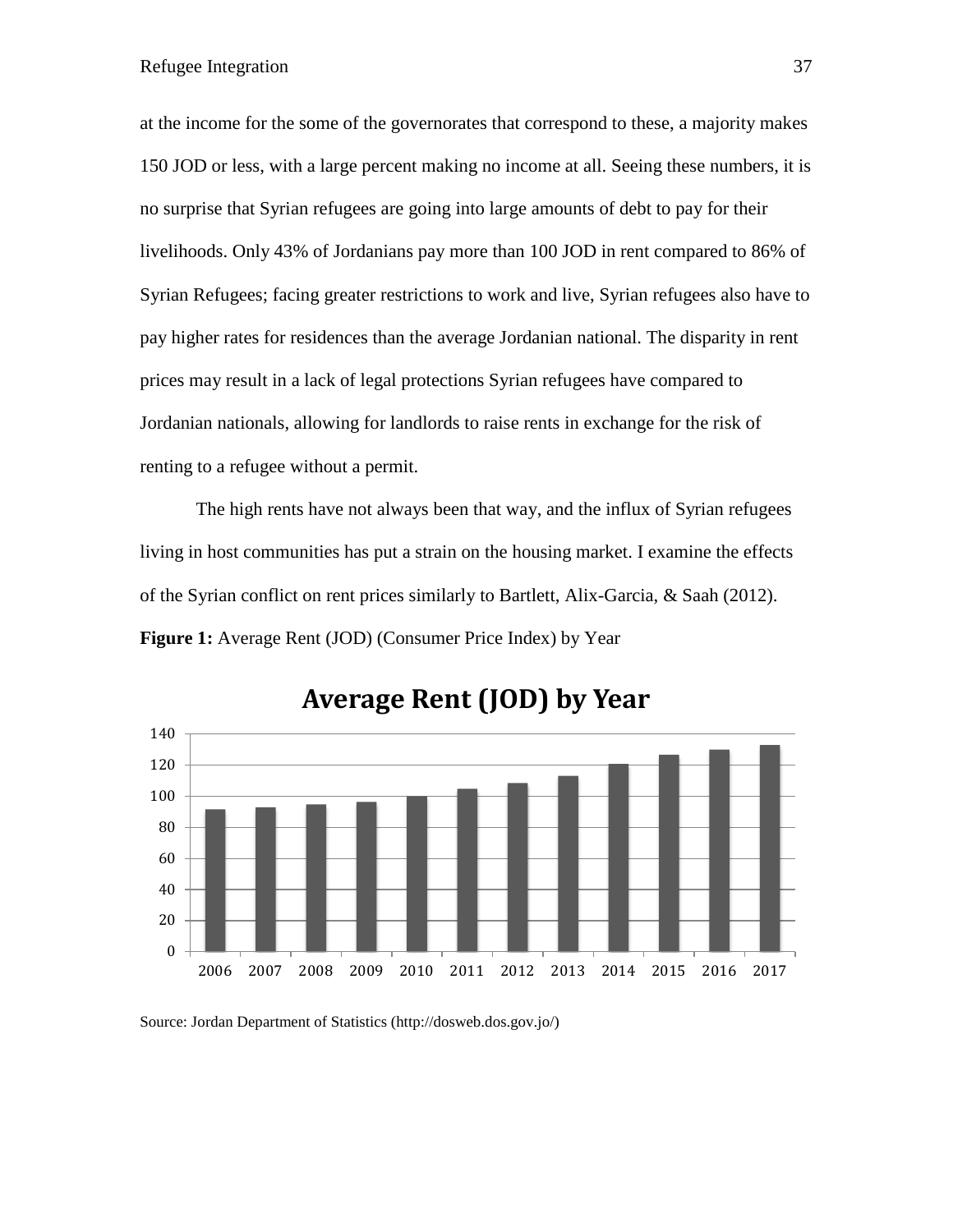at the income for the some of the governorates that correspond to these, a majority makes 150 JOD or less, with a large percent making no income at all. Seeing these numbers, it is no surprise that Syrian refugees are going into large amounts of debt to pay for their livelihoods. Only 43% of Jordanians pay more than 100 JOD in rent compared to 86% of Syrian Refugees; facing greater restrictions to work and live, Syrian refugees also have to pay higher rates for residences than the average Jordanian national. The disparity in rent prices may result in a lack of legal protections Syrian refugees have compared to Jordanian nationals, allowing for landlords to raise rents in exchange for the risk of renting to a refugee without a permit.

The high rents have not always been that way, and the influx of Syrian refugees living in host communities has put a strain on the housing market. I examine the effects of the Syrian conflict on rent prices similarly to Bartlett, Alix-Garcia, & Saah (2012). Figure 1: Average Rent (JOD) (Consumer Price Index) by Year



**Average Rent (JOD) by Year**

Source: Jordan Department of Statistics (http://dosweb.dos.gov.jo/)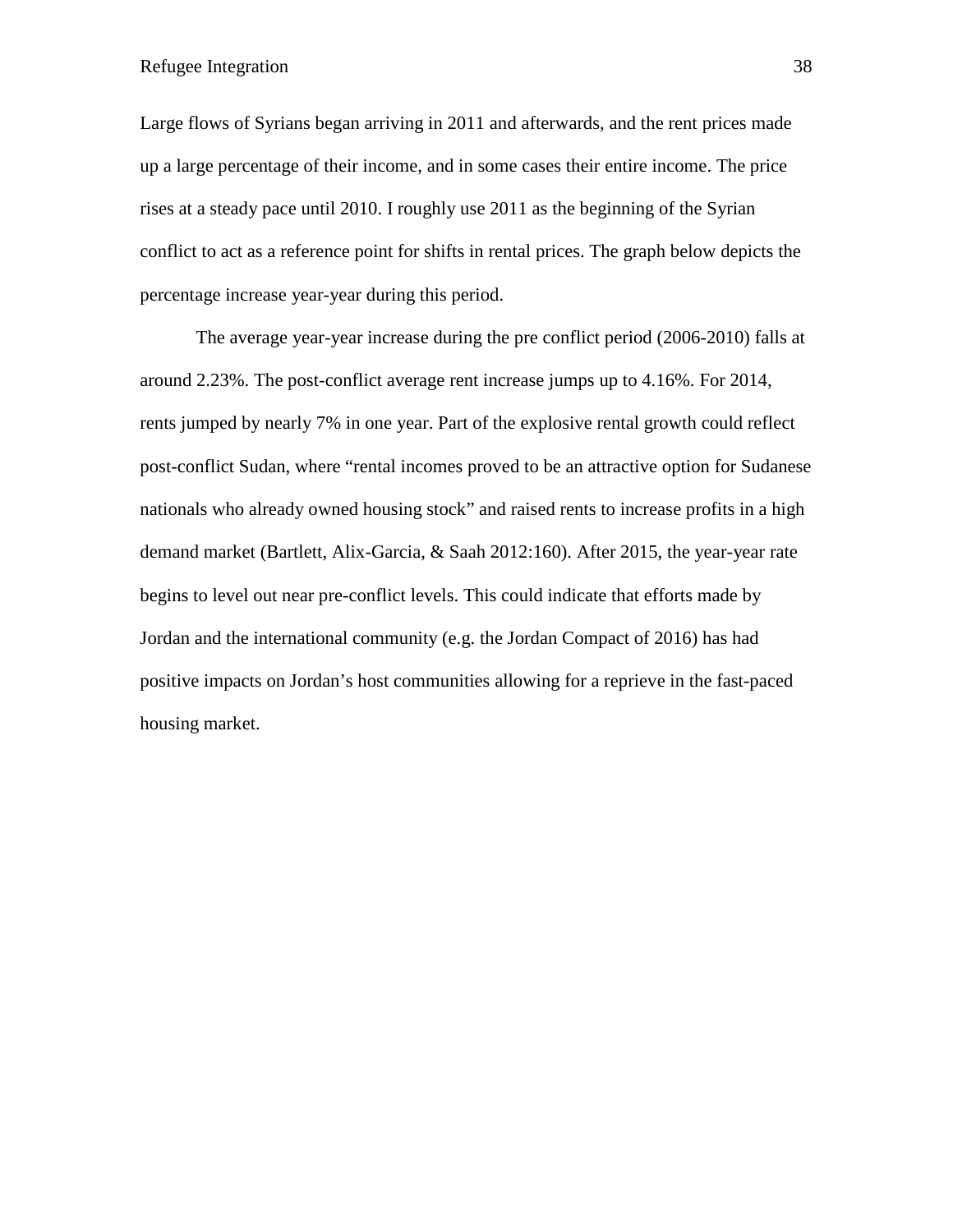Large flows of Syrians began arriving in 2011 and afterwards, and the rent prices made up a large percentage of their income, and in some cases their entire income. The price rises at a steady pace until 2010. I roughly use 2011 as the beginning of the Syrian conflict to act as a reference point for shifts in rental prices. The graph below depicts the percentage increase year-year during this period.

The average year-year increase during the pre conflict period (2006-2010) falls at around 2.23%. The post-conflict average rent increase jumps up to 4.16%. For 2014, rents jumped by nearly 7% in one year. Part of the explosive rental growth could reflect post-conflict Sudan, where "rental incomes proved to be an attractive option for Sudanese nationals who already owned housing stock" and raised rents to increase profits in a high demand market (Bartlett, Alix-Garcia, & Saah 2012:160). After 2015, the year-year rate begins to level out near pre-conflict levels. This could indicate that efforts made by Jordan and the international community (e.g. the Jordan Compact of 2016) has had positive impacts on Jordan's host communities allowing for a reprieve in the fast-paced housing market.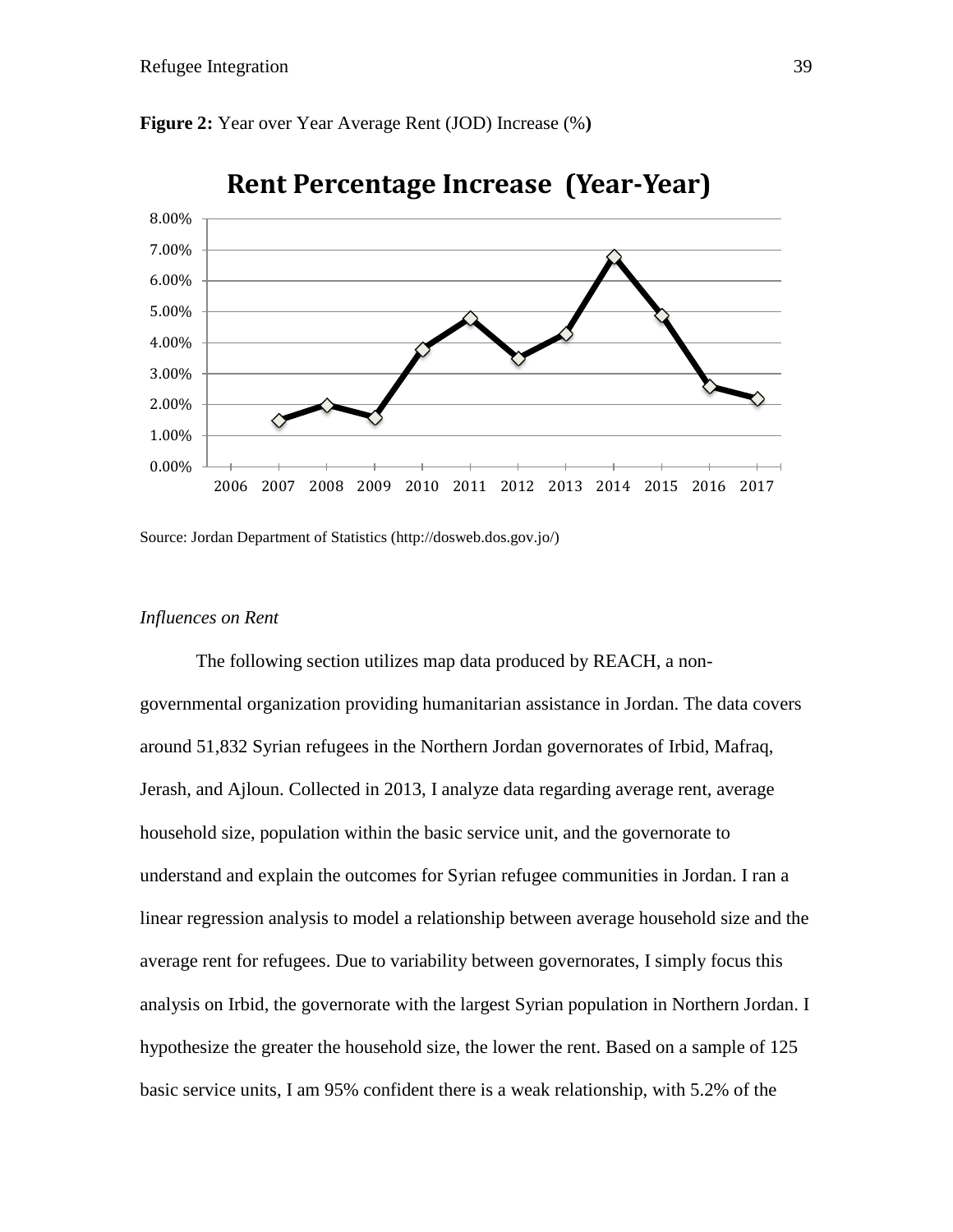

**Figure 2:** Year over Year Average Rent (JOD) Increase (%**)** 

Source: Jordan Department of Statistics (http://dosweb.dos.gov.jo/)

# *Influences on Rent*

The following section utilizes map data produced by REACH, a nongovernmental organization providing humanitarian assistance in Jordan. The data covers around 51,832 Syrian refugees in the Northern Jordan governorates of Irbid, Mafraq, Jerash, and Ajloun. Collected in 2013, I analyze data regarding average rent, average household size, population within the basic service unit, and the governorate to understand and explain the outcomes for Syrian refugee communities in Jordan. I ran a linear regression analysis to model a relationship between average household size and the average rent for refugees. Due to variability between governorates, I simply focus this analysis on Irbid, the governorate with the largest Syrian population in Northern Jordan. I hypothesize the greater the household size, the lower the rent. Based on a sample of 125 basic service units, I am 95% confident there is a weak relationship, with 5.2% of the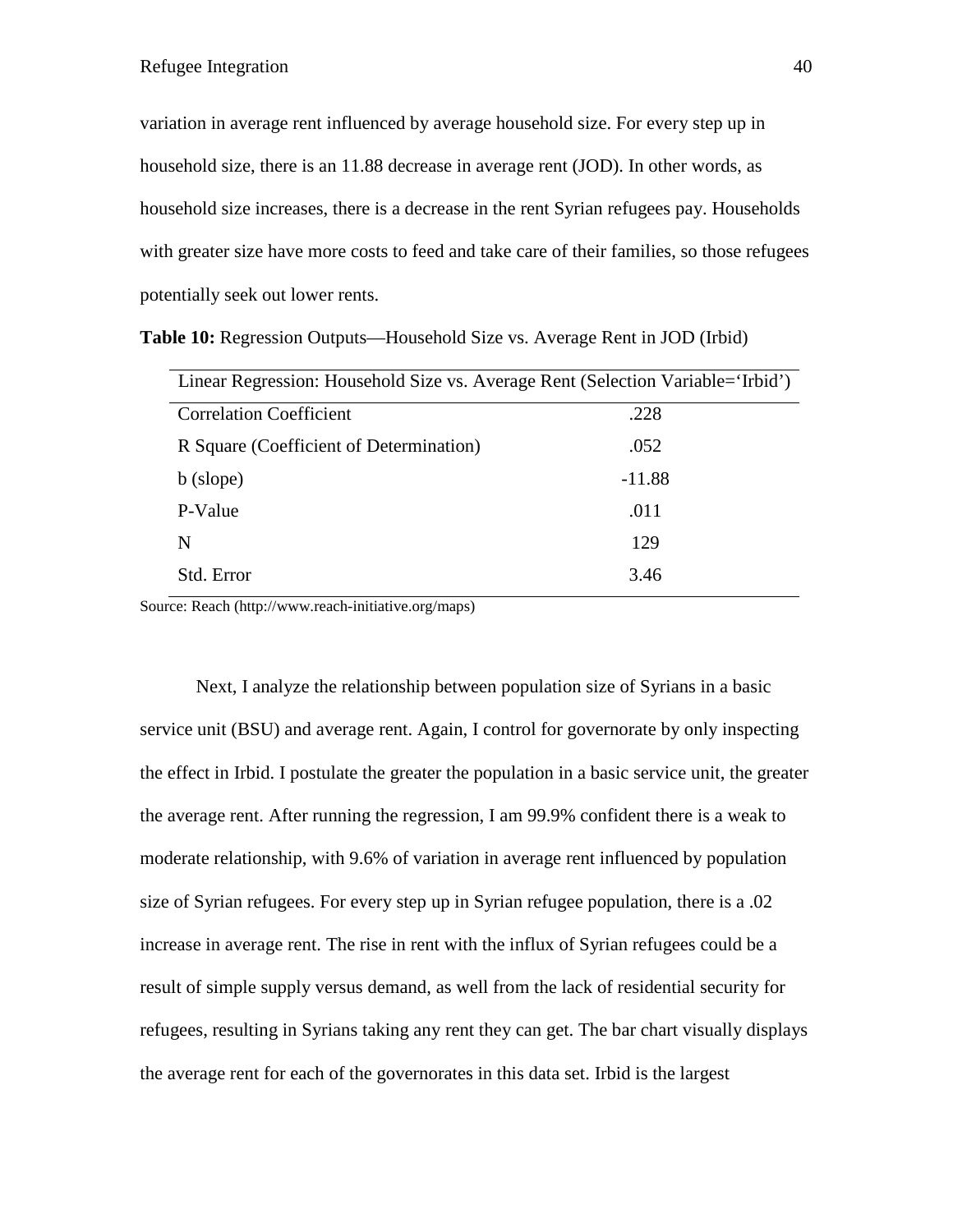variation in average rent influenced by average household size. For every step up in household size, there is an 11.88 decrease in average rent (JOD). In other words, as household size increases, there is a decrease in the rent Syrian refugees pay. Households with greater size have more costs to feed and take care of their families, so those refugees potentially seek out lower rents.

| Linear Regression: Household Size vs. Average Rent (Selection Variable='Irbid') |          |  |  |
|---------------------------------------------------------------------------------|----------|--|--|
| <b>Correlation Coefficient</b>                                                  | .228     |  |  |
| R Square (Coefficient of Determination)                                         | .052     |  |  |
| b (slope)                                                                       | $-11.88$ |  |  |
| P-Value                                                                         | .011     |  |  |
| N                                                                               | 129      |  |  |
| Std. Error                                                                      | 3.46     |  |  |

Source: Reach (http://www.reach-initiative.org/maps)

Next, I analyze the relationship between population size of Syrians in a basic service unit (BSU) and average rent. Again, I control for governorate by only inspecting the effect in Irbid. I postulate the greater the population in a basic service unit, the greater the average rent. After running the regression, I am 99.9% confident there is a weak to moderate relationship, with 9.6% of variation in average rent influenced by population size of Syrian refugees. For every step up in Syrian refugee population, there is a .02 increase in average rent. The rise in rent with the influx of Syrian refugees could be a result of simple supply versus demand, as well from the lack of residential security for refugees, resulting in Syrians taking any rent they can get. The bar chart visually displays the average rent for each of the governorates in this data set. Irbid is the largest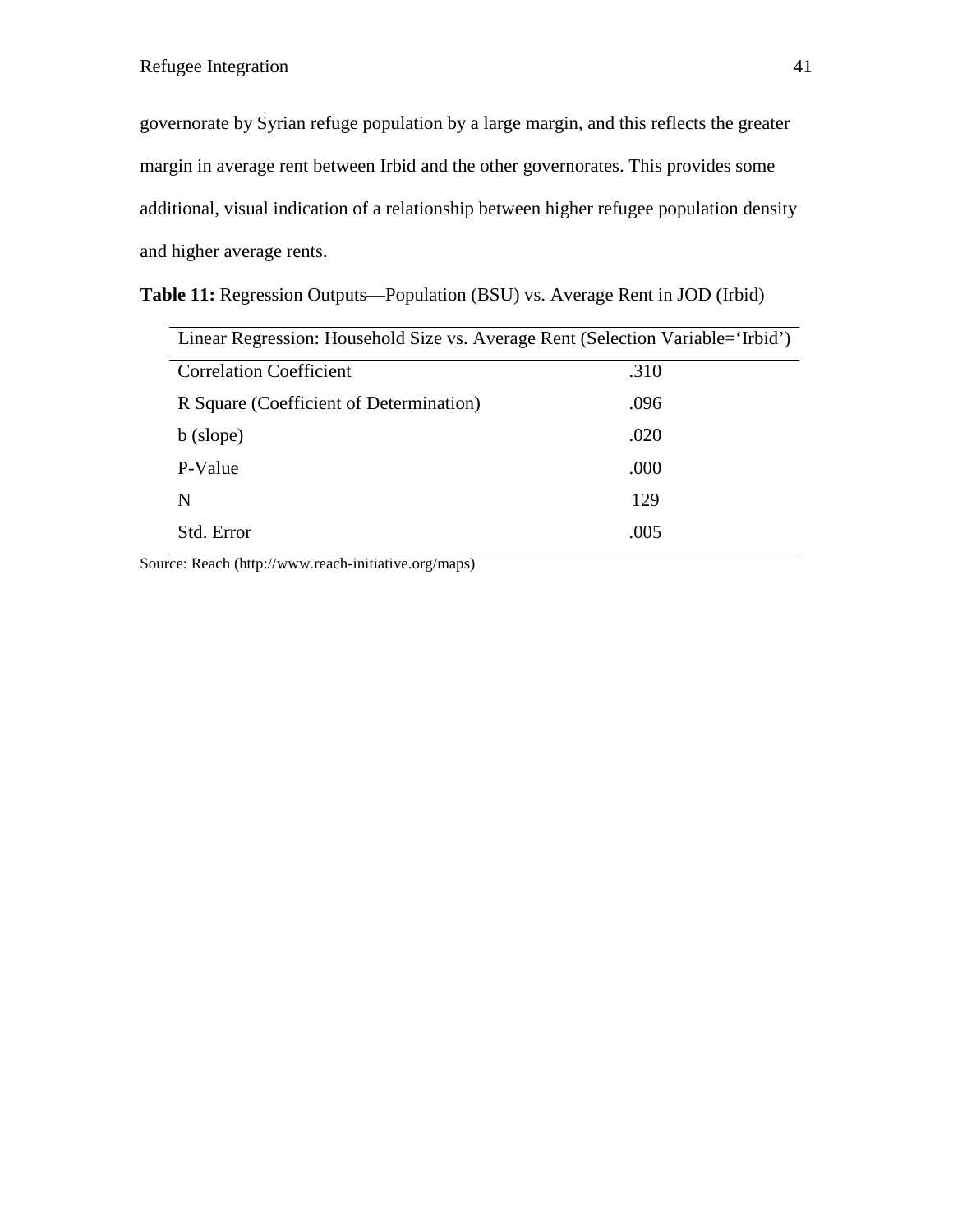governorate by Syrian refuge population by a large margin, and this reflects the greater margin in average rent between Irbid and the other governorates. This provides some additional, visual indication of a relationship between higher refugee population density and higher average rents.

|  | Table 11: Regression Outputs—Population (BSU) vs. Average Rent in JOD (Irbid) |  |
|--|-------------------------------------------------------------------------------|--|
|--|-------------------------------------------------------------------------------|--|

| Linear Regression: Household Size vs. Average Rent (Selection Variable='Irbid') |  |  |  |  |  |  |
|---------------------------------------------------------------------------------|--|--|--|--|--|--|
| .310                                                                            |  |  |  |  |  |  |
| .096                                                                            |  |  |  |  |  |  |
| .020                                                                            |  |  |  |  |  |  |
| .000                                                                            |  |  |  |  |  |  |
| 129                                                                             |  |  |  |  |  |  |
| .005                                                                            |  |  |  |  |  |  |
|                                                                                 |  |  |  |  |  |  |

Source: Reach (http://www.reach-initiative.org/maps)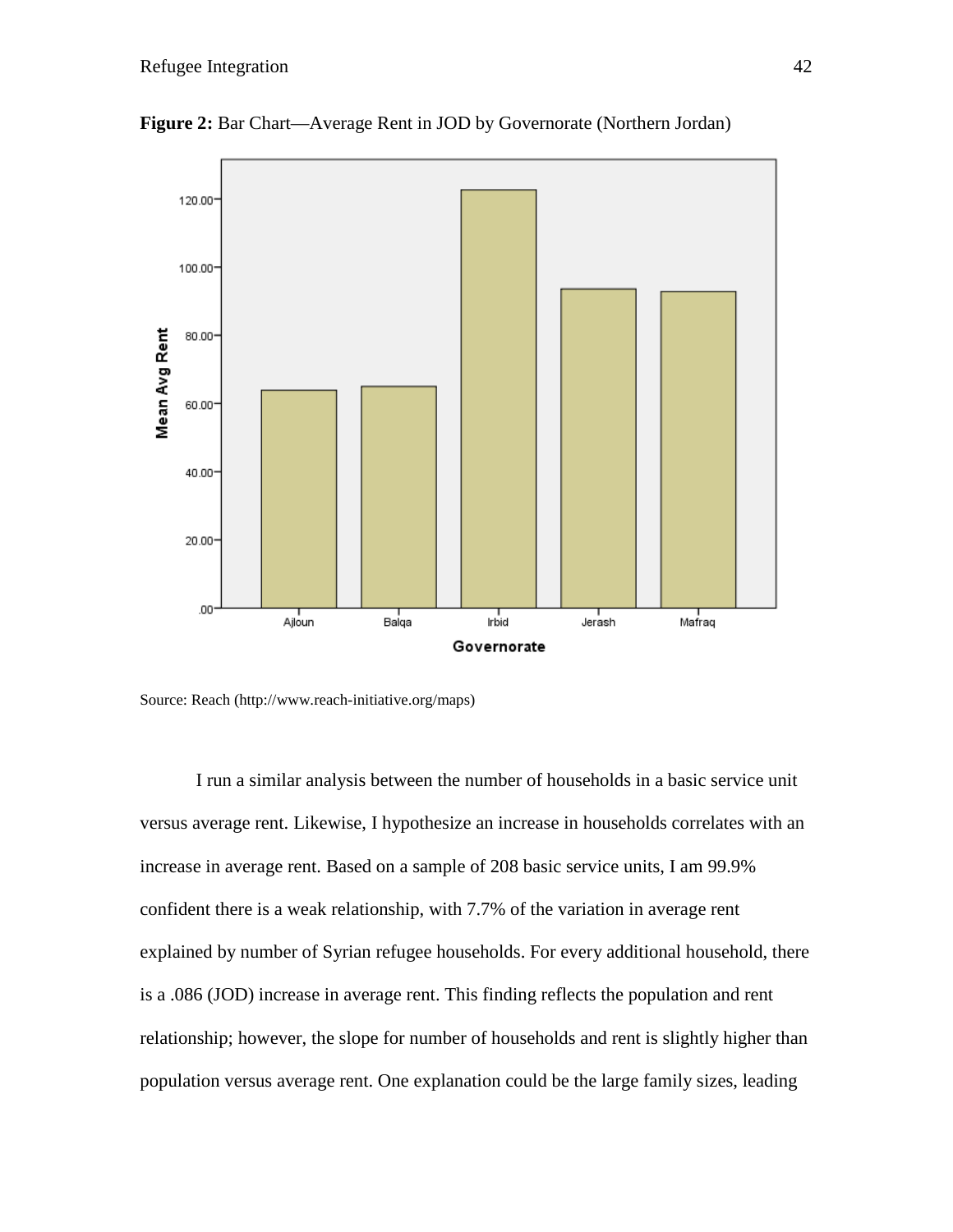

**Figure 2:** Bar Chart—Average Rent in JOD by Governorate (Northern Jordan)

Source: Reach (http://www.reach-initiative.org/maps)

I run a similar analysis between the number of households in a basic service unit versus average rent. Likewise, I hypothesize an increase in households correlates with an increase in average rent. Based on a sample of 208 basic service units, I am 99.9% confident there is a weak relationship, with 7.7% of the variation in average rent explained by number of Syrian refugee households. For every additional household, there is a .086 (JOD) increase in average rent. This finding reflects the population and rent relationship; however, the slope for number of households and rent is slightly higher than population versus average rent. One explanation could be the large family sizes, leading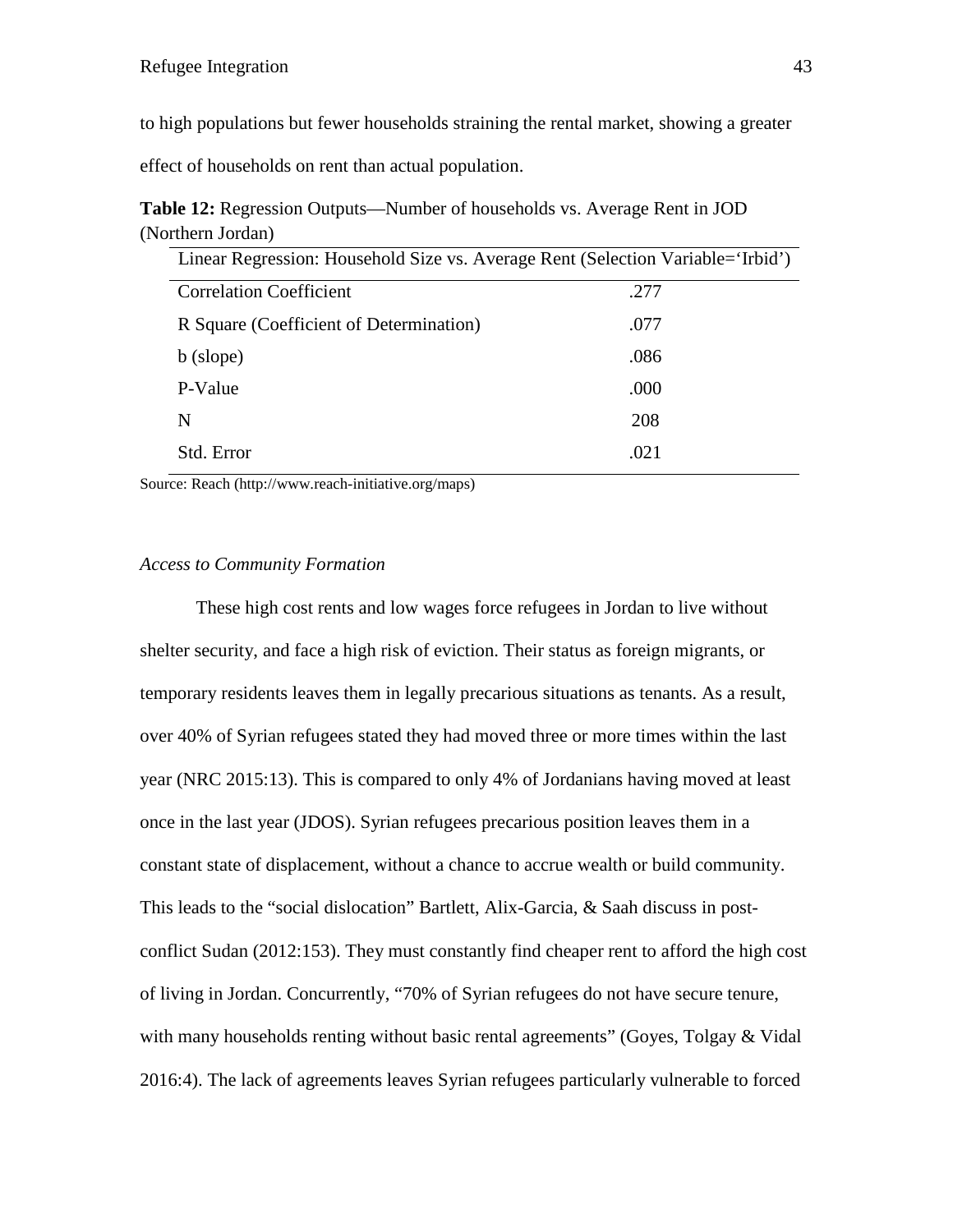to high populations but fewer households straining the rental market, showing a greater

effect of households on rent than actual population.

**Table 12:** Regression Outputs—Number of households vs. Average Rent in JOD (Northern Jordan)

| Linear Regression: Household Size vs. Average Rent (Selection Variable='Irbid') |      |  |  |  |  |  |
|---------------------------------------------------------------------------------|------|--|--|--|--|--|
| <b>Correlation Coefficient</b>                                                  | .277 |  |  |  |  |  |
| R Square (Coefficient of Determination)                                         | .077 |  |  |  |  |  |
| b (slope)                                                                       | .086 |  |  |  |  |  |
| P-Value                                                                         | .000 |  |  |  |  |  |
| N                                                                               | 208  |  |  |  |  |  |
| Std. Error                                                                      | .021 |  |  |  |  |  |

Source: Reach (http://www.reach-initiative.org/maps)

# *Access to Community Formation*

These high cost rents and low wages force refugees in Jordan to live without shelter security, and face a high risk of eviction. Their status as foreign migrants, or temporary residents leaves them in legally precarious situations as tenants. As a result, over 40% of Syrian refugees stated they had moved three or more times within the last year (NRC 2015:13). This is compared to only 4% of Jordanians having moved at least once in the last year (JDOS). Syrian refugees precarious position leaves them in a constant state of displacement, without a chance to accrue wealth or build community. This leads to the "social dislocation" Bartlett, Alix-Garcia, & Saah discuss in postconflict Sudan (2012:153). They must constantly find cheaper rent to afford the high cost of living in Jordan. Concurrently, "70% of Syrian refugees do not have secure tenure, with many households renting without basic rental agreements" (Goyes, Tolgay & Vidal 2016:4). The lack of agreements leaves Syrian refugees particularly vulnerable to forced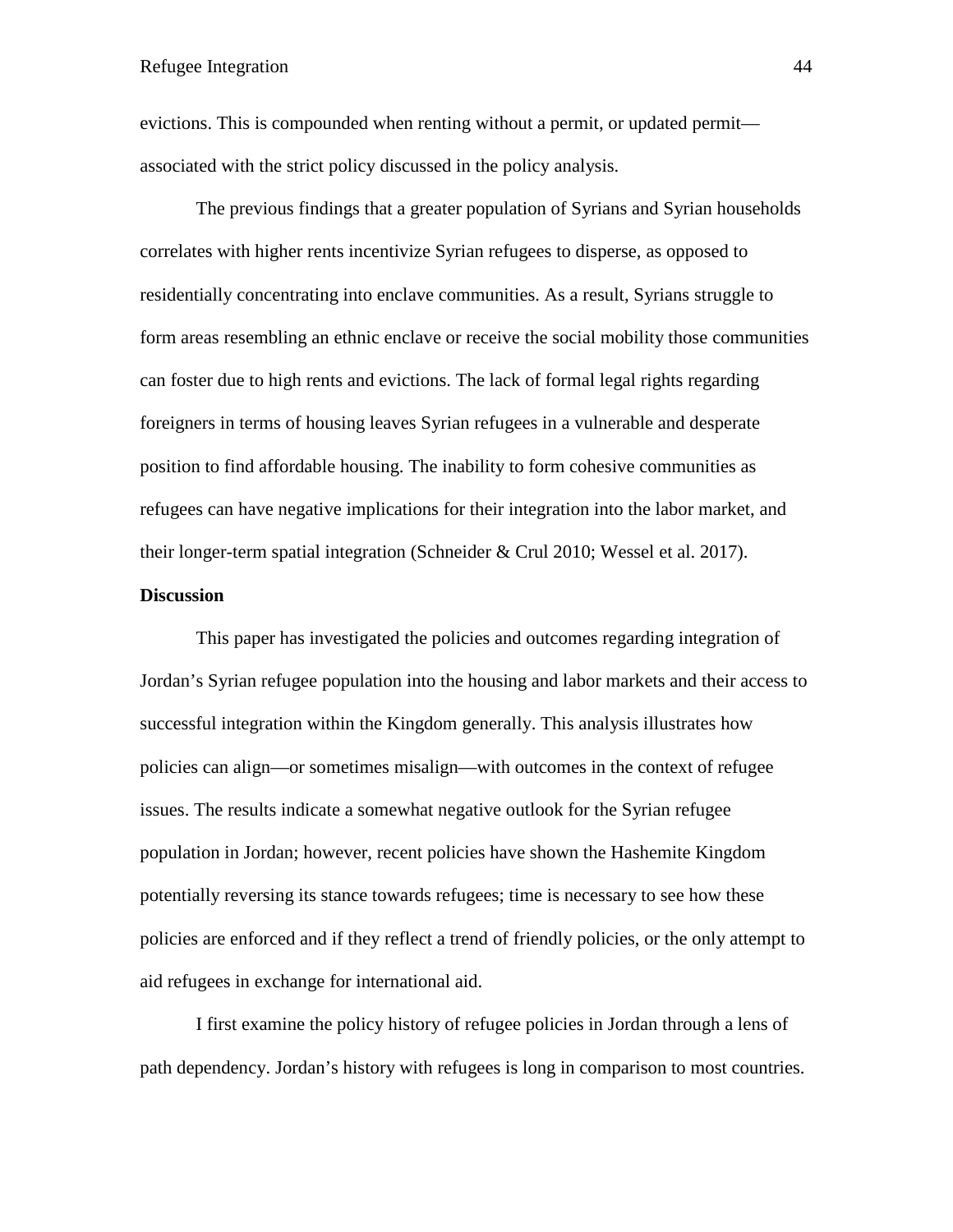evictions. This is compounded when renting without a permit, or updated permit associated with the strict policy discussed in the policy analysis.

The previous findings that a greater population of Syrians and Syrian households correlates with higher rents incentivize Syrian refugees to disperse, as opposed to residentially concentrating into enclave communities. As a result, Syrians struggle to form areas resembling an ethnic enclave or receive the social mobility those communities can foster due to high rents and evictions. The lack of formal legal rights regarding foreigners in terms of housing leaves Syrian refugees in a vulnerable and desperate position to find affordable housing. The inability to form cohesive communities as refugees can have negative implications for their integration into the labor market, and their longer-term spatial integration (Schneider & Crul 2010; Wessel et al. 2017).

#### **Discussion**

This paper has investigated the policies and outcomes regarding integration of Jordan's Syrian refugee population into the housing and labor markets and their access to successful integration within the Kingdom generally. This analysis illustrates how policies can align—or sometimes misalign—with outcomes in the context of refugee issues. The results indicate a somewhat negative outlook for the Syrian refugee population in Jordan; however, recent policies have shown the Hashemite Kingdom potentially reversing its stance towards refugees; time is necessary to see how these policies are enforced and if they reflect a trend of friendly policies, or the only attempt to aid refugees in exchange for international aid.

I first examine the policy history of refugee policies in Jordan through a lens of path dependency. Jordan's history with refugees is long in comparison to most countries.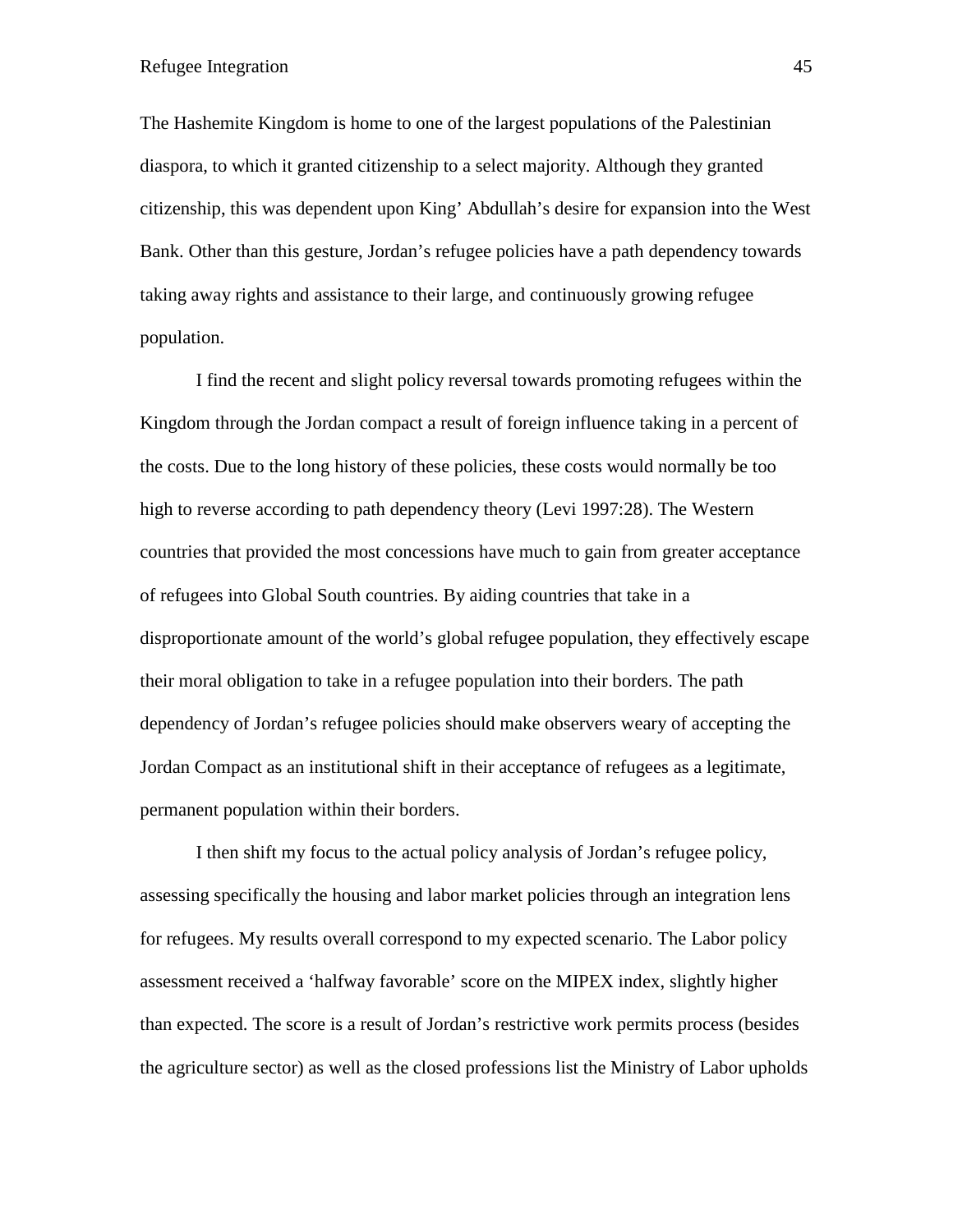The Hashemite Kingdom is home to one of the largest populations of the Palestinian diaspora, to which it granted citizenship to a select majority. Although they granted citizenship, this was dependent upon King' Abdullah's desire for expansion into the West Bank. Other than this gesture, Jordan's refugee policies have a path dependency towards taking away rights and assistance to their large, and continuously growing refugee population.

I find the recent and slight policy reversal towards promoting refugees within the Kingdom through the Jordan compact a result of foreign influence taking in a percent of the costs. Due to the long history of these policies, these costs would normally be too high to reverse according to path dependency theory (Levi 1997:28). The Western countries that provided the most concessions have much to gain from greater acceptance of refugees into Global South countries. By aiding countries that take in a disproportionate amount of the world's global refugee population, they effectively escape their moral obligation to take in a refugee population into their borders. The path dependency of Jordan's refugee policies should make observers weary of accepting the Jordan Compact as an institutional shift in their acceptance of refugees as a legitimate, permanent population within their borders.

I then shift my focus to the actual policy analysis of Jordan's refugee policy, assessing specifically the housing and labor market policies through an integration lens for refugees. My results overall correspond to my expected scenario. The Labor policy assessment received a 'halfway favorable' score on the MIPEX index, slightly higher than expected. The score is a result of Jordan's restrictive work permits process (besides the agriculture sector) as well as the closed professions list the Ministry of Labor upholds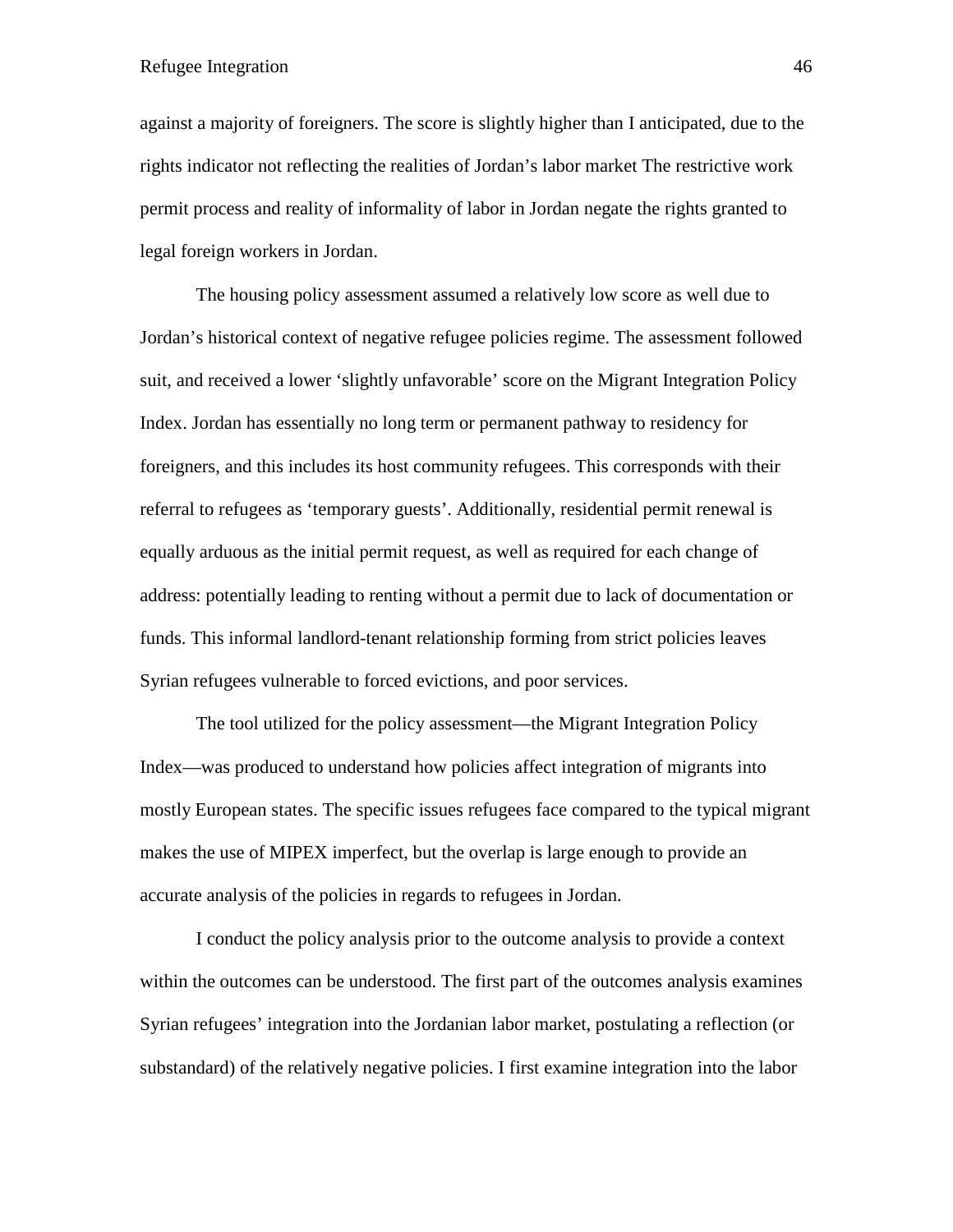against a majority of foreigners. The score is slightly higher than I anticipated, due to the rights indicator not reflecting the realities of Jordan's labor market The restrictive work permit process and reality of informality of labor in Jordan negate the rights granted to legal foreign workers in Jordan.

The housing policy assessment assumed a relatively low score as well due to Jordan's historical context of negative refugee policies regime. The assessment followed suit, and received a lower 'slightly unfavorable' score on the Migrant Integration Policy Index. Jordan has essentially no long term or permanent pathway to residency for foreigners, and this includes its host community refugees. This corresponds with their referral to refugees as 'temporary guests'. Additionally, residential permit renewal is equally arduous as the initial permit request, as well as required for each change of address: potentially leading to renting without a permit due to lack of documentation or funds. This informal landlord-tenant relationship forming from strict policies leaves Syrian refugees vulnerable to forced evictions, and poor services.

The tool utilized for the policy assessment—the Migrant Integration Policy Index—was produced to understand how policies affect integration of migrants into mostly European states. The specific issues refugees face compared to the typical migrant makes the use of MIPEX imperfect, but the overlap is large enough to provide an accurate analysis of the policies in regards to refugees in Jordan.

I conduct the policy analysis prior to the outcome analysis to provide a context within the outcomes can be understood. The first part of the outcomes analysis examines Syrian refugees' integration into the Jordanian labor market, postulating a reflection (or substandard) of the relatively negative policies. I first examine integration into the labor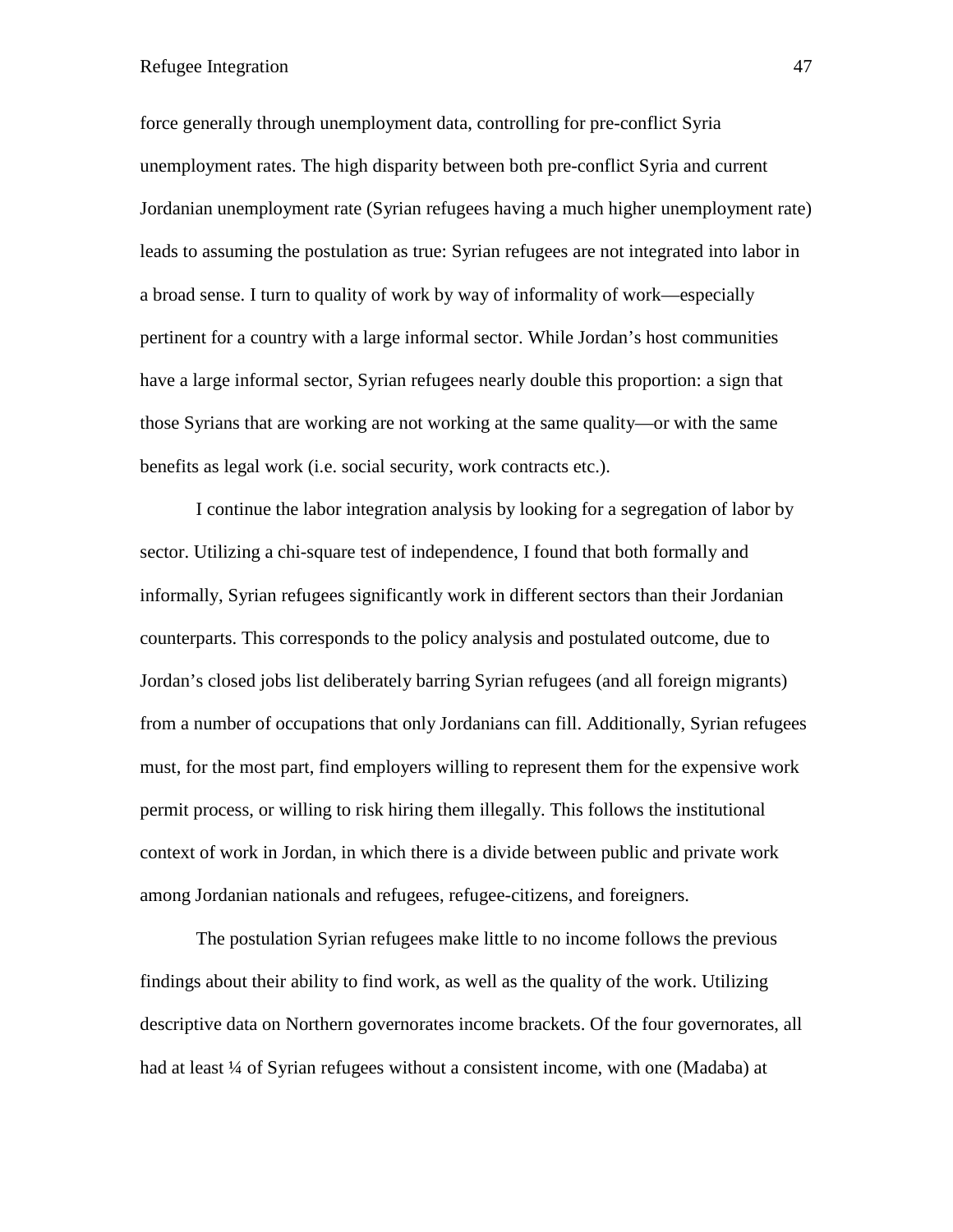force generally through unemployment data, controlling for pre-conflict Syria unemployment rates. The high disparity between both pre-conflict Syria and current Jordanian unemployment rate (Syrian refugees having a much higher unemployment rate) leads to assuming the postulation as true: Syrian refugees are not integrated into labor in a broad sense. I turn to quality of work by way of informality of work—especially pertinent for a country with a large informal sector. While Jordan's host communities have a large informal sector, Syrian refugees nearly double this proportion: a sign that those Syrians that are working are not working at the same quality—or with the same benefits as legal work (i.e. social security, work contracts etc.).

I continue the labor integration analysis by looking for a segregation of labor by sector. Utilizing a chi-square test of independence, I found that both formally and informally, Syrian refugees significantly work in different sectors than their Jordanian counterparts. This corresponds to the policy analysis and postulated outcome, due to Jordan's closed jobs list deliberately barring Syrian refugees (and all foreign migrants) from a number of occupations that only Jordanians can fill. Additionally, Syrian refugees must, for the most part, find employers willing to represent them for the expensive work permit process, or willing to risk hiring them illegally. This follows the institutional context of work in Jordan, in which there is a divide between public and private work among Jordanian nationals and refugees, refugee-citizens, and foreigners.

The postulation Syrian refugees make little to no income follows the previous findings about their ability to find work, as well as the quality of the work. Utilizing descriptive data on Northern governorates income brackets. Of the four governorates, all had at least ¼ of Syrian refugees without a consistent income, with one (Madaba) at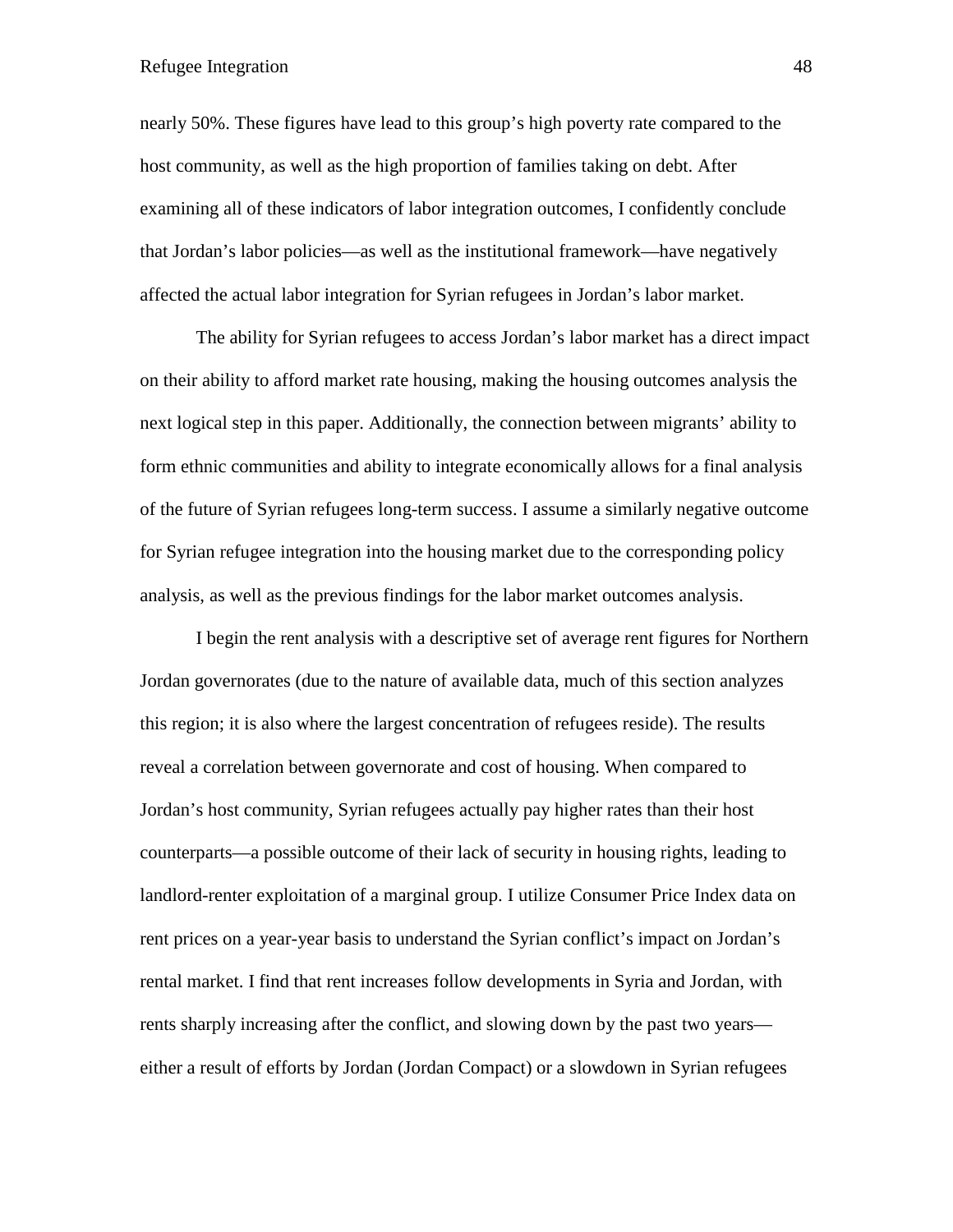nearly 50%. These figures have lead to this group's high poverty rate compared to the host community, as well as the high proportion of families taking on debt. After examining all of these indicators of labor integration outcomes, I confidently conclude that Jordan's labor policies—as well as the institutional framework—have negatively affected the actual labor integration for Syrian refugees in Jordan's labor market.

The ability for Syrian refugees to access Jordan's labor market has a direct impact on their ability to afford market rate housing, making the housing outcomes analysis the next logical step in this paper. Additionally, the connection between migrants' ability to form ethnic communities and ability to integrate economically allows for a final analysis of the future of Syrian refugees long-term success. I assume a similarly negative outcome for Syrian refugee integration into the housing market due to the corresponding policy analysis, as well as the previous findings for the labor market outcomes analysis.

I begin the rent analysis with a descriptive set of average rent figures for Northern Jordan governorates (due to the nature of available data, much of this section analyzes this region; it is also where the largest concentration of refugees reside). The results reveal a correlation between governorate and cost of housing. When compared to Jordan's host community, Syrian refugees actually pay higher rates than their host counterparts—a possible outcome of their lack of security in housing rights, leading to landlord-renter exploitation of a marginal group. I utilize Consumer Price Index data on rent prices on a year-year basis to understand the Syrian conflict's impact on Jordan's rental market. I find that rent increases follow developments in Syria and Jordan, with rents sharply increasing after the conflict, and slowing down by the past two years either a result of efforts by Jordan (Jordan Compact) or a slowdown in Syrian refugees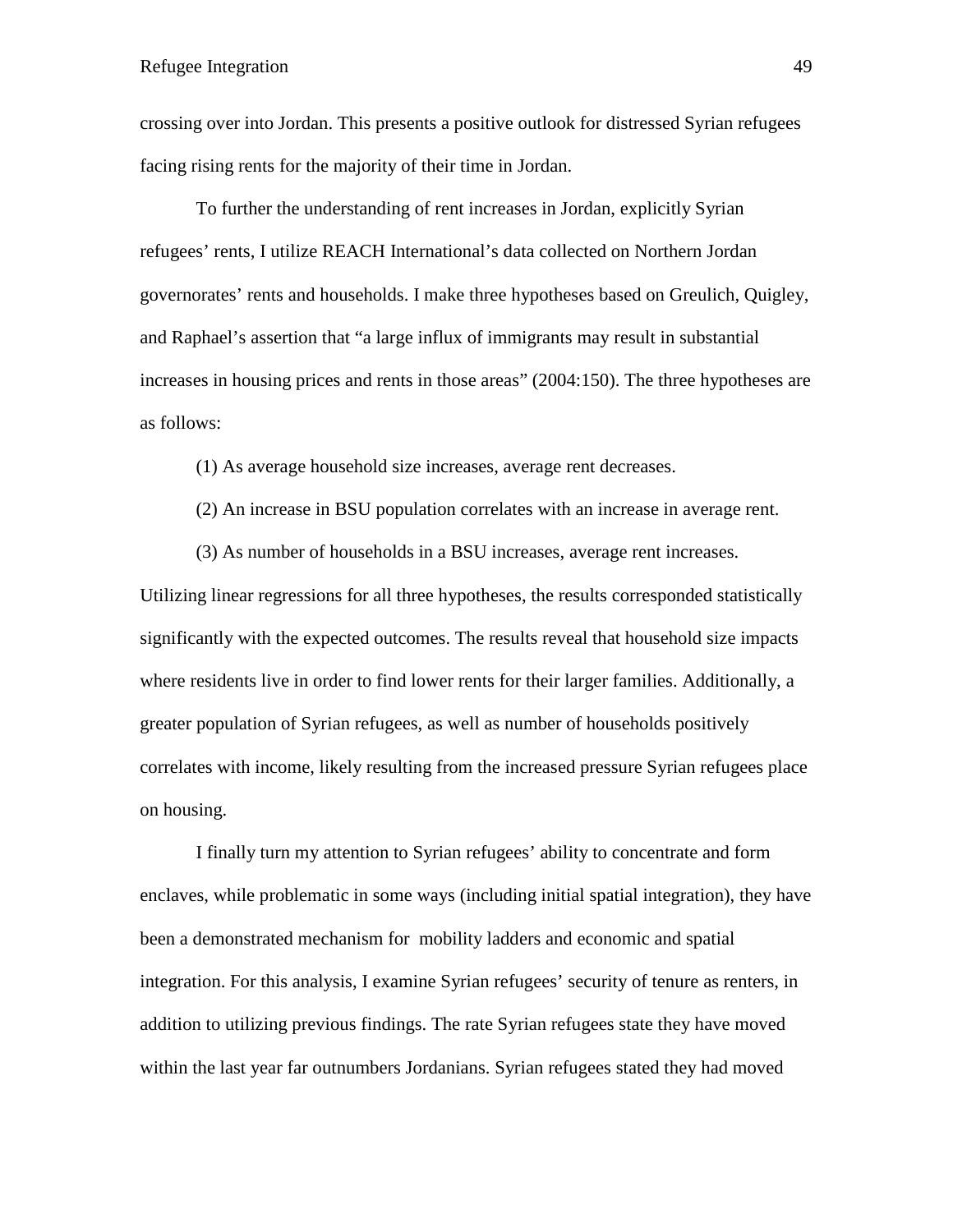crossing over into Jordan. This presents a positive outlook for distressed Syrian refugees facing rising rents for the majority of their time in Jordan.

To further the understanding of rent increases in Jordan, explicitly Syrian refugees' rents, I utilize REACH International's data collected on Northern Jordan governorates' rents and households. I make three hypotheses based on Greulich, Quigley, and Raphael's assertion that "a large influx of immigrants may result in substantial increases in housing prices and rents in those areas" (2004:150). The three hypotheses are as follows:

(1) As average household size increases, average rent decreases.

(2) An increase in BSU population correlates with an increase in average rent.

(3) As number of households in a BSU increases, average rent increases.

Utilizing linear regressions for all three hypotheses, the results corresponded statistically significantly with the expected outcomes. The results reveal that household size impacts where residents live in order to find lower rents for their larger families. Additionally, a greater population of Syrian refugees, as well as number of households positively correlates with income, likely resulting from the increased pressure Syrian refugees place on housing.

I finally turn my attention to Syrian refugees' ability to concentrate and form enclaves, while problematic in some ways (including initial spatial integration), they have been a demonstrated mechanism for mobility ladders and economic and spatial integration. For this analysis, I examine Syrian refugees' security of tenure as renters, in addition to utilizing previous findings. The rate Syrian refugees state they have moved within the last year far outnumbers Jordanians. Syrian refugees stated they had moved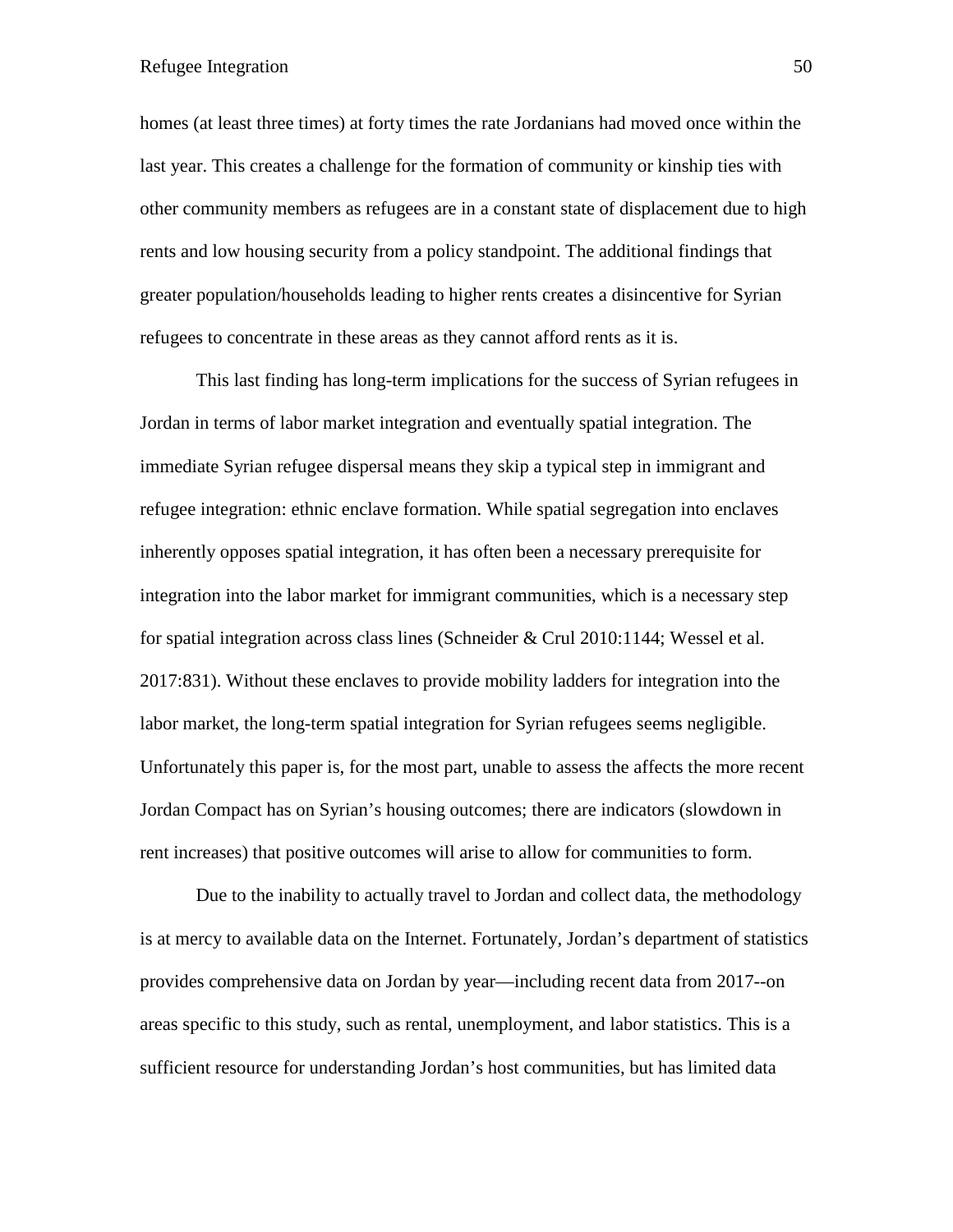homes (at least three times) at forty times the rate Jordanians had moved once within the last year. This creates a challenge for the formation of community or kinship ties with other community members as refugees are in a constant state of displacement due to high rents and low housing security from a policy standpoint. The additional findings that greater population/households leading to higher rents creates a disincentive for Syrian refugees to concentrate in these areas as they cannot afford rents as it is.

This last finding has long-term implications for the success of Syrian refugees in Jordan in terms of labor market integration and eventually spatial integration. The immediate Syrian refugee dispersal means they skip a typical step in immigrant and refugee integration: ethnic enclave formation. While spatial segregation into enclaves inherently opposes spatial integration, it has often been a necessary prerequisite for integration into the labor market for immigrant communities, which is a necessary step for spatial integration across class lines (Schneider & Crul 2010:1144; Wessel et al. 2017:831). Without these enclaves to provide mobility ladders for integration into the labor market, the long-term spatial integration for Syrian refugees seems negligible. Unfortunately this paper is, for the most part, unable to assess the affects the more recent Jordan Compact has on Syrian's housing outcomes; there are indicators (slowdown in rent increases) that positive outcomes will arise to allow for communities to form.

Due to the inability to actually travel to Jordan and collect data, the methodology is at mercy to available data on the Internet. Fortunately, Jordan's department of statistics provides comprehensive data on Jordan by year—including recent data from 2017--on areas specific to this study, such as rental, unemployment, and labor statistics. This is a sufficient resource for understanding Jordan's host communities, but has limited data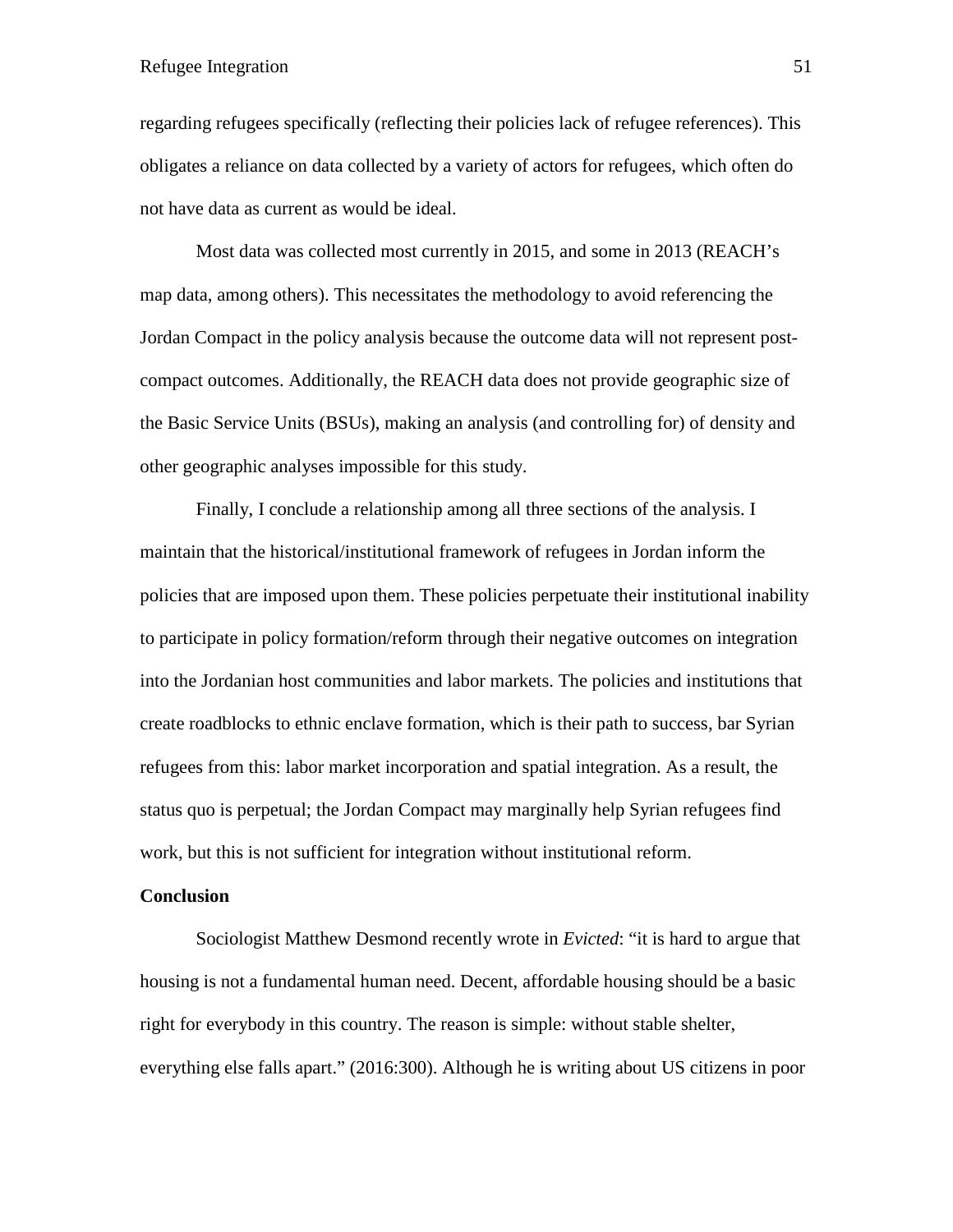regarding refugees specifically (reflecting their policies lack of refugee references). This obligates a reliance on data collected by a variety of actors for refugees, which often do not have data as current as would be ideal.

Most data was collected most currently in 2015, and some in 2013 (REACH's map data, among others). This necessitates the methodology to avoid referencing the Jordan Compact in the policy analysis because the outcome data will not represent postcompact outcomes. Additionally, the REACH data does not provide geographic size of the Basic Service Units (BSUs), making an analysis (and controlling for) of density and other geographic analyses impossible for this study.

Finally, I conclude a relationship among all three sections of the analysis. I maintain that the historical/institutional framework of refugees in Jordan inform the policies that are imposed upon them. These policies perpetuate their institutional inability to participate in policy formation/reform through their negative outcomes on integration into the Jordanian host communities and labor markets. The policies and institutions that create roadblocks to ethnic enclave formation, which is their path to success, bar Syrian refugees from this: labor market incorporation and spatial integration. As a result, the status quo is perpetual; the Jordan Compact may marginally help Syrian refugees find work, but this is not sufficient for integration without institutional reform.

# **Conclusion**

Sociologist Matthew Desmond recently wrote in *Evicted*: "it is hard to argue that housing is not a fundamental human need. Decent, affordable housing should be a basic right for everybody in this country. The reason is simple: without stable shelter, everything else falls apart." (2016:300). Although he is writing about US citizens in poor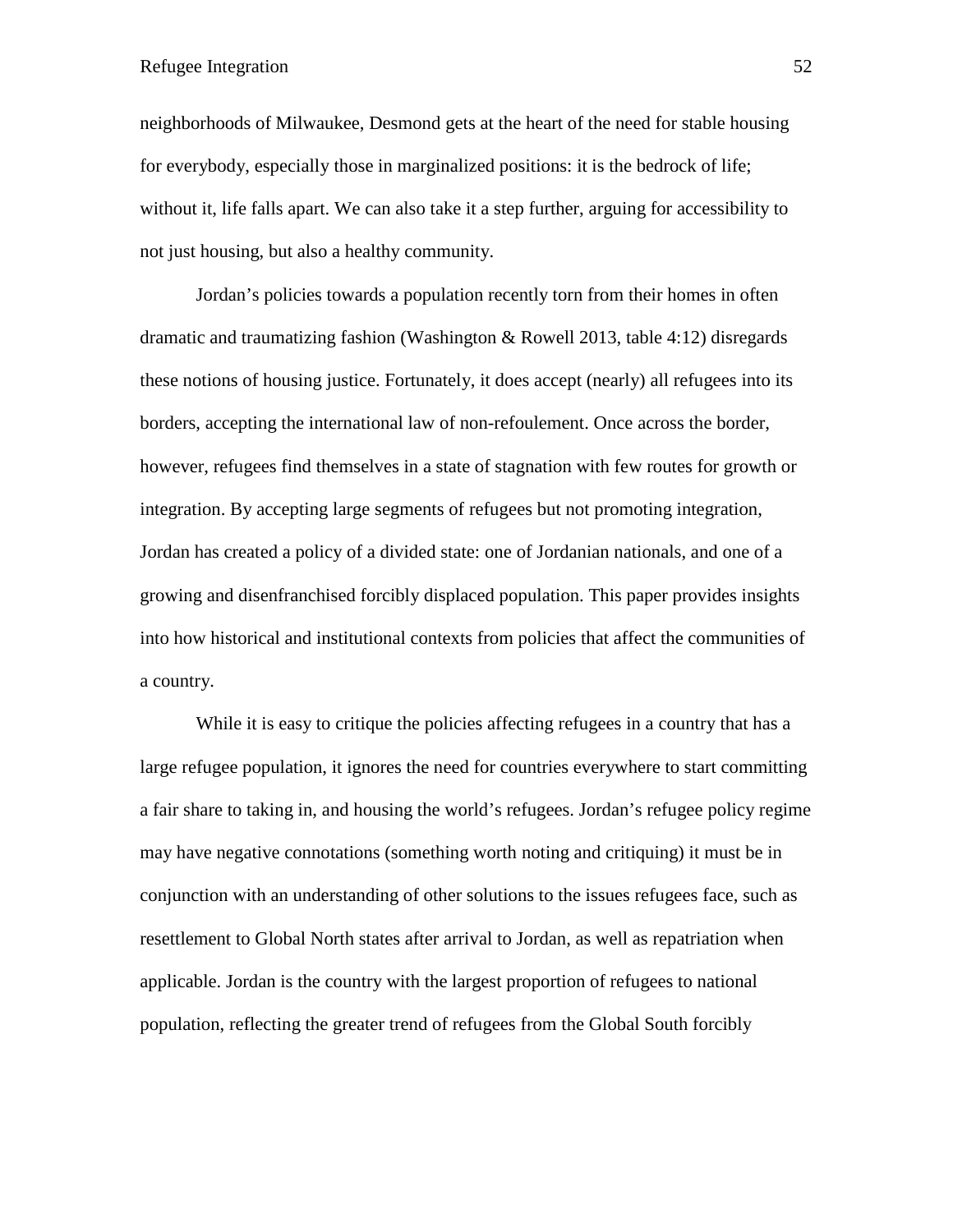neighborhoods of Milwaukee, Desmond gets at the heart of the need for stable housing for everybody, especially those in marginalized positions: it is the bedrock of life; without it, life falls apart. We can also take it a step further, arguing for accessibility to not just housing, but also a healthy community.

Jordan's policies towards a population recently torn from their homes in often dramatic and traumatizing fashion (Washington & Rowell 2013, table 4:12) disregards these notions of housing justice. Fortunately, it does accept (nearly) all refugees into its borders, accepting the international law of non-refoulement. Once across the border, however, refugees find themselves in a state of stagnation with few routes for growth or integration. By accepting large segments of refugees but not promoting integration, Jordan has created a policy of a divided state: one of Jordanian nationals, and one of a growing and disenfranchised forcibly displaced population. This paper provides insights into how historical and institutional contexts from policies that affect the communities of a country.

While it is easy to critique the policies affecting refugees in a country that has a large refugee population, it ignores the need for countries everywhere to start committing a fair share to taking in, and housing the world's refugees. Jordan's refugee policy regime may have negative connotations (something worth noting and critiquing) it must be in conjunction with an understanding of other solutions to the issues refugees face, such as resettlement to Global North states after arrival to Jordan, as well as repatriation when applicable. Jordan is the country with the largest proportion of refugees to national population, reflecting the greater trend of refugees from the Global South forcibly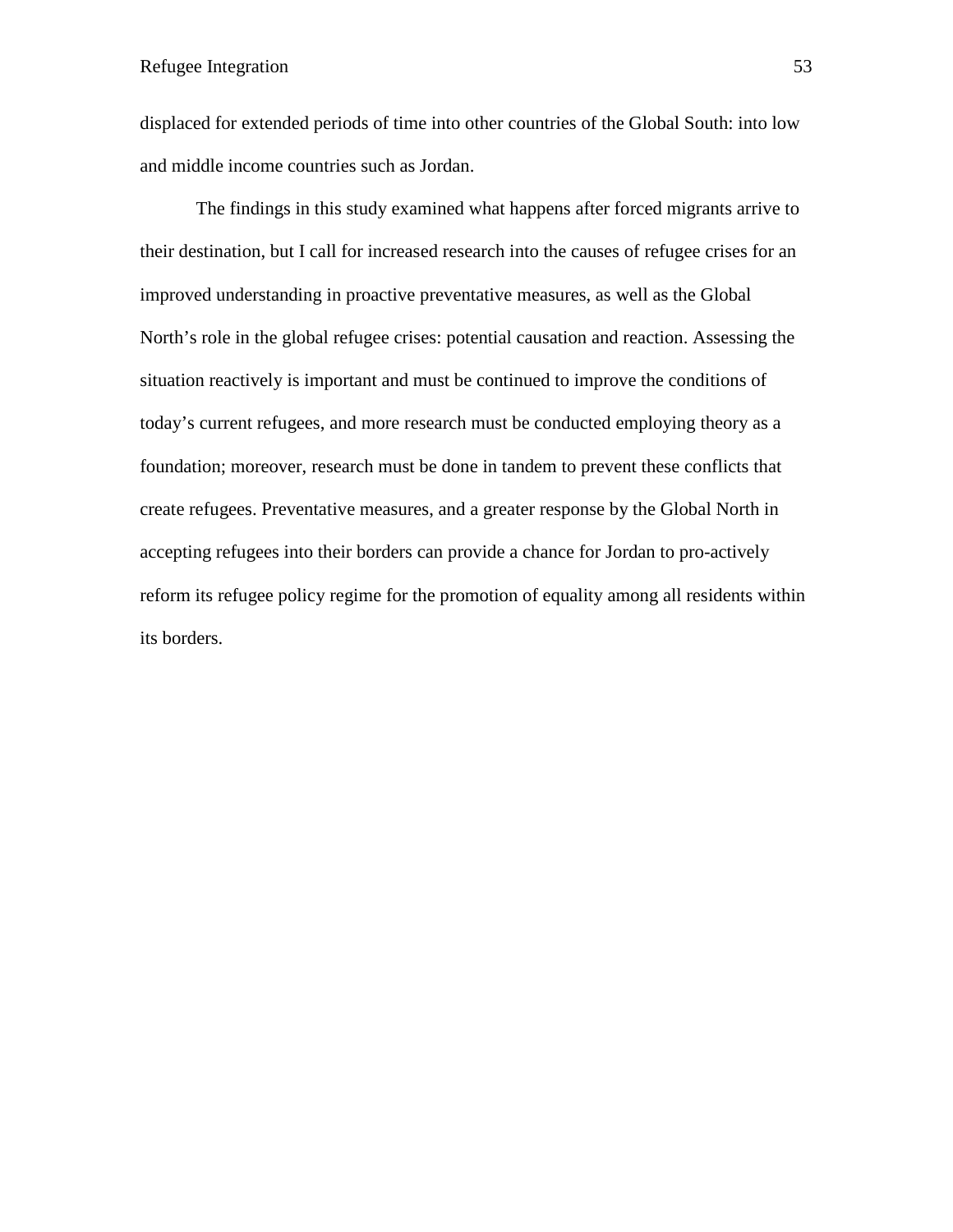displaced for extended periods of time into other countries of the Global South: into low and middle income countries such as Jordan.

The findings in this study examined what happens after forced migrants arrive to their destination, but I call for increased research into the causes of refugee crises for an improved understanding in proactive preventative measures, as well as the Global North's role in the global refugee crises: potential causation and reaction. Assessing the situation reactively is important and must be continued to improve the conditions of today's current refugees, and more research must be conducted employing theory as a foundation; moreover, research must be done in tandem to prevent these conflicts that create refugees. Preventative measures, and a greater response by the Global North in accepting refugees into their borders can provide a chance for Jordan to pro-actively reform its refugee policy regime for the promotion of equality among all residents within its borders.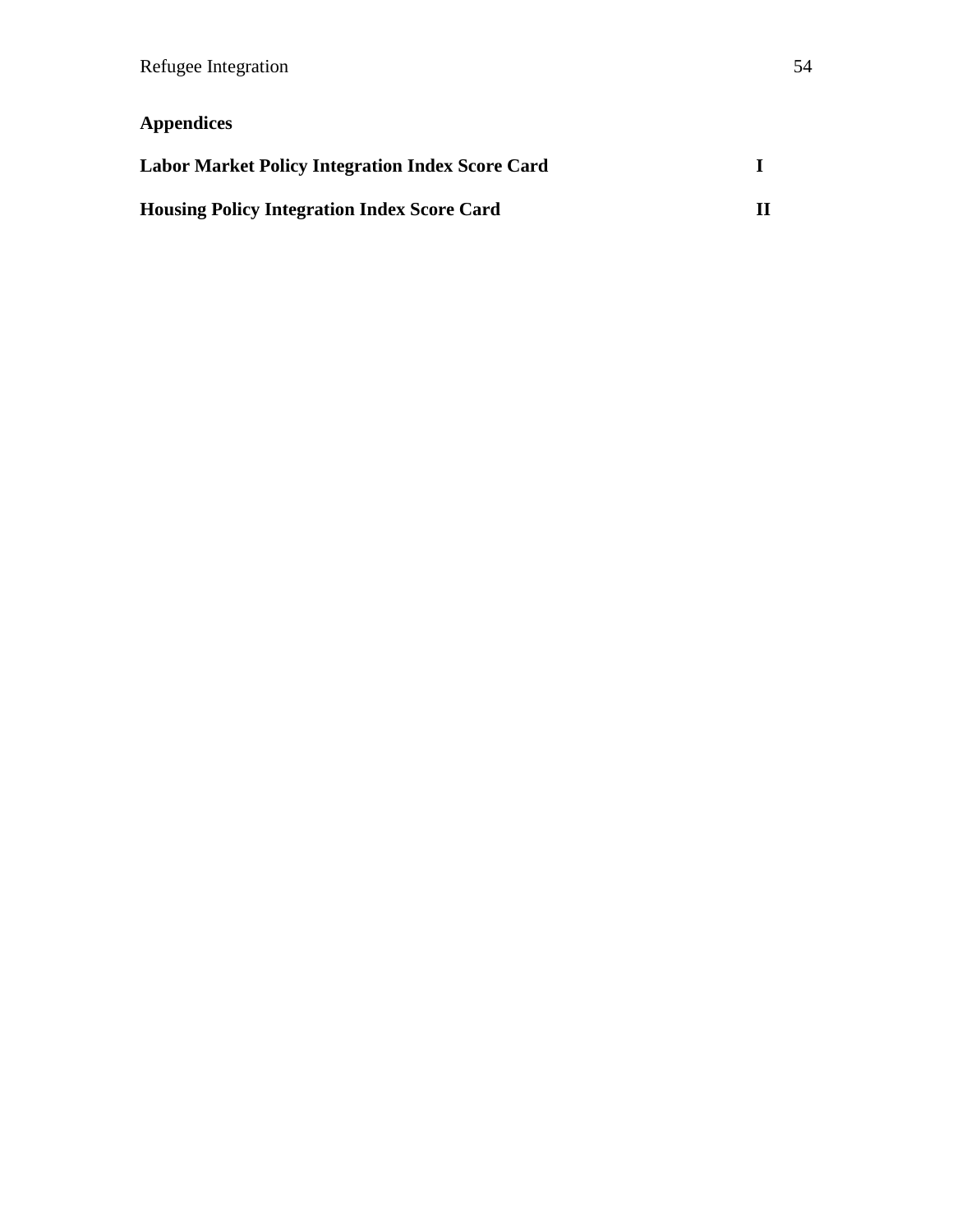# **Appendices**

| <b>Labor Market Policy Integration Index Score Card</b> |  |
|---------------------------------------------------------|--|
| <b>Housing Policy Integration Index Score Card</b>      |  |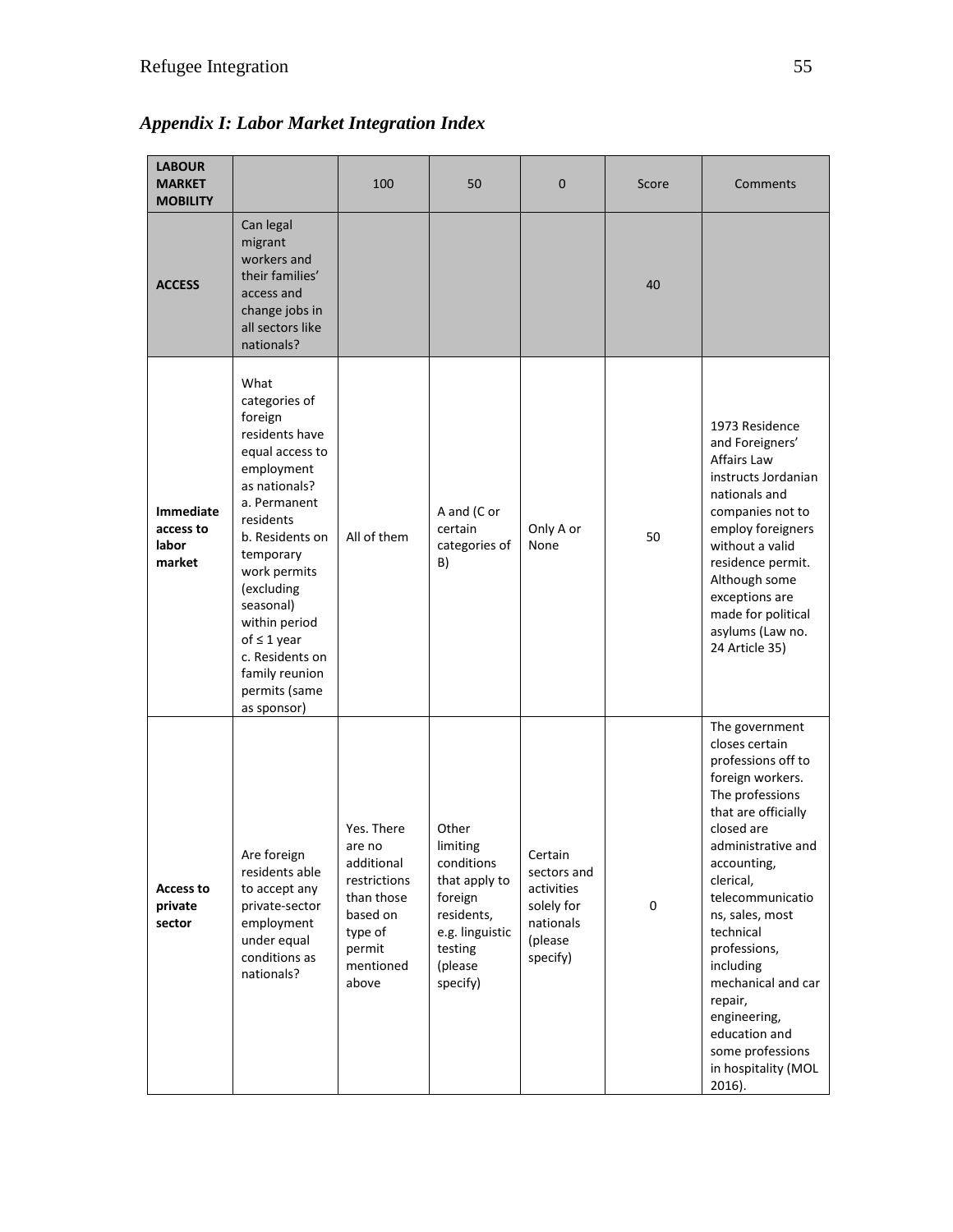| <b>LABOUR</b><br><b>MARKET</b><br><b>MOBILITY</b> |                                                                                                                                                                                                                                                                                                                        | 100                                                                                                                     | 50                                                                                                                             | 0                                                                                      | Score       | Comments                                                                                                                                                                                                                                                                                                                                                                                     |
|---------------------------------------------------|------------------------------------------------------------------------------------------------------------------------------------------------------------------------------------------------------------------------------------------------------------------------------------------------------------------------|-------------------------------------------------------------------------------------------------------------------------|--------------------------------------------------------------------------------------------------------------------------------|----------------------------------------------------------------------------------------|-------------|----------------------------------------------------------------------------------------------------------------------------------------------------------------------------------------------------------------------------------------------------------------------------------------------------------------------------------------------------------------------------------------------|
| <b>ACCESS</b>                                     | Can legal<br>migrant<br>workers and<br>their families'<br>access and<br>change jobs in<br>all sectors like<br>nationals?                                                                                                                                                                                               |                                                                                                                         |                                                                                                                                |                                                                                        | 40          |                                                                                                                                                                                                                                                                                                                                                                                              |
| <b>Immediate</b><br>access to<br>labor<br>market  | What<br>categories of<br>foreign<br>residents have<br>equal access to<br>employment<br>as nationals?<br>a. Permanent<br>residents<br>b. Residents on<br>temporary<br>work permits<br>(excluding<br>seasonal)<br>within period<br>of $\leq 1$ year<br>c. Residents on<br>family reunion<br>permits (same<br>as sponsor) | All of them                                                                                                             | A and (C or<br>certain<br>categories of<br>B)                                                                                  | Only A or<br>None                                                                      | 50          | 1973 Residence<br>and Foreigners'<br>Affairs Law<br>instructs Jordanian<br>nationals and<br>companies not to<br>employ foreigners<br>without a valid<br>residence permit.<br>Although some<br>exceptions are<br>made for political<br>asylums (Law no.<br>24 Article 35)                                                                                                                     |
| <b>Access to</b><br>private<br>sector             | Are foreign<br>residents able<br>to accept any<br>private-sector<br>employment<br>under equal<br>conditions as<br>nationals?                                                                                                                                                                                           | Yes. There<br>are no<br>additional<br>restrictions<br>than those<br>based on<br>type of<br>permit<br>mentioned<br>above | Other<br>limiting<br>conditions<br>that apply to<br>foreign<br>residents,<br>e.g. linguistic<br>testing<br>(please<br>specify) | Certain<br>sectors and<br>activities<br>solely for<br>nationals<br>(please<br>specify) | $\mathsf 0$ | The government<br>closes certain<br>professions off to<br>foreign workers.<br>The professions<br>that are officially<br>closed are<br>administrative and<br>accounting,<br>clerical,<br>telecommunicatio<br>ns, sales, most<br>technical<br>professions,<br>including<br>mechanical and car<br>repair,<br>engineering,<br>education and<br>some professions<br>in hospitality (MOL<br>2016). |

*Appendix I: Labor Market Integration Index*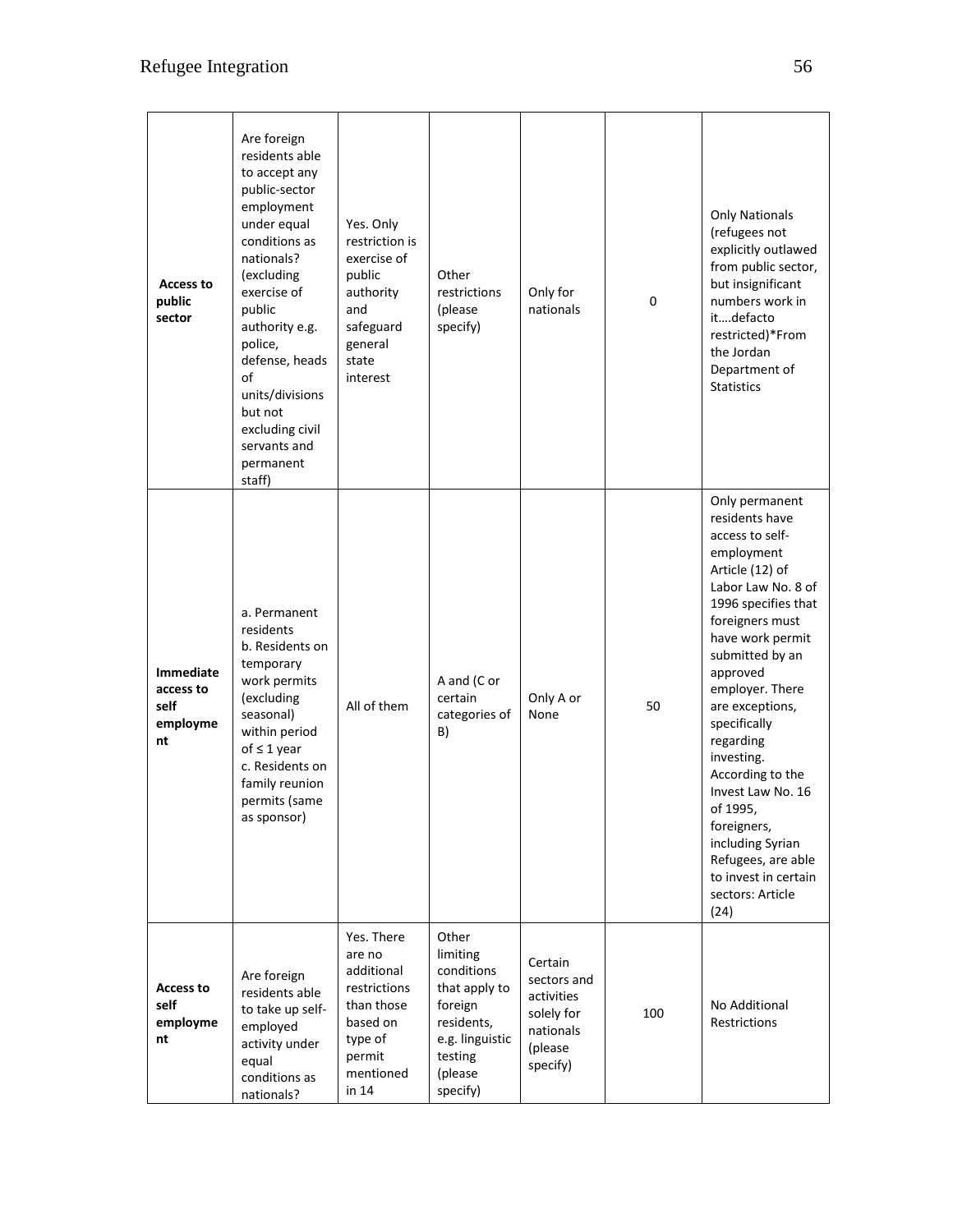| Access to<br>public<br>sector                           | Are foreign<br>residents able<br>to accept any<br>public-sector<br>employment<br>under equal<br>conditions as<br>nationals?<br>(excluding<br>exercise of<br>public<br>authority e.g.<br>police,<br>defense, heads<br>of<br>units/divisions<br>but not<br>excluding civil<br>servants and<br>permanent<br>staff) | Yes. Only<br>restriction is<br>exercise of<br>public<br>authority<br>and<br>safeguard<br>general<br>state<br>interest   | Other<br>restrictions<br>(please<br>specify)                                                                                   | Only for<br>nationals                                                                  | 0   | <b>Only Nationals</b><br>(refugees not<br>explicitly outlawed<br>from public sector,<br>but insignificant<br>numbers work in<br>itdefacto<br>restricted)*From<br>the Jordan<br>Department of<br><b>Statistics</b>                                                                                                                                                                                                                                          |
|---------------------------------------------------------|-----------------------------------------------------------------------------------------------------------------------------------------------------------------------------------------------------------------------------------------------------------------------------------------------------------------|-------------------------------------------------------------------------------------------------------------------------|--------------------------------------------------------------------------------------------------------------------------------|----------------------------------------------------------------------------------------|-----|------------------------------------------------------------------------------------------------------------------------------------------------------------------------------------------------------------------------------------------------------------------------------------------------------------------------------------------------------------------------------------------------------------------------------------------------------------|
| <b>Immediate</b><br>access to<br>self<br>employme<br>nt | a. Permanent<br>residents<br>b. Residents on<br>temporary<br>work permits<br>(excluding<br>seasonal)<br>within period<br>of $\leq 1$ year<br>c. Residents on<br>family reunion<br>permits (same<br>as sponsor)                                                                                                  | All of them                                                                                                             | A and (C or<br>certain<br>categories of<br>B)                                                                                  | Only A or<br>None                                                                      | 50  | Only permanent<br>residents have<br>access to self-<br>employment<br>Article (12) of<br>Labor Law No. 8 of<br>1996 specifies that<br>foreigners must<br>have work permit<br>submitted by an<br>approved<br>employer. There<br>are exceptions,<br>specifically<br>regarding<br>investing.<br>According to the<br>Invest Law No. 16<br>of 1995,<br>foreigners,<br>including Syrian<br>Refugees, are able<br>to invest in certain<br>sectors: Article<br>(24) |
| <b>Access to</b><br>self<br>employme<br>nt              | Are foreign<br>residents able<br>to take up self-<br>employed<br>activity under<br>equal<br>conditions as<br>nationals?                                                                                                                                                                                         | Yes. There<br>are no<br>additional<br>restrictions<br>than those<br>based on<br>type of<br>permit<br>mentioned<br>in 14 | Other<br>limiting<br>conditions<br>that apply to<br>foreign<br>residents,<br>e.g. linguistic<br>testing<br>(please<br>specify) | Certain<br>sectors and<br>activities<br>solely for<br>nationals<br>(please<br>specify) | 100 | No Additional<br><b>Restrictions</b>                                                                                                                                                                                                                                                                                                                                                                                                                       |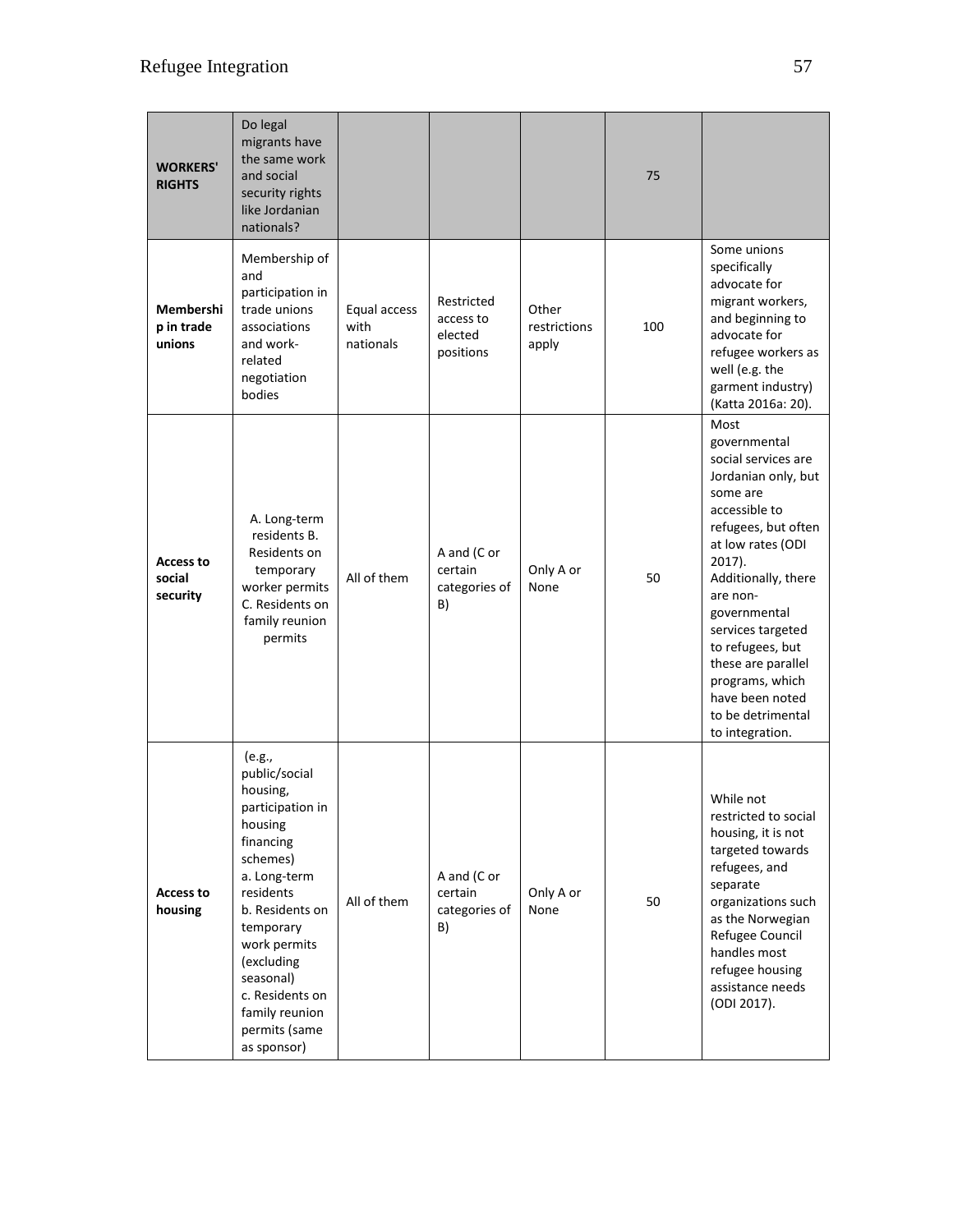| <b>WORKERS'</b><br><b>RIGHTS</b>       | Do legal<br>migrants have<br>the same work<br>and social<br>security rights<br>like Jordanian<br>nationals?                                                                                                                                                              |                                   |                                                 |                                | 75  |                                                                                                                                                                                                                                                                                                                                                          |
|----------------------------------------|--------------------------------------------------------------------------------------------------------------------------------------------------------------------------------------------------------------------------------------------------------------------------|-----------------------------------|-------------------------------------------------|--------------------------------|-----|----------------------------------------------------------------------------------------------------------------------------------------------------------------------------------------------------------------------------------------------------------------------------------------------------------------------------------------------------------|
| Membershi<br>p in trade<br>unions      | Membership of<br>and<br>participation in<br>trade unions<br>associations<br>and work-<br>related<br>negotiation<br>bodies                                                                                                                                                | Equal access<br>with<br>nationals | Restricted<br>access to<br>elected<br>positions | Other<br>restrictions<br>apply | 100 | Some unions<br>specifically<br>advocate for<br>migrant workers,<br>and beginning to<br>advocate for<br>refugee workers as<br>well (e.g. the<br>garment industry)<br>(Katta 2016a: 20).                                                                                                                                                                   |
| <b>Access to</b><br>social<br>security | A. Long-term<br>residents B.<br>Residents on<br>temporary<br>worker permits<br>C. Residents on<br>family reunion<br>permits                                                                                                                                              | All of them                       | A and (C or<br>certain<br>categories of<br>B)   | Only A or<br>None              | 50  | Most<br>governmental<br>social services are<br>Jordanian only, but<br>some are<br>accessible to<br>refugees, but often<br>at low rates (ODI<br>$2017$ ).<br>Additionally, there<br>are non-<br>governmental<br>services targeted<br>to refugees, but<br>these are parallel<br>programs, which<br>have been noted<br>to be detrimental<br>to integration. |
| <b>Access to</b><br>housing            | (e.g.,<br>public/social<br>housing,<br>participation in<br>housing<br>financing<br>schemes)<br>a. Long-term<br>residents<br>b. Residents on<br>temporary<br>work permits<br>(excluding<br>seasonal)<br>c. Residents on<br>family reunion<br>permits (same<br>as sponsor) | All of them                       | A and (C or<br>certain<br>categories of<br>B)   | Only A or<br>None              | 50  | While not<br>restricted to social<br>housing, it is not<br>targeted towards<br>refugees, and<br>separate<br>organizations such<br>as the Norwegian<br>Refugee Council<br>handles most<br>refugee housing<br>assistance needs<br>(ODI 2017).                                                                                                              |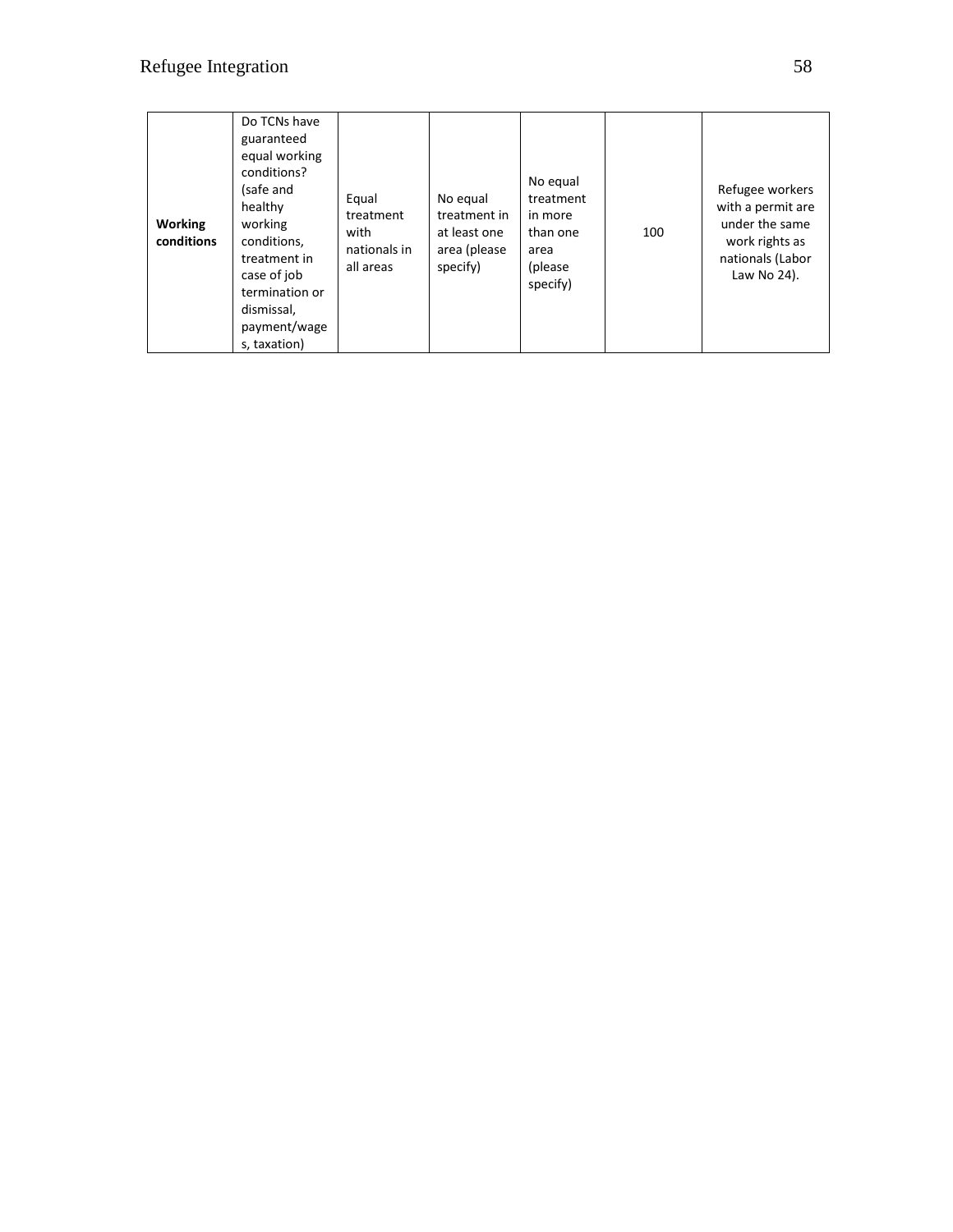| <b>Working</b><br>conditions | Do TCNs have<br>guaranteed<br>equal working<br>conditions?<br>(safe and<br>healthy<br>working<br>conditions,<br>treatment in<br>case of job<br>termination or<br>dismissal,<br>payment/wage<br>s, taxation) | Equal<br>treatment<br>with<br>nationals in<br>all areas | No equal<br>treatment in<br>at least one<br>area (please<br>specify) | No equal<br>treatment<br>in more<br>than one<br>area<br>(please)<br>specify) | 100 | Refugee workers<br>with a permit are<br>under the same<br>work rights as<br>nationals (Labor<br>Law No 24). |
|------------------------------|-------------------------------------------------------------------------------------------------------------------------------------------------------------------------------------------------------------|---------------------------------------------------------|----------------------------------------------------------------------|------------------------------------------------------------------------------|-----|-------------------------------------------------------------------------------------------------------------|
|------------------------------|-------------------------------------------------------------------------------------------------------------------------------------------------------------------------------------------------------------|---------------------------------------------------------|----------------------------------------------------------------------|------------------------------------------------------------------------------|-----|-------------------------------------------------------------------------------------------------------------|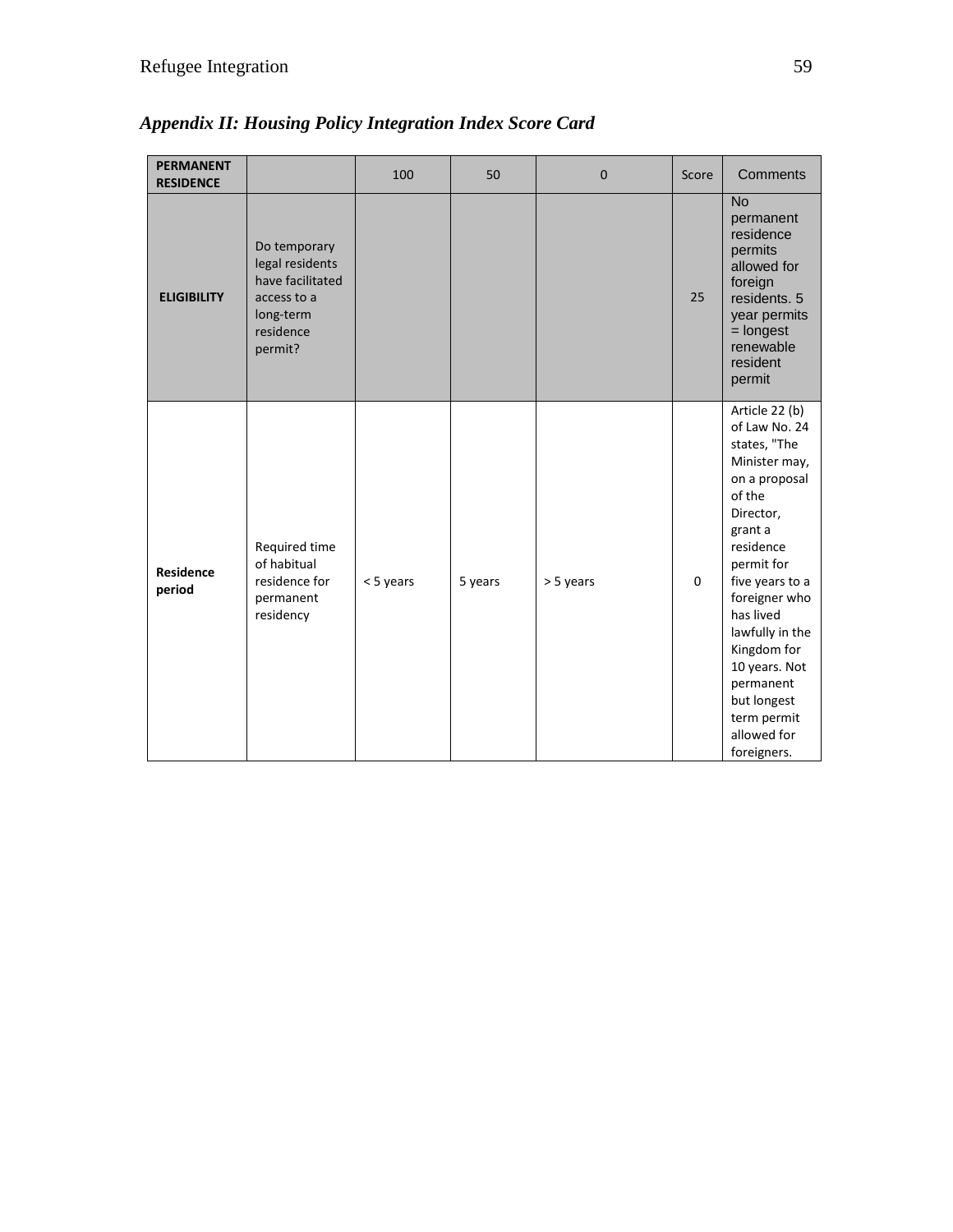| <b>PERMANENT</b><br><b>RESIDENCE</b> |                                                                                                         | 100       | 50      | $\Omega$  | Score    | Comments                                                                                                                                                                                                                                                                                                                    |
|--------------------------------------|---------------------------------------------------------------------------------------------------------|-----------|---------|-----------|----------|-----------------------------------------------------------------------------------------------------------------------------------------------------------------------------------------------------------------------------------------------------------------------------------------------------------------------------|
| <b>ELIGIBILITY</b>                   | Do temporary<br>legal residents<br>have facilitated<br>access to a<br>long-term<br>residence<br>permit? |           |         |           | 25       | <b>No</b><br>permanent<br>residence<br>permits<br>allowed for<br>foreign<br>residents, 5<br>year permits<br>$=$ longest<br>renewable<br>resident<br>permit                                                                                                                                                                  |
| <b>Residence</b><br>period           | Required time<br>of habitual<br>residence for<br>permanent<br>residency                                 | < 5 years | 5 years | > 5 years | $\Omega$ | Article 22 (b)<br>of Law No. 24<br>states, "The<br>Minister may,<br>on a proposal<br>of the<br>Director,<br>grant a<br>residence<br>permit for<br>five years to a<br>foreigner who<br>has lived<br>lawfully in the<br>Kingdom for<br>10 years. Not<br>permanent<br>but longest<br>term permit<br>allowed for<br>foreigners. |

*Appendix II: Housing Policy Integration Index Score Card*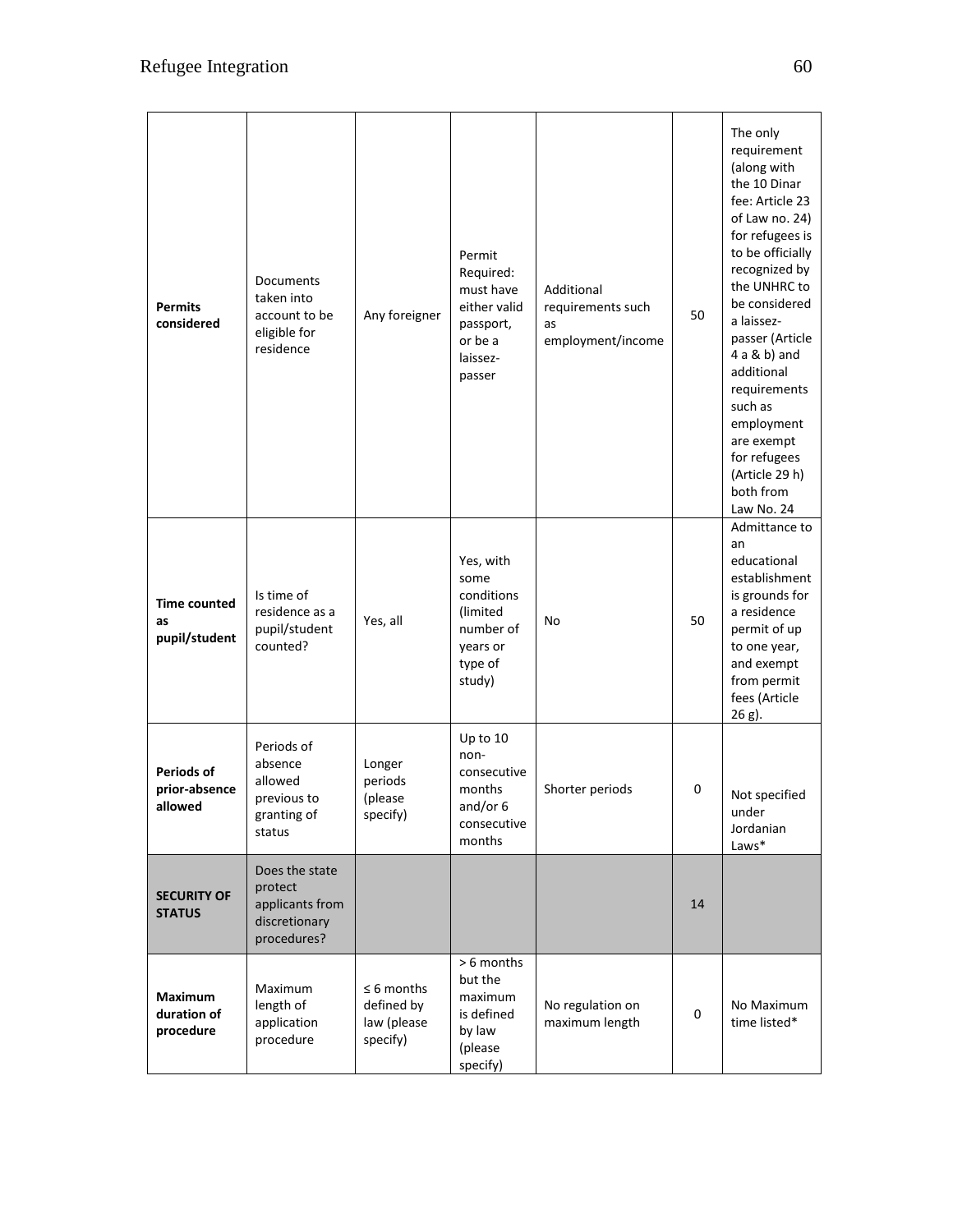| <b>Permits</b><br>considered                  | Documents<br>taken into<br>account to be<br>eligible for<br>residence        | Any foreigner                                            | Permit<br>Required:<br>must have<br>either valid<br>passport,<br>or be a<br>laissez-<br>passer | Additional<br>requirements such<br>as<br>employment/income | 50 | The only<br>requirement<br>(along with<br>the 10 Dinar<br>fee: Article 23<br>of Law no. 24)<br>for refugees is<br>to be officially<br>recognized by<br>the UNHRC to<br>be considered<br>a laissez-<br>passer (Article<br>$4a & b$ ) and<br>additional<br>requirements<br>such as<br>employment<br>are exempt<br>for refugees<br>(Article 29 h)<br>both from<br>Law No. 24 |
|-----------------------------------------------|------------------------------------------------------------------------------|----------------------------------------------------------|------------------------------------------------------------------------------------------------|------------------------------------------------------------|----|---------------------------------------------------------------------------------------------------------------------------------------------------------------------------------------------------------------------------------------------------------------------------------------------------------------------------------------------------------------------------|
| <b>Time counted</b><br>as<br>pupil/student    | Is time of<br>residence as a<br>pupil/student<br>counted?                    | Yes, all                                                 | Yes, with<br>some<br>conditions<br>(limited<br>number of<br>years or<br>type of<br>study)      | No                                                         | 50 | Admittance to<br>an<br>educational<br>establishment<br>is grounds for<br>a residence<br>permit of up<br>to one year,<br>and exempt<br>from permit<br>fees (Article<br>26 g).                                                                                                                                                                                              |
| <b>Periods of</b><br>prior-absence<br>allowed | Periods of<br>absence<br>allowed<br>previous to<br>granting of<br>status     | Longer<br>periods<br>(please<br>specify)                 | Up to 10<br>non-<br>consecutive<br>months<br>and/or $6$<br>consecutive<br>months               | Shorter periods                                            | 0  | Not specified<br>under<br>Jordanian<br>Laws*                                                                                                                                                                                                                                                                                                                              |
| <b>SECURITY OF</b><br><b>STATUS</b>           | Does the state<br>protect<br>applicants from<br>discretionary<br>procedures? |                                                          |                                                                                                |                                                            | 14 |                                                                                                                                                                                                                                                                                                                                                                           |
| <b>Maximum</b><br>duration of<br>procedure    | Maximum<br>length of<br>application<br>procedure                             | $\leq 6$ months<br>defined by<br>law (please<br>specify) | > 6 months<br>but the<br>maximum<br>is defined<br>by law<br>(please<br>specify)                | No regulation on<br>maximum length                         | 0  | No Maximum<br>time listed*                                                                                                                                                                                                                                                                                                                                                |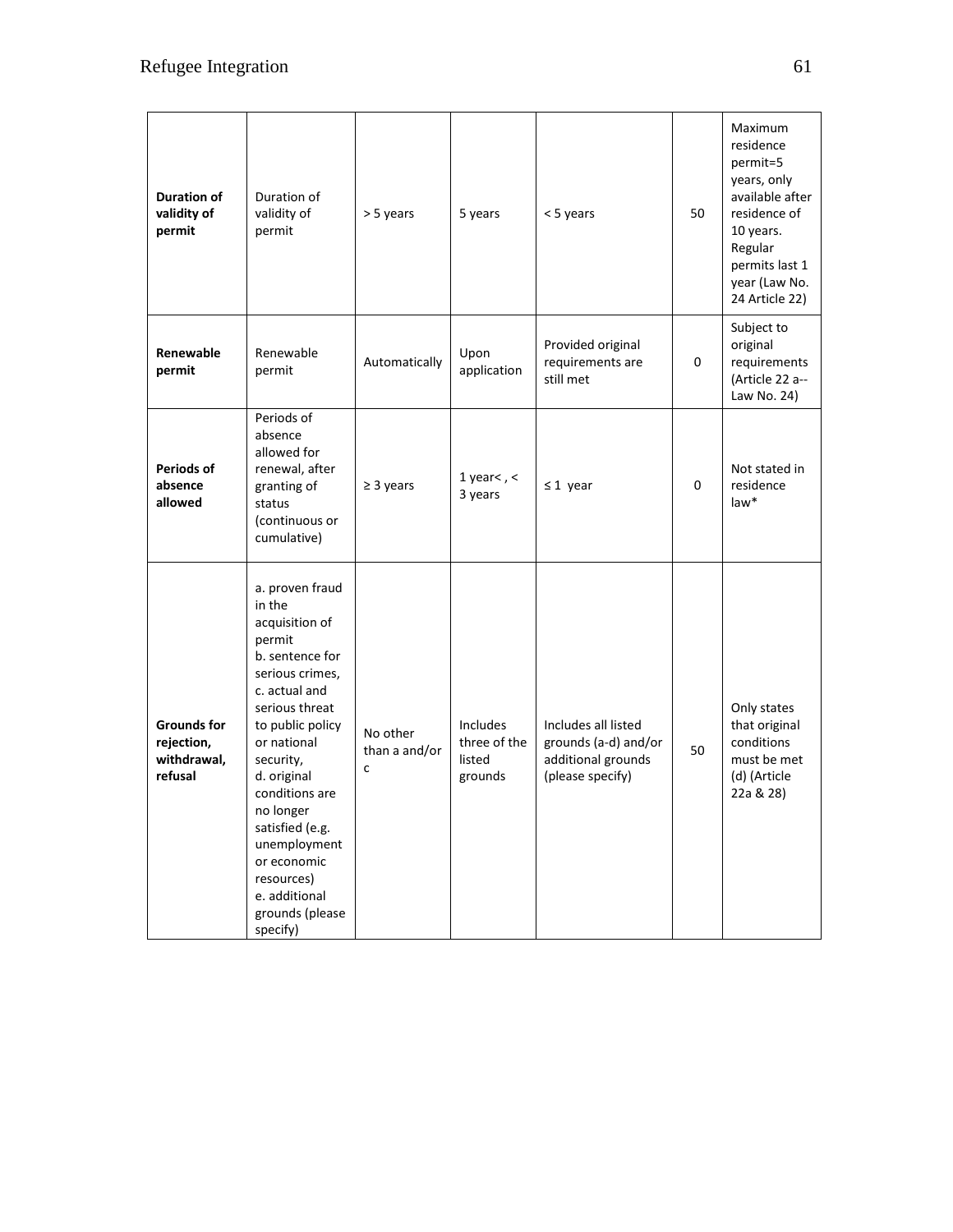| <b>Duration of</b><br>validity of<br>permit                | Duration of<br>validity of<br>permit                                                                                                                                                                                                                                                                                                         | > 5 years                      | 5 years                                              | < 5 years                                                                             | 50 | Maximum<br>residence<br>permit=5<br>years, only<br>available after<br>residence of<br>10 years.<br>Regular<br>permits last 1<br>year (Law No.<br>24 Article 22) |
|------------------------------------------------------------|----------------------------------------------------------------------------------------------------------------------------------------------------------------------------------------------------------------------------------------------------------------------------------------------------------------------------------------------|--------------------------------|------------------------------------------------------|---------------------------------------------------------------------------------------|----|-----------------------------------------------------------------------------------------------------------------------------------------------------------------|
| Renewable<br>permit                                        | Renewable<br>permit                                                                                                                                                                                                                                                                                                                          | Automatically                  | Upon<br>application                                  | Provided original<br>requirements are<br>still met                                    | 0  | Subject to<br>original<br>requirements<br>(Article 22 a--<br>Law No. 24)                                                                                        |
| <b>Periods of</b><br>absence<br>allowed                    | Periods of<br>absence<br>allowed for<br>renewal, after<br>granting of<br>status<br>(continuous or<br>cumulative)                                                                                                                                                                                                                             | $\geq$ 3 years                 | 1 year<, $<$<br>3 years                              | $\leq 1$ year                                                                         | 0  | Not stated in<br>residence<br>law*                                                                                                                              |
| <b>Grounds for</b><br>rejection,<br>withdrawal,<br>refusal | a. proven fraud<br>in the<br>acquisition of<br>permit<br>b. sentence for<br>serious crimes,<br>c. actual and<br>serious threat<br>to public policy<br>or national<br>security,<br>d. original<br>conditions are<br>no longer<br>satisfied (e.g.<br>unemployment<br>or economic<br>resources)<br>e. additional<br>grounds (please<br>specify) | No other<br>than a and/or<br>C | <b>Includes</b><br>three of the<br>listed<br>grounds | Includes all listed<br>grounds (a-d) and/or<br>additional grounds<br>(please specify) | 50 | Only states<br>that original<br>conditions<br>must be met<br>(d) (Article<br>22a & 28)                                                                          |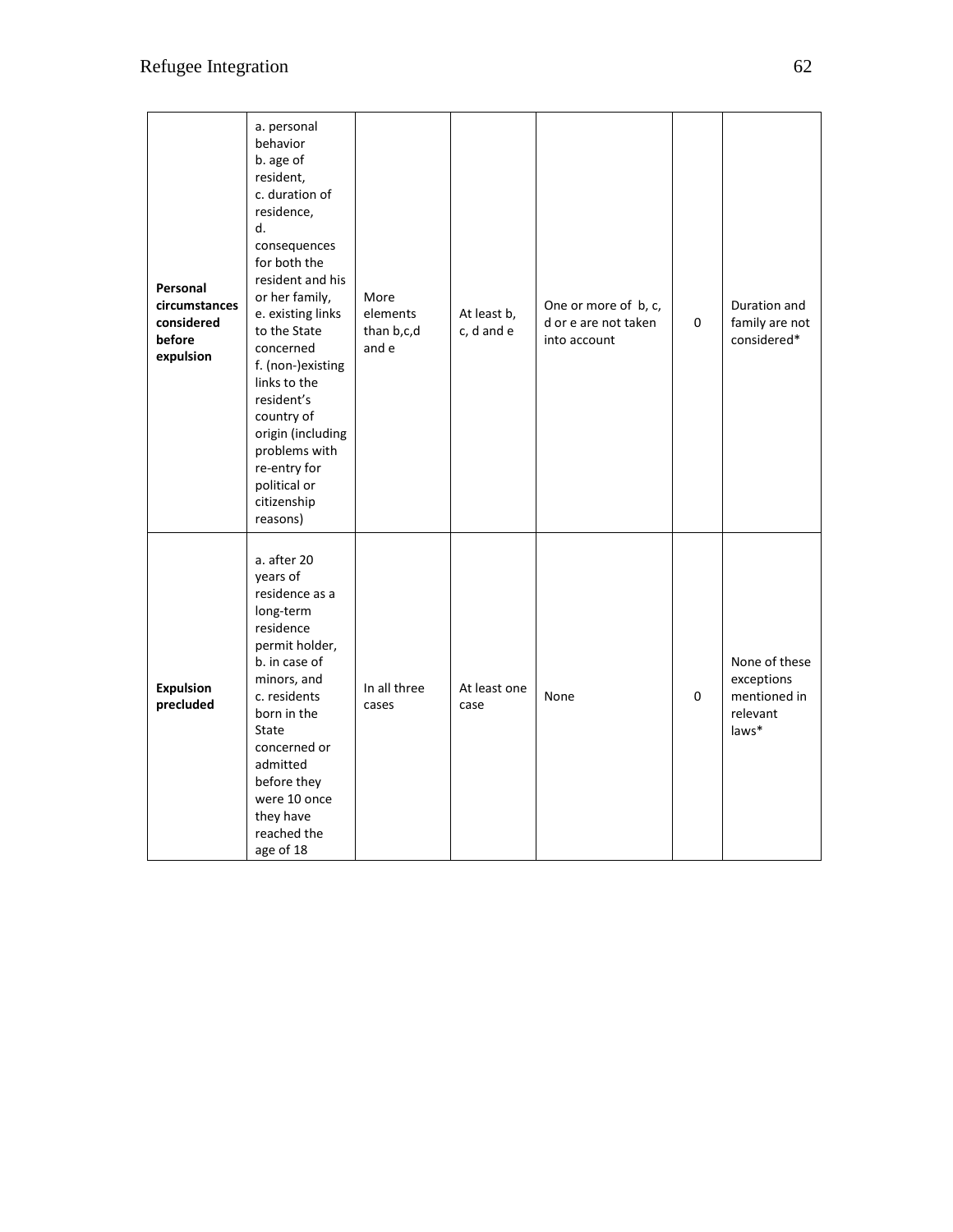| Personal<br>circumstances<br>considered<br>before<br>expulsion | a. personal<br>behavior<br>b. age of<br>resident,<br>c. duration of<br>residence,<br>d.<br>consequences<br>for both the<br>resident and his<br>or her family,<br>e. existing links<br>to the State<br>concerned<br>f. (non-)existing<br>links to the<br>resident's<br>country of<br>origin (including<br>problems with<br>re-entry for<br>political or<br>citizenship<br>reasons) | More<br>elements<br>than b,c,d<br>and e | At least b,<br>c, d and e | One or more of b, c,<br>d or e are not taken<br>into account | 0 | Duration and<br>family are not<br>considered*                    |
|----------------------------------------------------------------|-----------------------------------------------------------------------------------------------------------------------------------------------------------------------------------------------------------------------------------------------------------------------------------------------------------------------------------------------------------------------------------|-----------------------------------------|---------------------------|--------------------------------------------------------------|---|------------------------------------------------------------------|
| <b>Expulsion</b><br>precluded                                  | a. after 20<br>years of<br>residence as a<br>long-term<br>residence<br>permit holder,<br>b. in case of<br>minors, and<br>c. residents<br>born in the<br>State<br>concerned or<br>admitted<br>before they<br>were 10 once<br>they have<br>reached the<br>age of 18                                                                                                                 | In all three<br>cases                   | At least one<br>case      | None                                                         | 0 | None of these<br>exceptions<br>mentioned in<br>relevant<br>laws* |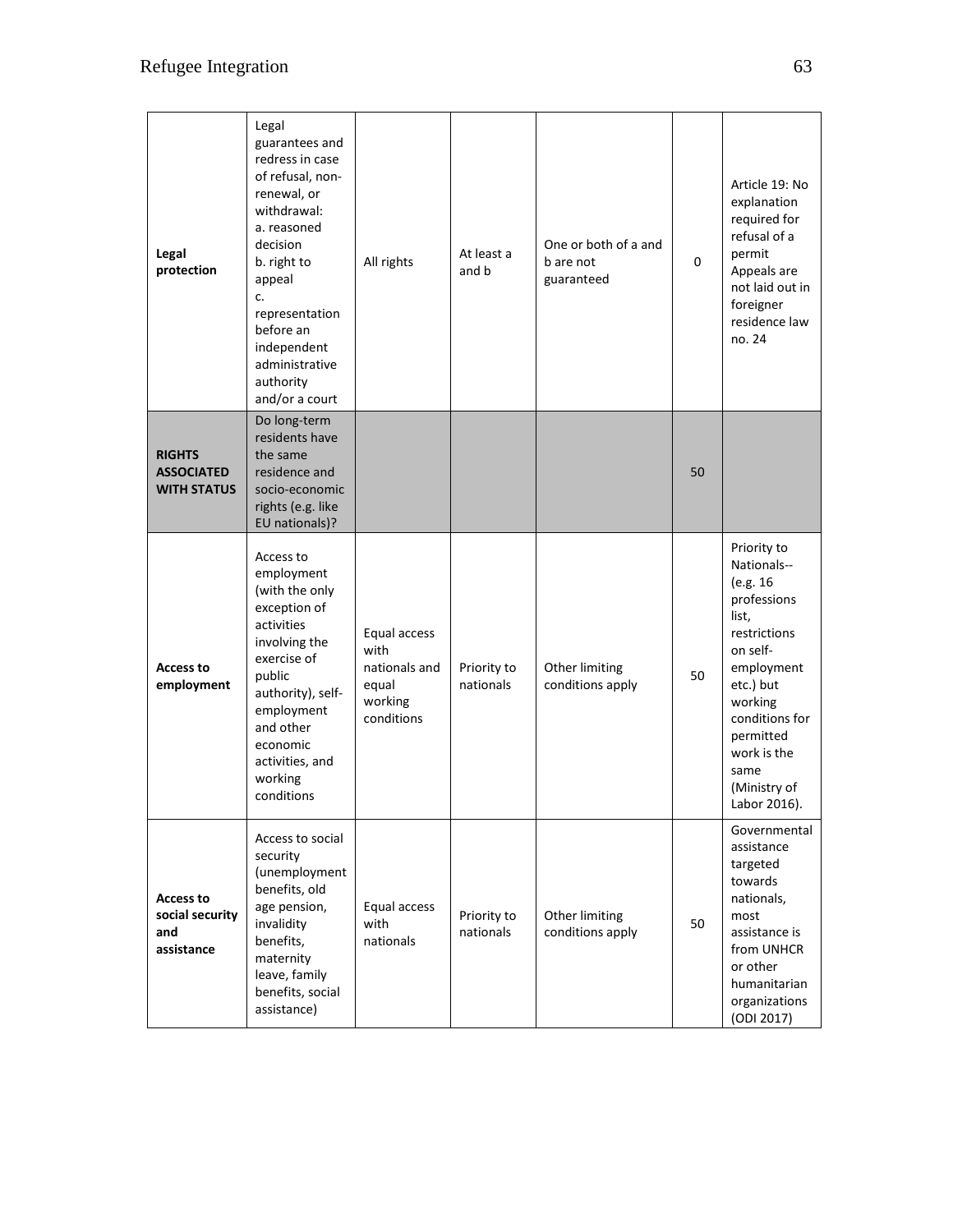| Legal<br>protection                                      | Legal<br>guarantees and<br>redress in case<br>of refusal, non-<br>renewal, or<br>withdrawal:<br>a. reasoned<br>decision<br>b. right to<br>appeal<br>c.<br>representation<br>before an<br>independent<br>administrative<br>authority<br>and/or a court | All rights                                                              | At least a<br>and b      | One or both of a and<br>b are not<br>guaranteed | 0  | Article 19: No<br>explanation<br>required for<br>refusal of a<br>permit<br>Appeals are<br>not laid out in<br>foreigner<br>residence law<br>no. 24                                                                      |
|----------------------------------------------------------|-------------------------------------------------------------------------------------------------------------------------------------------------------------------------------------------------------------------------------------------------------|-------------------------------------------------------------------------|--------------------------|-------------------------------------------------|----|------------------------------------------------------------------------------------------------------------------------------------------------------------------------------------------------------------------------|
| <b>RIGHTS</b><br><b>ASSOCIATED</b><br><b>WITH STATUS</b> | Do long-term<br>residents have<br>the same<br>residence and<br>socio-economic<br>rights (e.g. like<br>EU nationals)?                                                                                                                                  |                                                                         |                          |                                                 | 50 |                                                                                                                                                                                                                        |
| <b>Access to</b><br>employment                           | Access to<br>employment<br>(with the only<br>exception of<br>activities<br>involving the<br>exercise of<br>public<br>authority), self-<br>employment<br>and other<br>economic<br>activities, and<br>working<br>conditions                             | Equal access<br>with<br>nationals and<br>equal<br>working<br>conditions | Priority to<br>nationals | Other limiting<br>conditions apply              | 50 | Priority to<br>Nationals--<br>(e.g. 16<br>professions<br>list.<br>restrictions<br>on self-<br>employment<br>etc.) but<br>working<br>conditions for<br>permitted<br>work is the<br>same<br>(Ministry of<br>Labor 2016). |
| <b>Access to</b><br>social security<br>and<br>assistance | Access to social<br>security<br>(unemployment<br>benefits, old<br>age pension,<br>invalidity<br>benefits,<br>maternity<br>leave, family<br>benefits, social<br>assistance)                                                                            | Equal access<br>with<br>nationals                                       | Priority to<br>nationals | Other limiting<br>conditions apply              | 50 | Governmental<br>assistance<br>targeted<br>towards<br>nationals,<br>most<br>assistance is<br>from UNHCR<br>or other<br>humanitarian<br>organizations<br>(ODI 2017)                                                      |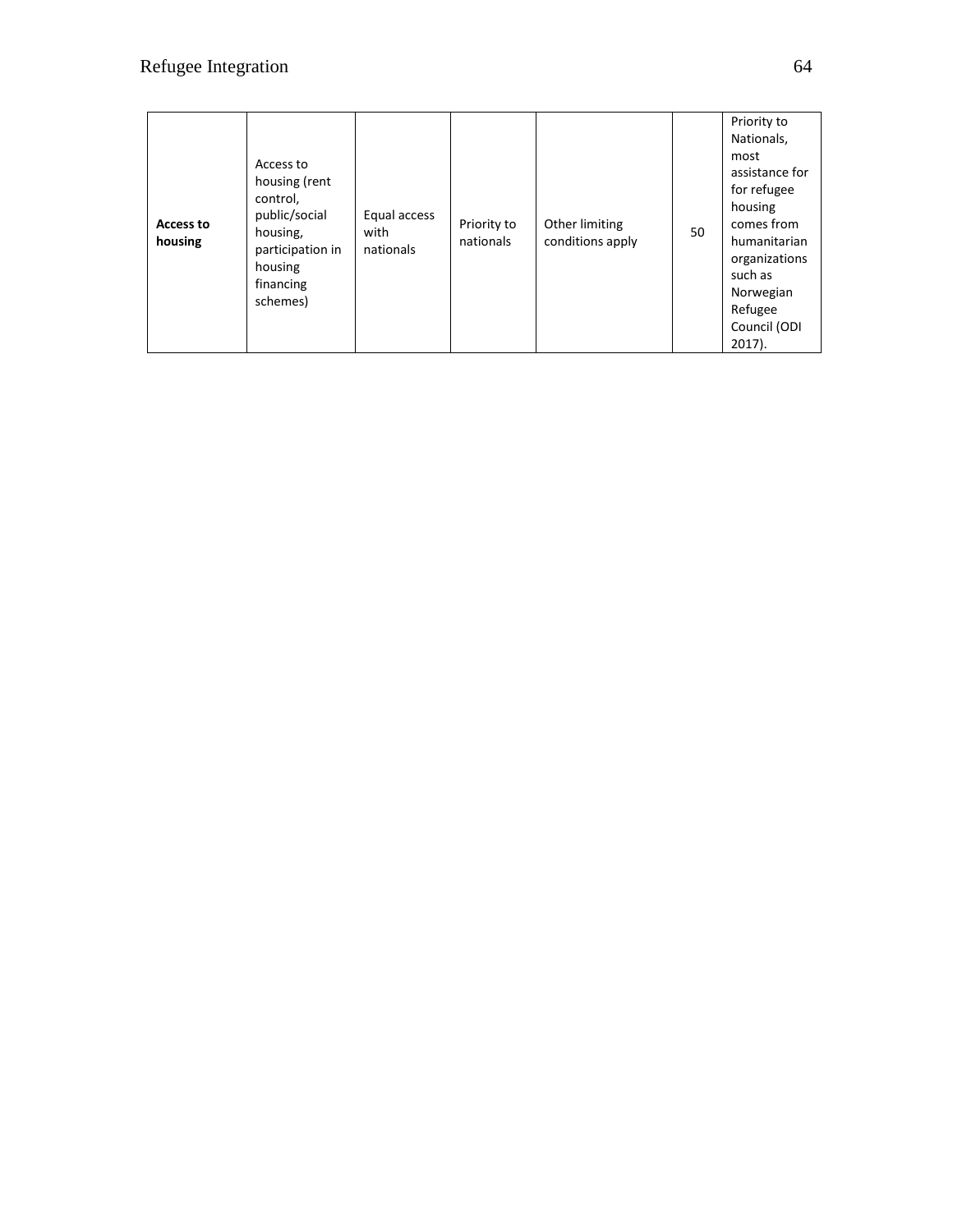| Access to<br>housing | Access to<br>housing (rent<br>control,<br>public/social<br>housing,<br>participation in<br>housing<br>financing<br>schemes) | Equal access<br>with<br>nationals | Priority to<br>nationals | Other limiting<br>conditions apply | 50 | Priority to<br>Nationals,<br>most<br>assistance for<br>for refugee<br>housing<br>comes from<br>humanitarian<br>organizations<br>such as<br>Norwegian<br>Refugee<br>Council (ODI<br>$2017$ ). |
|----------------------|-----------------------------------------------------------------------------------------------------------------------------|-----------------------------------|--------------------------|------------------------------------|----|----------------------------------------------------------------------------------------------------------------------------------------------------------------------------------------------|
|----------------------|-----------------------------------------------------------------------------------------------------------------------------|-----------------------------------|--------------------------|------------------------------------|----|----------------------------------------------------------------------------------------------------------------------------------------------------------------------------------------------|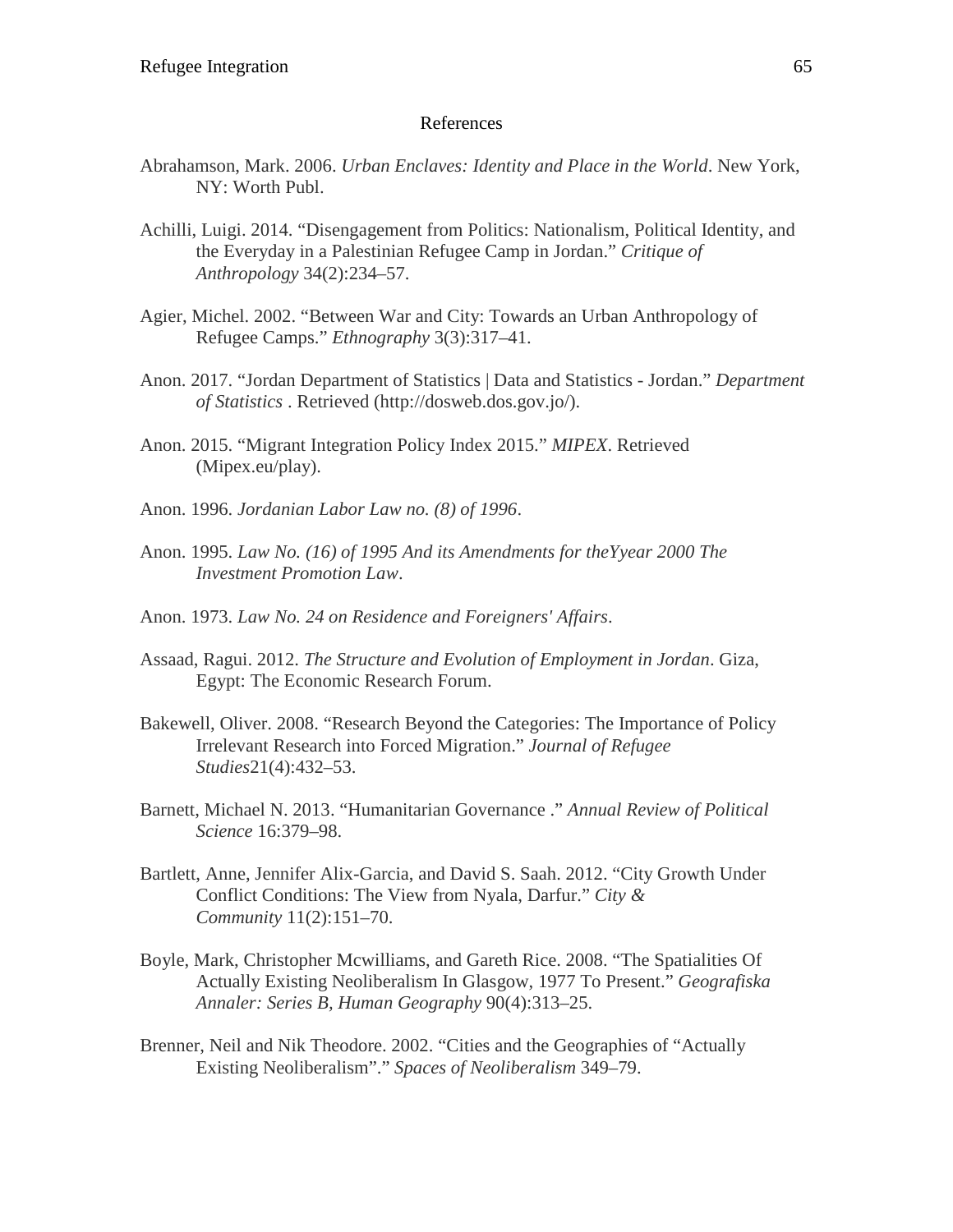#### References

- Abrahamson, Mark. 2006. *Urban Enclaves: Identity and Place in the World*. New York, NY: Worth Publ.
- Achilli, Luigi. 2014. "Disengagement from Politics: Nationalism, Political Identity, and the Everyday in a Palestinian Refugee Camp in Jordan." *Critique of Anthropology* 34(2):234–57.
- Agier, Michel. 2002. "Between War and City: Towards an Urban Anthropology of Refugee Camps." *Ethnography* 3(3):317–41.
- Anon. 2017. "Jordan Department of Statistics | Data and Statistics Jordan." *Department of Statistics* . Retrieved (http://dosweb.dos.gov.jo/).
- Anon. 2015. "Migrant Integration Policy Index 2015." *MIPEX*. Retrieved (Mipex.eu/play).
- Anon. 1996. *Jordanian Labor Law no. (8) of 1996*.
- Anon. 1995. *Law No. (16) of 1995 And its Amendments for theYyear 2000 The Investment Promotion Law*.
- Anon. 1973. *Law No. 24 on Residence and Foreigners' Affairs*.
- Assaad, Ragui. 2012. *The Structure and Evolution of Employment in Jordan*. Giza, Egypt: The Economic Research Forum.
- Bakewell, Oliver. 2008. "Research Beyond the Categories: The Importance of Policy Irrelevant Research into Forced Migration." *Journal of Refugee Studies*21(4):432–53.
- Barnett, Michael N. 2013. "Humanitarian Governance ." *Annual Review of Political Science* 16:379–98.
- Bartlett, Anne, Jennifer Alix-Garcia, and David S. Saah. 2012. "City Growth Under Conflict Conditions: The View from Nyala, Darfur." *City & Community* 11(2):151–70.
- Boyle, Mark, Christopher Mcwilliams, and Gareth Rice. 2008. "The Spatialities Of Actually Existing Neoliberalism In Glasgow, 1977 To Present." *Geografiska Annaler: Series B, Human Geography* 90(4):313–25.
- Brenner, Neil and Nik Theodore. 2002. "Cities and the Geographies of "Actually Existing Neoliberalism"." *Spaces of Neoliberalism* 349–79.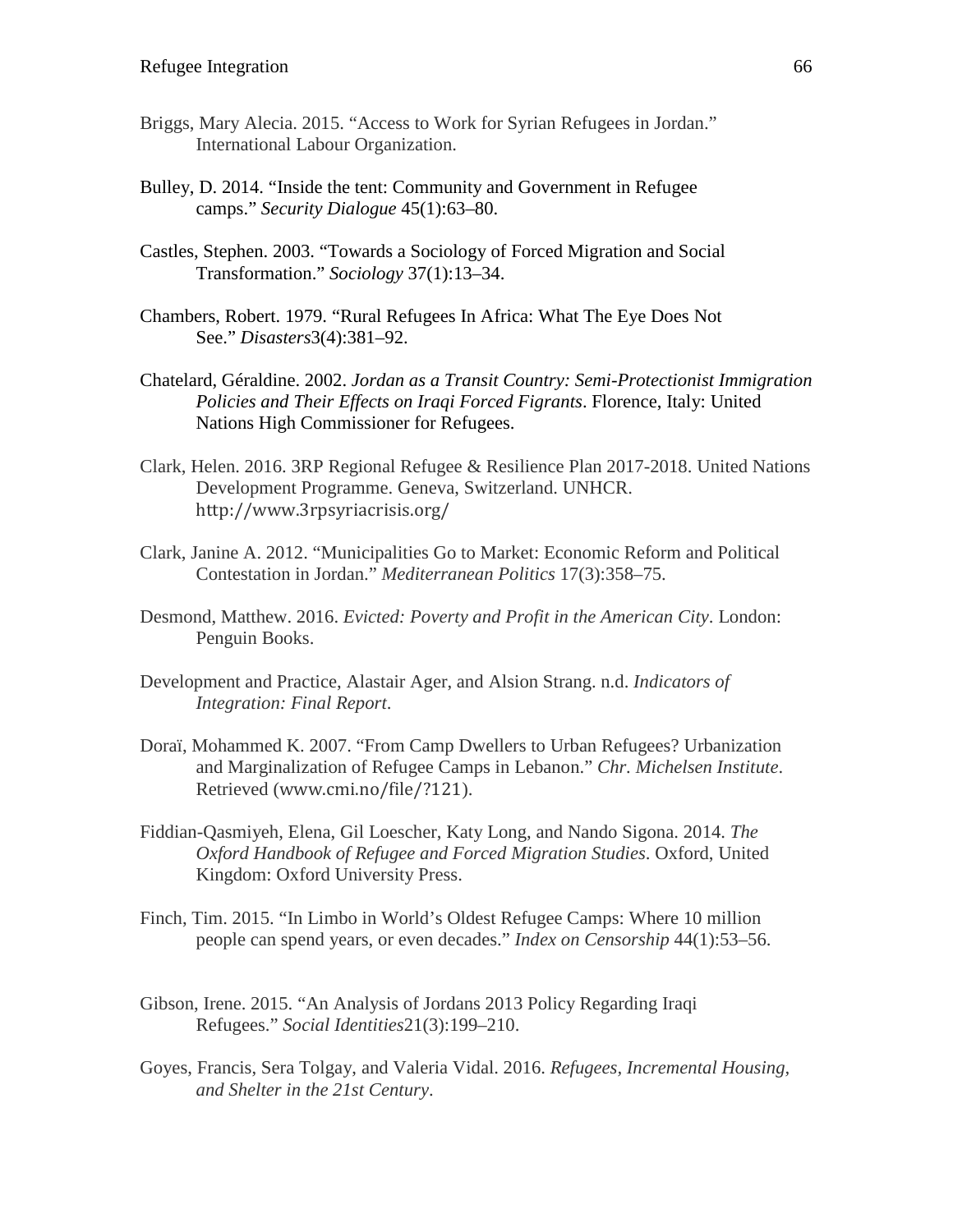- Briggs, Mary Alecia. 2015. "Access to Work for Syrian Refugees in Jordan." International Labour Organization.
- Bulley, D. 2014. "Inside the tent: Community and Government in Refugee camps." *Security Dialogue* 45(1):63–80.
- Castles, Stephen. 2003. "Towards a Sociology of Forced Migration and Social Transformation." *Sociology* 37(1):13–34.
- Chambers, Robert. 1979. "Rural Refugees In Africa: What The Eye Does Not See." *Disasters*3(4):381–92.
- Chatelard, Géraldine. 2002. *Jordan as a Transit Country: Semi-Protectionist Immigration Policies and Their Effects on Iraqi Forced Figrants*. Florence, Italy: United Nations High Commissioner for Refugees.
- Clark, Helen. 2016. 3RP Regional Refugee & Resilience Plan 2017-2018. United Nations Development Programme. Geneva, Switzerland. UNHCR. http://www.3rpsyriacrisis.org/
- Clark, Janine A. 2012. "Municipalities Go to Market: Economic Reform and Political Contestation in Jordan." *Mediterranean Politics* 17(3):358–75.
- Desmond, Matthew. 2016. *Evicted: Poverty and Profit in the American City*. London: Penguin Books.
- Development and Practice, Alastair Ager, and Alsion Strang. n.d. *Indicators of Integration: Final Report*.
- Doraï, Mohammed K. 2007. "From Camp Dwellers to Urban Refugees? Urbanization and Marginalization of Refugee Camps in Lebanon." *Chr. Michelsen Institute*. Retrieved (www.cmi.no/file/?121).
- Fiddian-Qasmiyeh, Elena, Gil Loescher, Katy Long, and Nando Sigona. 2014. *The Oxford Handbook of Refugee and Forced Migration Studies*. Oxford, United Kingdom: Oxford University Press.
- Finch, Tim. 2015. "In Limbo in World's Oldest Refugee Camps: Where 10 million people can spend years, or even decades." *Index on Censorship* 44(1):53–56.
- Gibson, Irene. 2015. "An Analysis of Jordans 2013 Policy Regarding Iraqi Refugees." *Social Identities*21(3):199–210.
- Goyes, Francis, Sera Tolgay, and Valeria Vidal. 2016. *Refugees, Incremental Housing, and Shelter in the 21st Century*.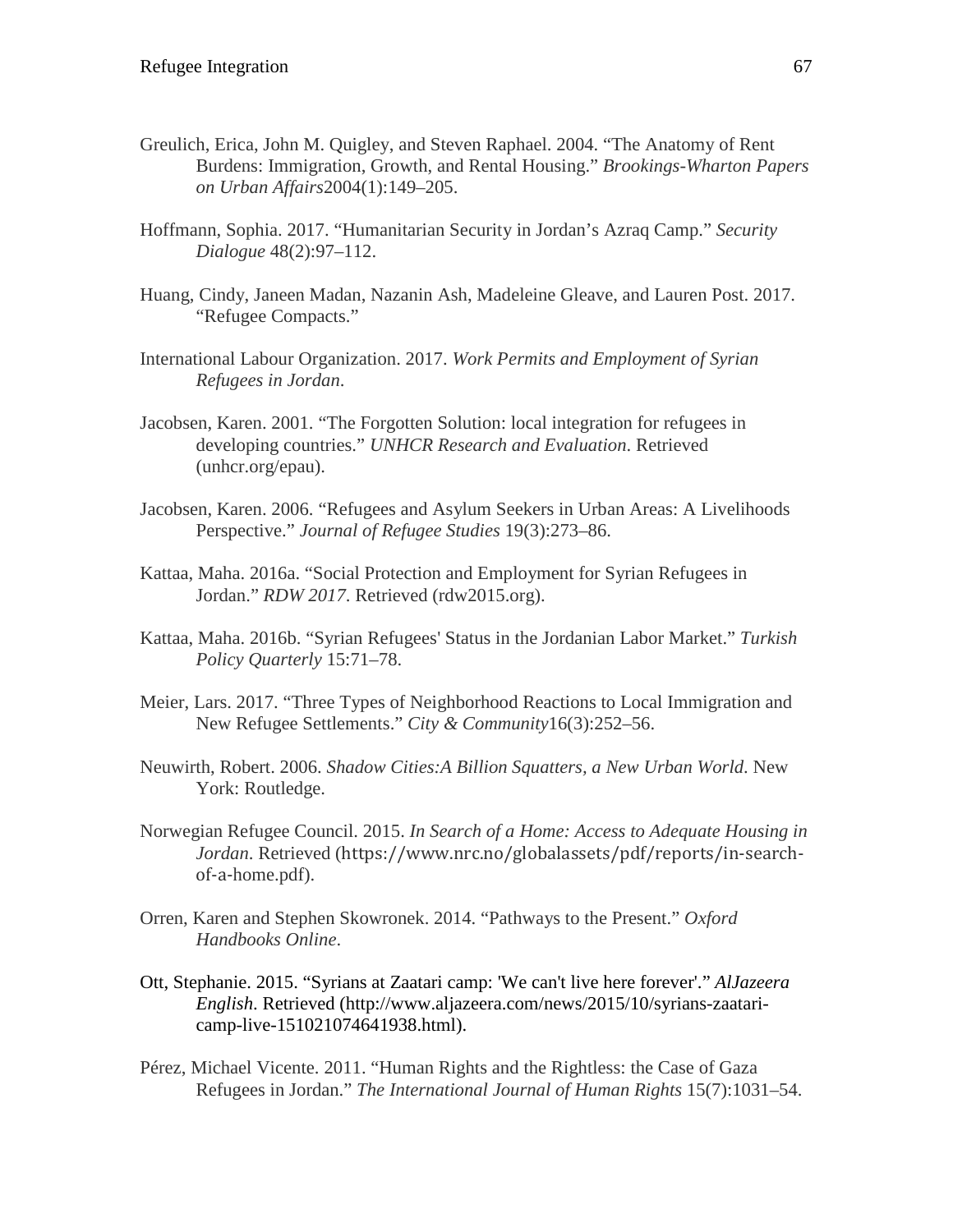- Greulich, Erica, John M. Quigley, and Steven Raphael. 2004. "The Anatomy of Rent Burdens: Immigration, Growth, and Rental Housing." *Brookings-Wharton Papers on Urban Affairs*2004(1):149–205.
- Hoffmann, Sophia. 2017. "Humanitarian Security in Jordan's Azraq Camp." *Security Dialogue* 48(2):97–112.
- Huang, Cindy, Janeen Madan, Nazanin Ash, Madeleine Gleave, and Lauren Post. 2017. "Refugee Compacts."
- International Labour Organization. 2017. *Work Permits and Employment of Syrian Refugees in Jordan*.
- Jacobsen, Karen. 2001. "The Forgotten Solution: local integration for refugees in developing countries." *UNHCR Research and Evaluation*. Retrieved (unhcr.org/epau).
- Jacobsen, Karen. 2006. "Refugees and Asylum Seekers in Urban Areas: A Livelihoods Perspective." *Journal of Refugee Studies* 19(3):273–86.
- Kattaa, Maha. 2016a. "Social Protection and Employment for Syrian Refugees in Jordan." *RDW 2017*. Retrieved (rdw2015.org).
- Kattaa, Maha. 2016b. "Syrian Refugees' Status in the Jordanian Labor Market." *Turkish Policy Quarterly* 15:71–78.
- Meier, Lars. 2017. "Three Types of Neighborhood Reactions to Local Immigration and New Refugee Settlements." *City & Community*16(3):252–56.
- Neuwirth, Robert. 2006. *Shadow Cities:A Billion Squatters, a New Urban World*. New York: Routledge.
- Norwegian Refugee Council. 2015. *In Search of a Home: Access to Adequate Housing in Jordan*. Retrieved (https://www.nrc.no/globalassets/pdf/reports/in-searchof-a-home.pdf).
- Orren, Karen and Stephen Skowronek. 2014. "Pathways to the Present." *Oxford Handbooks Online*.
- Ott, Stephanie. 2015. "Syrians at Zaatari camp: 'We can't live here forever'." *AlJazeera English*. Retrieved (http://www.aljazeera.com/news/2015/10/syrians-zaataricamp-live-151021074641938.html).
- Pérez, Michael Vicente. 2011. "Human Rights and the Rightless: the Case of Gaza Refugees in Jordan." *The International Journal of Human Rights* 15(7):1031–54.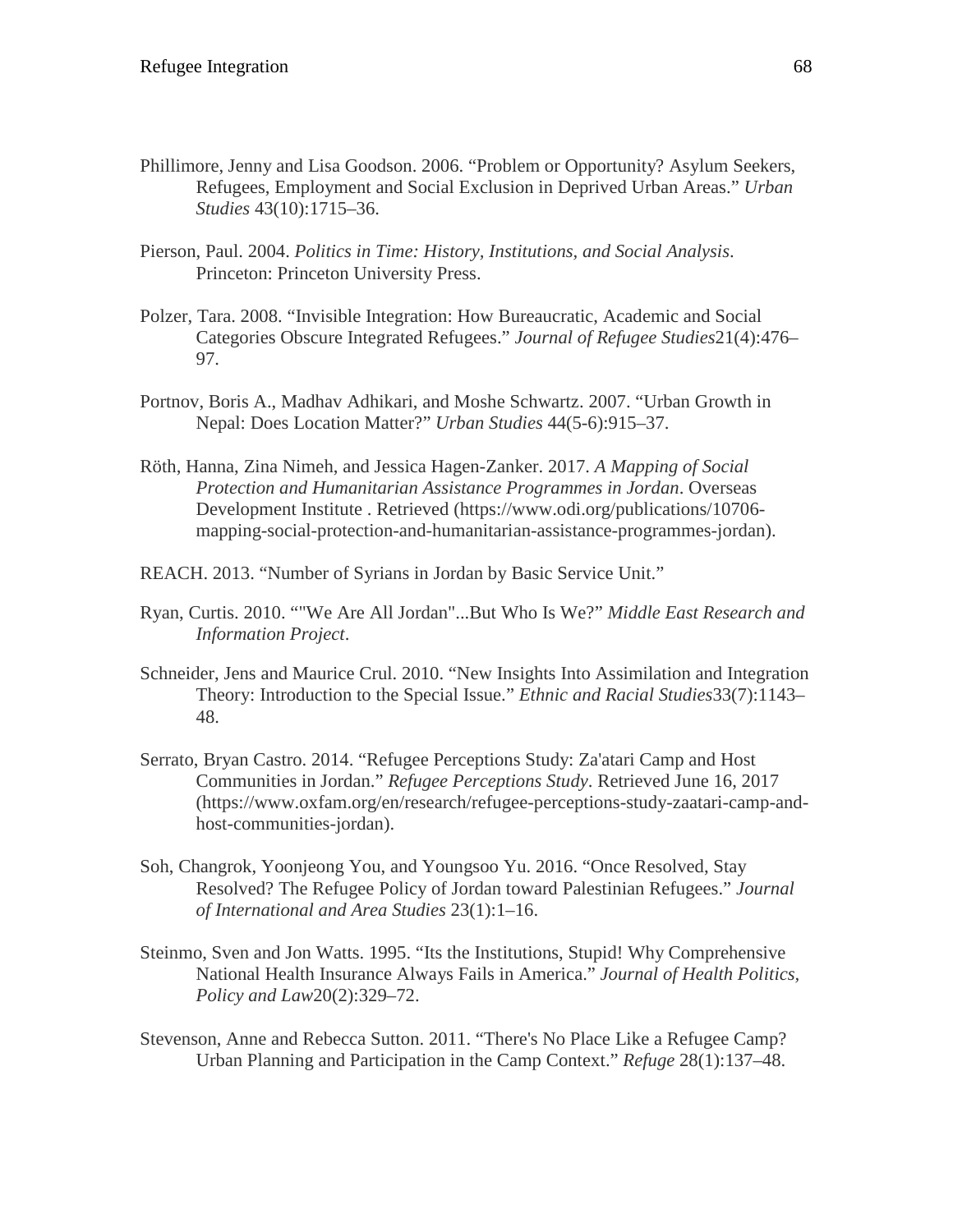- Phillimore, Jenny and Lisa Goodson. 2006. "Problem or Opportunity? Asylum Seekers, Refugees, Employment and Social Exclusion in Deprived Urban Areas." *Urban Studies* 43(10):1715–36.
- Pierson, Paul. 2004. *Politics in Time: History, Institutions, and Social Analysis*. Princeton: Princeton University Press.
- Polzer, Tara. 2008. "Invisible Integration: How Bureaucratic, Academic and Social Categories Obscure Integrated Refugees." *Journal of Refugee Studies*21(4):476– 97.
- Portnov, Boris A., Madhav Adhikari, and Moshe Schwartz. 2007. "Urban Growth in Nepal: Does Location Matter?" *Urban Studies* 44(5-6):915–37.
- Röth, Hanna, Zina Nimeh, and Jessica Hagen-Zanker. 2017. *A Mapping of Social Protection and Humanitarian Assistance Programmes in Jordan*. Overseas Development Institute . Retrieved (https://www.odi.org/publications/10706 mapping-social-protection-and-humanitarian-assistance-programmes-jordan).
- REACH. 2013. "Number of Syrians in Jordan by Basic Service Unit."
- Ryan, Curtis. 2010. ""We Are All Jordan"...But Who Is We?" *Middle East Research and Information Project*.
- Schneider, Jens and Maurice Crul. 2010. "New Insights Into Assimilation and Integration Theory: Introduction to the Special Issue." *Ethnic and Racial Studies*33(7):1143– 48.
- Serrato, Bryan Castro. 2014. "Refugee Perceptions Study: Za'atari Camp and Host Communities in Jordan." *Refugee Perceptions Study*. Retrieved June 16, 2017 (https://www.oxfam.org/en/research/refugee-perceptions-study-zaatari-camp-andhost-communities-jordan).
- Soh, Changrok, Yoonjeong You, and Youngsoo Yu. 2016. "Once Resolved, Stay Resolved? The Refugee Policy of Jordan toward Palestinian Refugees." *Journal of International and Area Studies* 23(1):1–16.
- Steinmo, Sven and Jon Watts. 1995. "Its the Institutions, Stupid! Why Comprehensive National Health Insurance Always Fails in America." *Journal of Health Politics, Policy and Law*20(2):329–72.
- Stevenson, Anne and Rebecca Sutton. 2011. "There's No Place Like a Refugee Camp? Urban Planning and Participation in the Camp Context." *Refuge* 28(1):137–48.